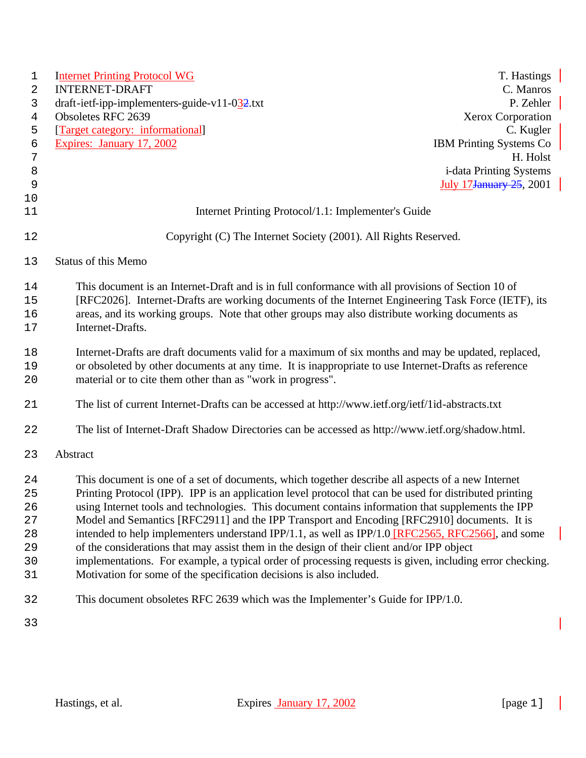| $\mathbf 1$      | <b>Internet Printing Protocol WG</b>                                                                     | T. Hastings                     |
|------------------|----------------------------------------------------------------------------------------------------------|---------------------------------|
| 2                | <b>INTERNET-DRAFT</b>                                                                                    | C. Manros                       |
| 3                | draft-ietf-ipp-implementers-guide-v11-0 $\frac{32}{2}$ .txt<br>Obsoletes RFC 2639                        | P. Zehler<br>Xerox Corporation  |
| 4<br>5           | [Target category: informational]                                                                         | C. Kugler                       |
| 6                | Expires: January 17, 2002                                                                                | <b>IBM Printing Systems Co</b>  |
| $\boldsymbol{7}$ |                                                                                                          | H. Holst                        |
| $\,8\,$          |                                                                                                          | <i>i</i> -data Printing Systems |
| 9                |                                                                                                          | July 17 January 25, 2001        |
| 10               |                                                                                                          |                                 |
| 11               | Internet Printing Protocol/1.1: Implementer's Guide                                                      |                                 |
| 12               | Copyright (C) The Internet Society (2001). All Rights Reserved.                                          |                                 |
| 13               | <b>Status of this Memo</b>                                                                               |                                 |
| 14               | This document is an Internet-Draft and is in full conformance with all provisions of Section 10 of       |                                 |
| 15               | [RFC2026]. Internet-Drafts are working documents of the Internet Engineering Task Force (IETF), its      |                                 |
| 16               | areas, and its working groups. Note that other groups may also distribute working documents as           |                                 |
| 17               | Internet-Drafts.                                                                                         |                                 |
| 18               | Internet-Drafts are draft documents valid for a maximum of six months and may be updated, replaced,      |                                 |
| 19               | or obsoleted by other documents at any time. It is inappropriate to use Internet-Drafts as reference     |                                 |
| 20               | material or to cite them other than as "work in progress".                                               |                                 |
| 21               | The list of current Internet-Drafts can be accessed at http://www.ietf.org/ietf/1id-abstracts.txt        |                                 |
| 22               | The list of Internet-Draft Shadow Directories can be accessed as http://www.ietf.org/shadow.html.        |                                 |
| 23               | Abstract                                                                                                 |                                 |
| 24               | This document is one of a set of documents, which together describe all aspects of a new Internet        |                                 |
| 25               | Printing Protocol (IPP). IPP is an application level protocol that can be used for distributed printing  |                                 |
| 26               | using Internet tools and technologies. This document contains information that supplements the IPP       |                                 |
| 27               | Model and Semantics [RFC2911] and the IPP Transport and Encoding [RFC2910] documents. It is              |                                 |
| 28               | intended to help implementers understand IPP/1.1, as well as IPP/1.0 [RFC2565, RFC2566], and some        |                                 |
| 29               | of the considerations that may assist them in the design of their client and/or IPP object               |                                 |
| 30               | implementations. For example, a typical order of processing requests is given, including error checking. |                                 |
| 31               | Motivation for some of the specification decisions is also included.                                     |                                 |
| 32               | This document obsoletes RFC 2639 which was the Implementer's Guide for IPP/1.0.                          |                                 |
| 33               |                                                                                                          |                                 |

I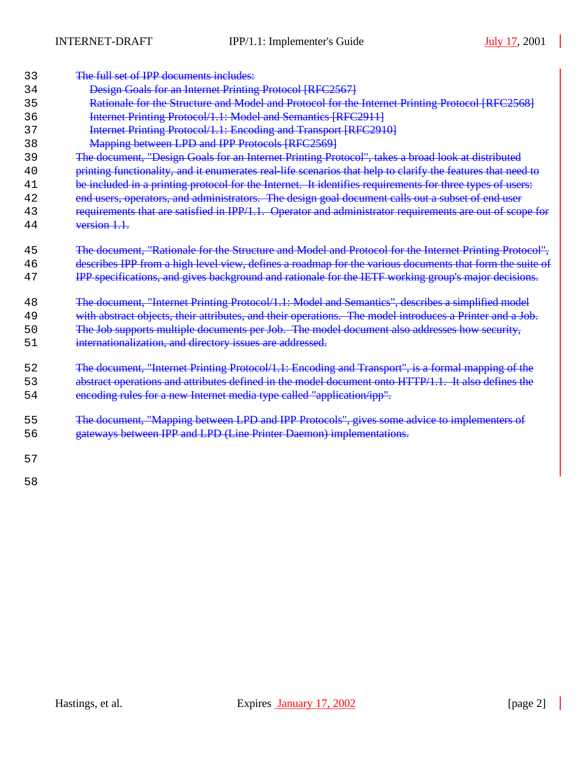$\overline{\phantom{a}}$ 

| 33 | The full set of IPP documents includes:                                                                      |
|----|--------------------------------------------------------------------------------------------------------------|
| 34 | <b>Design Goals for an Internet Printing Protocol [RFC2567]</b>                                              |
| 35 | Rationale for the Structure and Model and Protocol for the Internet Printing Protocol [RFC2568]              |
| 36 | Internet Printing Protocol/1.1: Model and Semantics [RFC2911]                                                |
| 37 | Internet Printing Protocol/1.1: Encoding and Transport [RFC2910]                                             |
| 38 | Mapping between LPD and IPP Protocols [RFC2569]                                                              |
| 39 | The document, "Design Goals for an Internet Printing Protocol", takes a broad look at distributed            |
| 40 | printing functionality, and it enumerates real-life scenarios that help to clarify the features that need to |
| 41 | be included in a printing protocol for the Internet. It identifies requirements for three types of users:    |
| 42 | end users, operators, and administrators. The design goal document calls out a subset of end user            |
| 43 | requirements that are satisfied in IPP/1.1. Operator and administrator requirements are out of scope for     |
| 44 | version 1.1.                                                                                                 |
|    |                                                                                                              |
| 45 | The document, "Rationale for the Structure and Model and Protocol for the Internet Printing Protocol",       |
| 46 | describes IPP from a high level view, defines a roadmap for the various documents that form the suite of     |
| 47 | IPP specifications, and gives background and rationale for the IETF working group's major decisions.         |
| 48 | The document, "Internet Printing Protocol/1.1: Model and Semantics", describes a simplified model            |
| 49 | with abstract objects, their attributes, and their operations. The model introduces a Printer and a Job.     |
| 50 | The Job supports multiple documents per Job. The model document also addresses how security,                 |
| 51 | internationalization, and directory issues are addressed.                                                    |
|    |                                                                                                              |
| 52 | The document, "Internet Printing Protocol/1.1: Encoding and Transport", is a formal mapping of the           |
| 53 | abstract operations and attributes defined in the model document onto HTTP/1.1. It also defines the          |
| 54 | encoding rules for a new Internet media type called "application/ipp".                                       |
|    |                                                                                                              |
| 55 | The document, "Mapping between LPD and IPP Protocols", gives some advice to implementers of                  |
| 56 | gateways between IPP and LPD (Line Printer Daemon) implementations.                                          |
|    |                                                                                                              |
| 57 |                                                                                                              |
| 58 |                                                                                                              |
|    |                                                                                                              |
|    |                                                                                                              |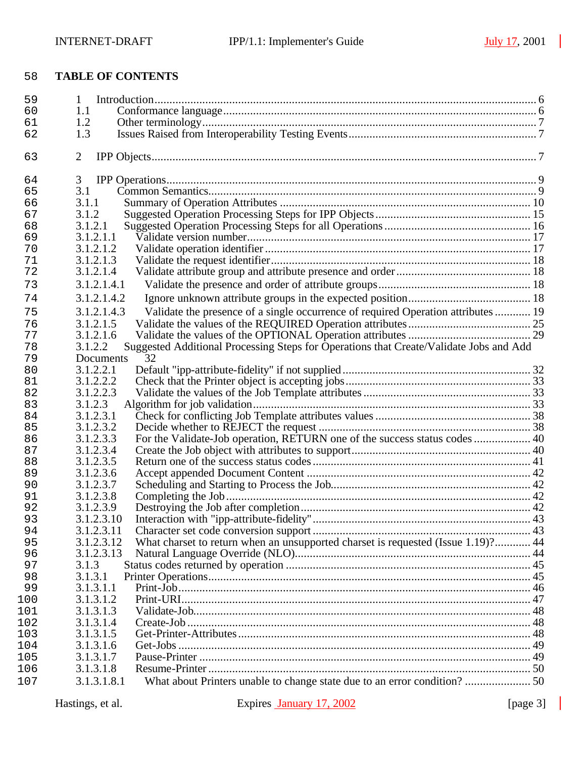$\overline{\phantom{a}}$ 

# **TABLE OF CONTENTS**

| 59         | 1                                                                                                 |  |
|------------|---------------------------------------------------------------------------------------------------|--|
| 60         | 1.1                                                                                               |  |
| 61         | 1.2                                                                                               |  |
| 62         | 1.3                                                                                               |  |
| 63         | $\overline{2}$                                                                                    |  |
| 64         | 3                                                                                                 |  |
| 65         | 3.1                                                                                               |  |
| 66         | 3.1.1                                                                                             |  |
| 67         | 3.1.2                                                                                             |  |
| 68         | 3.1.2.1                                                                                           |  |
| 69         | 3.1.2.1.1                                                                                         |  |
| 70         | 3.1.2.1.2                                                                                         |  |
| 71         | 3.1.2.1.3                                                                                         |  |
| 72         | 3.1.2.1.4                                                                                         |  |
| 73         | 3.1.2.1.4.1                                                                                       |  |
| 74         | 3.1.2.1.4.2                                                                                       |  |
| 75         | Validate the presence of a single occurrence of required Operation attributes  19<br>3.1.2.1.4.3  |  |
| 76         | 3.1.2.1.5                                                                                         |  |
| 77         | 3.1.2.1.6                                                                                         |  |
| 78         | Suggested Additional Processing Steps for Operations that Create/Validate Jobs and Add<br>3.1.2.2 |  |
| 79         | 32<br>Documents                                                                                   |  |
| 80         | 3.1.2.2.1                                                                                         |  |
| 81         | 3.1.2.2.2                                                                                         |  |
| 82         | 3.1.2.2.3                                                                                         |  |
| 83         | 3.1.2.3                                                                                           |  |
| 84         | 3.1.2.3.1                                                                                         |  |
| 85         | 3.1.2.3.2                                                                                         |  |
| 86         | 3.1.2.3.3                                                                                         |  |
| 87         | 3.1.2.3.4                                                                                         |  |
| 88         | 3.1.2.3.5                                                                                         |  |
| 89         | 3.1.2.3.6                                                                                         |  |
| 90         | 3.1.2.3.7                                                                                         |  |
| 91         | 3.1.2.3.8                                                                                         |  |
| 92         | 3.1.2.3.9                                                                                         |  |
| 93         | 3.1.2.3.10                                                                                        |  |
| 94         | 3.1.2.3.11                                                                                        |  |
| 95         | What charset to return when an unsupported charset is requested (Issue 1.19)? 44<br>3.1.2.3.12    |  |
| 96         | 3.1.2.3.13                                                                                        |  |
| 97         | 3.1.3                                                                                             |  |
| 98         | 3.1.3.1                                                                                           |  |
| 99         | 3.1.3.1.1                                                                                         |  |
| 100        | 3.1.3.1.2                                                                                         |  |
| 101        | 3.1.3.1.3                                                                                         |  |
| 102        | 3.1.3.1.4                                                                                         |  |
| 103        | 3.1.3.1.5                                                                                         |  |
| 104<br>105 | 3.1.3.1.6<br>3.1.3.1.7                                                                            |  |
| 106        | 3.1.3.1.8                                                                                         |  |
|            |                                                                                                   |  |
| 107        | 3.1.3.1.8.1                                                                                       |  |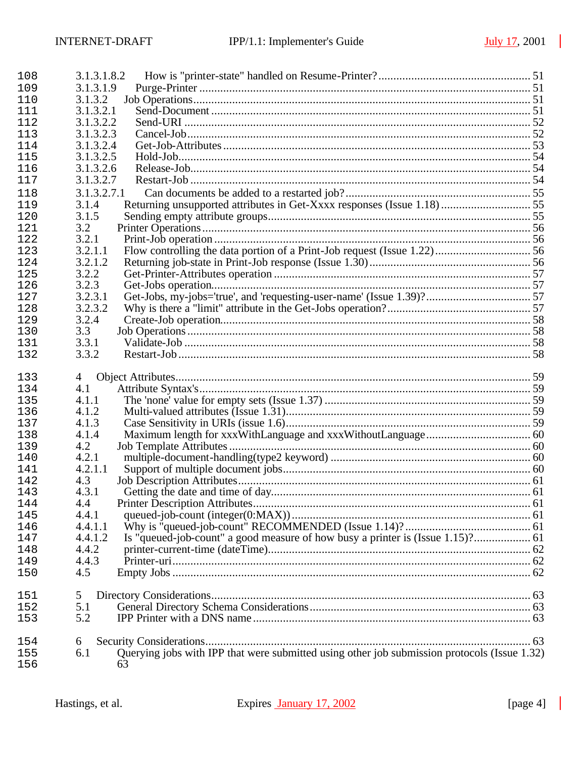| 3.1.3.1.9<br>3.1.3.2<br>3.1.3.2.1<br>3.1.3.2.2<br>3.1.3.2.3<br>3.1.3.2.4<br>3.1.3.2.5<br>3.1.3.2.6<br>3.1.3.2.7<br>3.1.3.2.7.1<br>118<br>Returning unsupported attributes in Get-Xxxx responses (Issue 1.18)  55<br>119<br>3.1.4<br>3.1.5<br>120<br>3.2<br>121<br>3.2.1<br>122<br>3.2.1.1<br>123<br>3.2.1.2<br>124<br>3.2.2<br>125<br>3.2.3<br>126<br>3.2.3.1<br>127<br>3.2.3.2<br>128<br>3.2.4<br>129<br>3.3<br>130<br>3.3.1<br>3.3.2<br>$\overline{4}$<br>4.1<br>4.1.1<br>4.1.2<br>136<br>4.1.3<br>137<br>4.1.4<br>138<br>4.2<br>139<br>4.2.1<br>4.2.1.1<br>4.3<br>142<br>4.3.1<br>143<br>4.4<br>144<br>4.4.1<br>145<br>4.4.1.1<br>146<br>4.4.1.2<br>147<br>4.4.2<br>148<br>4.4.3<br>149<br>4.5<br>150<br>151<br>5<br>5.1<br>152<br>5.2<br>153<br>154<br>6<br>Querying jobs with IPP that were submitted using other job submission protocols (Issue 1.32)<br>6.1<br>155<br>156<br>63 | 108 | 3.1.3.1.8.2 |  |
|-----------------------------------------------------------------------------------------------------------------------------------------------------------------------------------------------------------------------------------------------------------------------------------------------------------------------------------------------------------------------------------------------------------------------------------------------------------------------------------------------------------------------------------------------------------------------------------------------------------------------------------------------------------------------------------------------------------------------------------------------------------------------------------------------------------------------------------------------------------------------------------------|-----|-------------|--|
|                                                                                                                                                                                                                                                                                                                                                                                                                                                                                                                                                                                                                                                                                                                                                                                                                                                                                         | 109 |             |  |
|                                                                                                                                                                                                                                                                                                                                                                                                                                                                                                                                                                                                                                                                                                                                                                                                                                                                                         | 110 |             |  |
|                                                                                                                                                                                                                                                                                                                                                                                                                                                                                                                                                                                                                                                                                                                                                                                                                                                                                         | 111 |             |  |
|                                                                                                                                                                                                                                                                                                                                                                                                                                                                                                                                                                                                                                                                                                                                                                                                                                                                                         | 112 |             |  |
|                                                                                                                                                                                                                                                                                                                                                                                                                                                                                                                                                                                                                                                                                                                                                                                                                                                                                         | 113 |             |  |
|                                                                                                                                                                                                                                                                                                                                                                                                                                                                                                                                                                                                                                                                                                                                                                                                                                                                                         | 114 |             |  |
|                                                                                                                                                                                                                                                                                                                                                                                                                                                                                                                                                                                                                                                                                                                                                                                                                                                                                         | 115 |             |  |
|                                                                                                                                                                                                                                                                                                                                                                                                                                                                                                                                                                                                                                                                                                                                                                                                                                                                                         | 116 |             |  |
|                                                                                                                                                                                                                                                                                                                                                                                                                                                                                                                                                                                                                                                                                                                                                                                                                                                                                         | 117 |             |  |
|                                                                                                                                                                                                                                                                                                                                                                                                                                                                                                                                                                                                                                                                                                                                                                                                                                                                                         |     |             |  |
|                                                                                                                                                                                                                                                                                                                                                                                                                                                                                                                                                                                                                                                                                                                                                                                                                                                                                         |     |             |  |
|                                                                                                                                                                                                                                                                                                                                                                                                                                                                                                                                                                                                                                                                                                                                                                                                                                                                                         |     |             |  |
|                                                                                                                                                                                                                                                                                                                                                                                                                                                                                                                                                                                                                                                                                                                                                                                                                                                                                         |     |             |  |
|                                                                                                                                                                                                                                                                                                                                                                                                                                                                                                                                                                                                                                                                                                                                                                                                                                                                                         |     |             |  |
|                                                                                                                                                                                                                                                                                                                                                                                                                                                                                                                                                                                                                                                                                                                                                                                                                                                                                         |     |             |  |
|                                                                                                                                                                                                                                                                                                                                                                                                                                                                                                                                                                                                                                                                                                                                                                                                                                                                                         |     |             |  |
|                                                                                                                                                                                                                                                                                                                                                                                                                                                                                                                                                                                                                                                                                                                                                                                                                                                                                         |     |             |  |
|                                                                                                                                                                                                                                                                                                                                                                                                                                                                                                                                                                                                                                                                                                                                                                                                                                                                                         |     |             |  |
|                                                                                                                                                                                                                                                                                                                                                                                                                                                                                                                                                                                                                                                                                                                                                                                                                                                                                         |     |             |  |
|                                                                                                                                                                                                                                                                                                                                                                                                                                                                                                                                                                                                                                                                                                                                                                                                                                                                                         |     |             |  |
|                                                                                                                                                                                                                                                                                                                                                                                                                                                                                                                                                                                                                                                                                                                                                                                                                                                                                         |     |             |  |
|                                                                                                                                                                                                                                                                                                                                                                                                                                                                                                                                                                                                                                                                                                                                                                                                                                                                                         |     |             |  |
|                                                                                                                                                                                                                                                                                                                                                                                                                                                                                                                                                                                                                                                                                                                                                                                                                                                                                         | 131 |             |  |
|                                                                                                                                                                                                                                                                                                                                                                                                                                                                                                                                                                                                                                                                                                                                                                                                                                                                                         | 132 |             |  |
|                                                                                                                                                                                                                                                                                                                                                                                                                                                                                                                                                                                                                                                                                                                                                                                                                                                                                         |     |             |  |
|                                                                                                                                                                                                                                                                                                                                                                                                                                                                                                                                                                                                                                                                                                                                                                                                                                                                                         | 133 |             |  |
|                                                                                                                                                                                                                                                                                                                                                                                                                                                                                                                                                                                                                                                                                                                                                                                                                                                                                         | 134 |             |  |
|                                                                                                                                                                                                                                                                                                                                                                                                                                                                                                                                                                                                                                                                                                                                                                                                                                                                                         | 135 |             |  |
|                                                                                                                                                                                                                                                                                                                                                                                                                                                                                                                                                                                                                                                                                                                                                                                                                                                                                         |     |             |  |
|                                                                                                                                                                                                                                                                                                                                                                                                                                                                                                                                                                                                                                                                                                                                                                                                                                                                                         |     |             |  |
|                                                                                                                                                                                                                                                                                                                                                                                                                                                                                                                                                                                                                                                                                                                                                                                                                                                                                         |     |             |  |
|                                                                                                                                                                                                                                                                                                                                                                                                                                                                                                                                                                                                                                                                                                                                                                                                                                                                                         |     |             |  |
|                                                                                                                                                                                                                                                                                                                                                                                                                                                                                                                                                                                                                                                                                                                                                                                                                                                                                         | 140 |             |  |
|                                                                                                                                                                                                                                                                                                                                                                                                                                                                                                                                                                                                                                                                                                                                                                                                                                                                                         | 141 |             |  |
|                                                                                                                                                                                                                                                                                                                                                                                                                                                                                                                                                                                                                                                                                                                                                                                                                                                                                         |     |             |  |
|                                                                                                                                                                                                                                                                                                                                                                                                                                                                                                                                                                                                                                                                                                                                                                                                                                                                                         |     |             |  |
|                                                                                                                                                                                                                                                                                                                                                                                                                                                                                                                                                                                                                                                                                                                                                                                                                                                                                         |     |             |  |
|                                                                                                                                                                                                                                                                                                                                                                                                                                                                                                                                                                                                                                                                                                                                                                                                                                                                                         |     |             |  |
|                                                                                                                                                                                                                                                                                                                                                                                                                                                                                                                                                                                                                                                                                                                                                                                                                                                                                         |     |             |  |
|                                                                                                                                                                                                                                                                                                                                                                                                                                                                                                                                                                                                                                                                                                                                                                                                                                                                                         |     |             |  |
|                                                                                                                                                                                                                                                                                                                                                                                                                                                                                                                                                                                                                                                                                                                                                                                                                                                                                         |     |             |  |
|                                                                                                                                                                                                                                                                                                                                                                                                                                                                                                                                                                                                                                                                                                                                                                                                                                                                                         |     |             |  |
|                                                                                                                                                                                                                                                                                                                                                                                                                                                                                                                                                                                                                                                                                                                                                                                                                                                                                         |     |             |  |
|                                                                                                                                                                                                                                                                                                                                                                                                                                                                                                                                                                                                                                                                                                                                                                                                                                                                                         |     |             |  |
|                                                                                                                                                                                                                                                                                                                                                                                                                                                                                                                                                                                                                                                                                                                                                                                                                                                                                         |     |             |  |
|                                                                                                                                                                                                                                                                                                                                                                                                                                                                                                                                                                                                                                                                                                                                                                                                                                                                                         |     |             |  |
|                                                                                                                                                                                                                                                                                                                                                                                                                                                                                                                                                                                                                                                                                                                                                                                                                                                                                         |     |             |  |
|                                                                                                                                                                                                                                                                                                                                                                                                                                                                                                                                                                                                                                                                                                                                                                                                                                                                                         |     |             |  |
|                                                                                                                                                                                                                                                                                                                                                                                                                                                                                                                                                                                                                                                                                                                                                                                                                                                                                         |     |             |  |
|                                                                                                                                                                                                                                                                                                                                                                                                                                                                                                                                                                                                                                                                                                                                                                                                                                                                                         |     |             |  |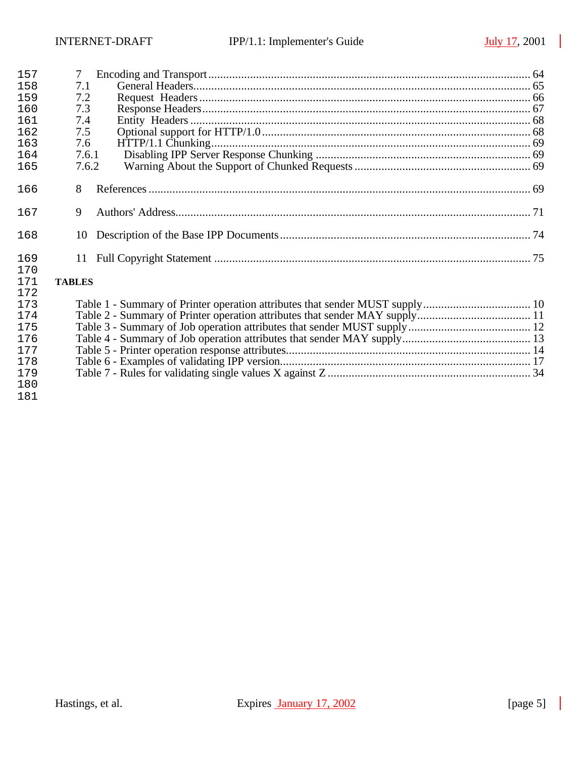| 157        | 7             |  |
|------------|---------------|--|
| 158        | 7.1           |  |
| 159        | 7.2           |  |
| 160        | 7.3           |  |
| 161        | 7.4           |  |
| 162        | 7.5           |  |
| 163        | 7.6           |  |
| 164        | 7.6.1         |  |
| 165        | 7.6.2         |  |
| 166        | 8             |  |
| 167        | 9             |  |
| 168        | 10            |  |
| 169<br>170 | 11            |  |
| 171        | <b>TABLES</b> |  |
| 172        |               |  |
| 173        |               |  |
| 174        |               |  |
| 175        |               |  |
| 176        |               |  |
| 177        |               |  |
| 178        |               |  |
| 179        |               |  |
| 180        |               |  |
| 181        |               |  |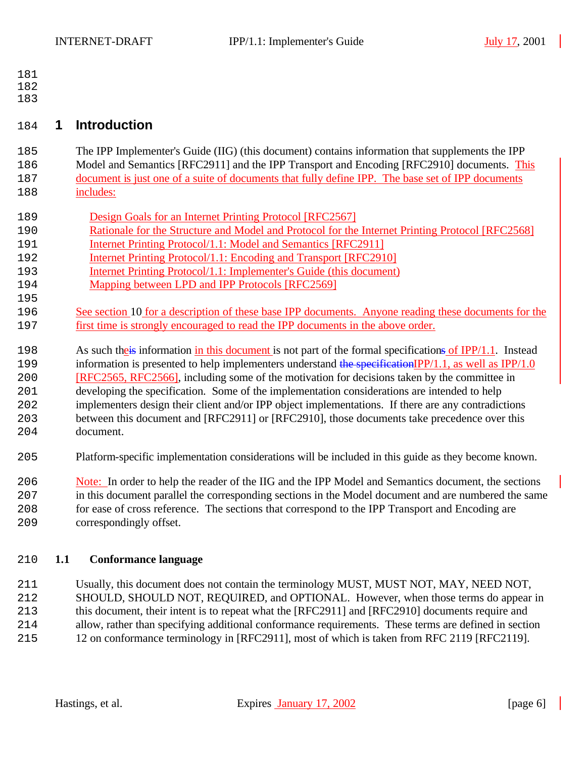- 
- 
- 

# **1 Introduction**

 The IPP Implementer's Guide (IIG) (this document) contains information that supplements the IPP Model and Semantics [RFC2911] and the IPP Transport and Encoding [RFC2910] documents. This document is just one of a suite of documents that fully define IPP. The base set of IPP documents includes:

- Design Goals for an Internet Printing Protocol [RFC2567]
- 190 Rationale for the Structure and Model and Protocol for the Internet Printing Protocol [RFC2568]
- 191 Internet Printing Protocol/1.1: Model and Semantics [RFC2911]
- Internet Printing Protocol/1.1: Encoding and Transport [RFC2910]
- Internet Printing Protocol/1.1: Implementer's Guide (this document)
- Mapping between LPD and IPP Protocols [RFC2569]
- See section 10 for a description of these base IPP documents. Anyone reading these documents for the first time is strongly encouraged to read the IPP documents in the above order.
- 198 As such the is information in this document is not part of the formal specifications of IPP/1.1. Instead

199 information is presented to help implementers understand the specificationIPP/1.1, as well as IPP/1.0 [RFC2565, RFC2566], including some of the motivation for decisions taken by the committee in

 developing the specification. Some of the implementation considerations are intended to help implementers design their client and/or IPP object implementations. If there are any contradictions between this document and [RFC2911] or [RFC2910], those documents take precedence over this

- document.
- Platform-specific implementation considerations will be included in this guide as they become known.

 Note: In order to help the reader of the IIG and the IPP Model and Semantics document, the sections in this document parallel the corresponding sections in the Model document and are numbered the same for ease of cross reference. The sections that correspond to the IPP Transport and Encoding are correspondingly offset.

## **1.1 Conformance language**

 Usually, this document does not contain the terminology MUST, MUST NOT, MAY, NEED NOT, SHOULD, SHOULD NOT, REQUIRED, and OPTIONAL. However, when those terms do appear in 213 this document, their intent is to repeat what the [RFC2911] and [RFC2910] documents require and allow, rather than specifying additional conformance requirements. These terms are defined in section 12 on conformance terminology in [RFC2911], most of which is taken from RFC 2119 [RFC2119].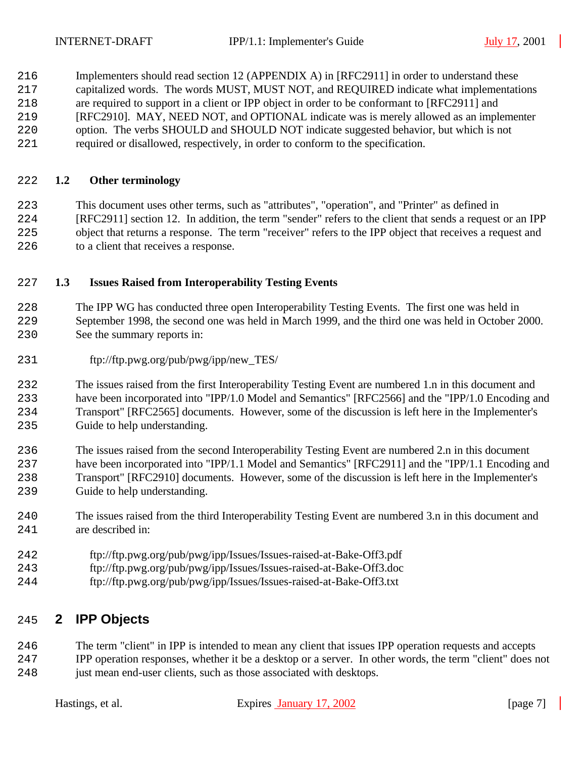Implementers should read section 12 (APPENDIX A) in [RFC2911] in order to understand these capitalized words. The words MUST, MUST NOT, and REQUIRED indicate what implementations are required to support in a client or IPP object in order to be conformant to [RFC2911] and [RFC2910]. MAY, NEED NOT, and OPTIONAL indicate was is merely allowed as an implementer option. The verbs SHOULD and SHOULD NOT indicate suggested behavior, but which is not

required or disallowed, respectively, in order to conform to the specification.

#### **1.2 Other terminology**

 This document uses other terms, such as "attributes", "operation", and "Printer" as defined in [RFC2911] section 12. In addition, the term "sender" refers to the client that sends a request or an IPP object that returns a response. The term "receiver" refers to the IPP object that receives a request and to a client that receives a response.

#### **1.3 Issues Raised from Interoperability Testing Events**

 The IPP WG has conducted three open Interoperability Testing Events. The first one was held in September 1998, the second one was held in March 1999, and the third one was held in October 2000. See the summary reports in:

ftp://ftp.pwg.org/pub/pwg/ipp/new\_TES/

 The issues raised from the first Interoperability Testing Event are numbered 1.n in this document and have been incorporated into "IPP/1.0 Model and Semantics" [RFC2566] and the "IPP/1.0 Encoding and Transport" [RFC2565] documents. However, some of the discussion is left here in the Implementer's Guide to help understanding.

 The issues raised from the second Interoperability Testing Event are numbered 2.n in this document have been incorporated into "IPP/1.1 Model and Semantics" [RFC2911] and the "IPP/1.1 Encoding and Transport" [RFC2910] documents. However, some of the discussion is left here in the Implementer's Guide to help understanding.

- The issues raised from the third Interoperability Testing Event are numbered 3.n in this document and are described in:
- ftp://ftp.pwg.org/pub/pwg/ipp/Issues/Issues-raised-at-Bake-Off3.pdf
- ftp://ftp.pwg.org/pub/pwg/ipp/Issues/Issues-raised-at-Bake-Off3.doc
- ftp://ftp.pwg.org/pub/pwg/ipp/Issues/Issues-raised-at-Bake-Off3.txt

# **2 IPP Objects**

 The term "client" in IPP is intended to mean any client that issues IPP operation requests and accepts IPP operation responses, whether it be a desktop or a server. In other words, the term "client" does not

248 just mean end-user clients, such as those associated with desktops.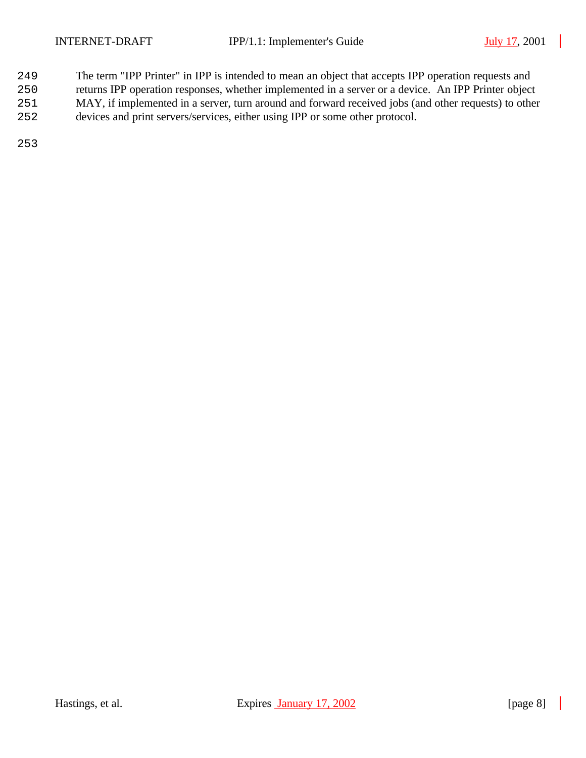- The term "IPP Printer" in IPP is intended to mean an object that accepts IPP operation requests and
- returns IPP operation responses, whether implemented in a server or a device. An IPP Printer object
- MAY, if implemented in a server, turn around and forward received jobs (and other requests) to other
- devices and print servers/services, either using IPP or some other protocol.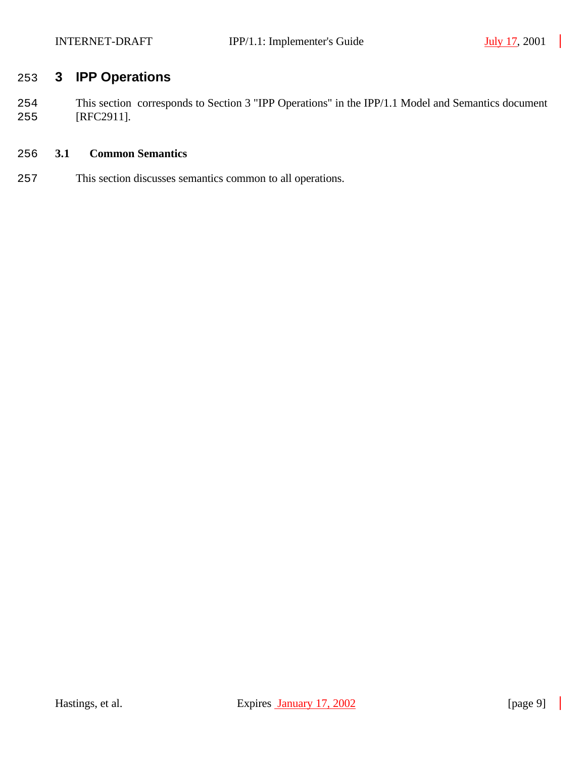# **3 IPP Operations**

 This section corresponds to Section 3 "IPP Operations" in the IPP/1.1 Model and Semantics document [RFC2911].

### **3.1 Common Semantics**

This section discusses semantics common to all operations.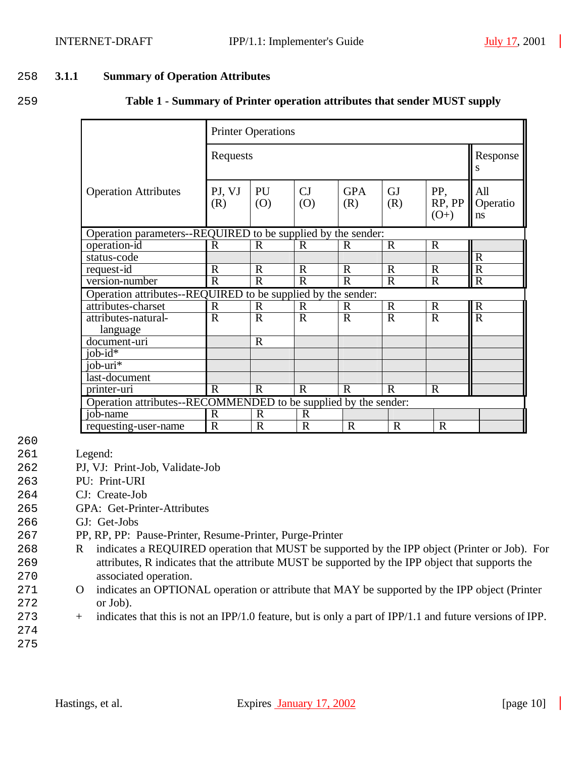#### 258 **3.1.1 Summary of Operation Attributes**

259 **Table 1 - Summary of Printer operation attributes that sender MUST supply**

|                                                                 |                                                              | <b>Printer Operations</b> |                |                   |                  |                         |                       |
|-----------------------------------------------------------------|--------------------------------------------------------------|---------------------------|----------------|-------------------|------------------|-------------------------|-----------------------|
|                                                                 | Requests                                                     |                           |                |                   |                  |                         | Response<br>S         |
| <b>Operation Attributes</b>                                     | PJ, VJ<br>(R)                                                | PU<br>(0)                 | CJ<br>(O)      | <b>GPA</b><br>(R) | <b>GJ</b><br>(R) | PP,<br>RP, PP<br>$(O+)$ | All<br>Operatio<br>ns |
|                                                                 | Operation parameters--REQUIRED to be supplied by the sender: |                           |                |                   |                  |                         |                       |
| operation-id                                                    | $\mathbf R$                                                  | $\mathbf R$               | $\mathbb{R}$   | $\mathbf R$       | $\mathbf R$      | $\mathbf R$             |                       |
| status-code                                                     |                                                              |                           |                |                   |                  |                         | $\mathbf R$           |
| request-id                                                      | $\mathbf R$                                                  | $\mathbf R$               | $\mathbf R$    | $\mathbf R$       | $\mathbf R$      | $\mathbf R$             | $\mathbf R$           |
| version-number                                                  | $\mathbf R$                                                  | $\overline{R}$            | $\mathbf R$    | $\mathbf R$       | $\mathbf R$      | $\mathbf R$             | $\mathbf R$           |
| Operation attributes--REQUIRED to be supplied by the sender:    |                                                              |                           |                |                   |                  |                         |                       |
| attributes-charset                                              | $\mathbf R$                                                  | $\mathbb{R}$              | $\mathbf R$    | $\mathbf R$       | $\mathbf R$      | $\mathbf R$             | $\mathbf R$           |
| attributes-natural-                                             | $\mathbf R$                                                  | $\mathbf R$               | $\mathbf R$    | $\mathbf R$       | $\mathbf R$      | $\mathbf R$             | $\overline{R}$        |
| language                                                        |                                                              |                           |                |                   |                  |                         |                       |
| document-uri                                                    |                                                              | $\mathbf R$               |                |                   |                  |                         |                       |
| job- $id^*$                                                     |                                                              |                           |                |                   |                  |                         |                       |
| job- $\overline{\text{uri*}}$                                   |                                                              |                           |                |                   |                  |                         |                       |
| last-document                                                   |                                                              |                           |                |                   |                  |                         |                       |
| printer-uri                                                     | $\overline{R}$                                               | $\overline{R}$            | $\overline{R}$ | $\mathbf{R}$      | $\overline{R}$   | $\mathbf R$             |                       |
| Operation attributes--RECOMMENDED to be supplied by the sender: |                                                              |                           |                |                   |                  |                         |                       |
| job-name                                                        | $\mathbf R$                                                  | $\mathbf R$               | $\mathbf R$    |                   |                  |                         |                       |
| requesting-user-name                                            | R                                                            | $\overline{\mathrm{R}}$   | $\mathbb{R}$   | $\mathbf R$       | $\mathbf R$      | $\mathbb{R}$            |                       |

- 260
- 261 Legend:
- 262 PJ, VJ: Print-Job, Validate-Job
- 263 PU: Print-URI
- 264 CJ: Create-Job
- 265 GPA: Get-Printer-Attributes
- 266 GJ: Get-Jobs
- 267 PP, RP, PP: Pause-Printer, Resume-Printer, Purge-Printer
- 268 R indicates a REQUIRED operation that MUST be supported by the IPP object (Printer or Job). For 269 attributes, R indicates that the attribute MUST be supported by the IPP object that supports the 270 associated operation.
- 271 O indicates an OPTIONAL operation or attribute that MAY be supported by the IPP object (Printer 272 or Job).
- 273 + indicates that this is not an IPP/1.0 feature, but is only a part of IPP/1.1 and future versions of IPP.
- 274 275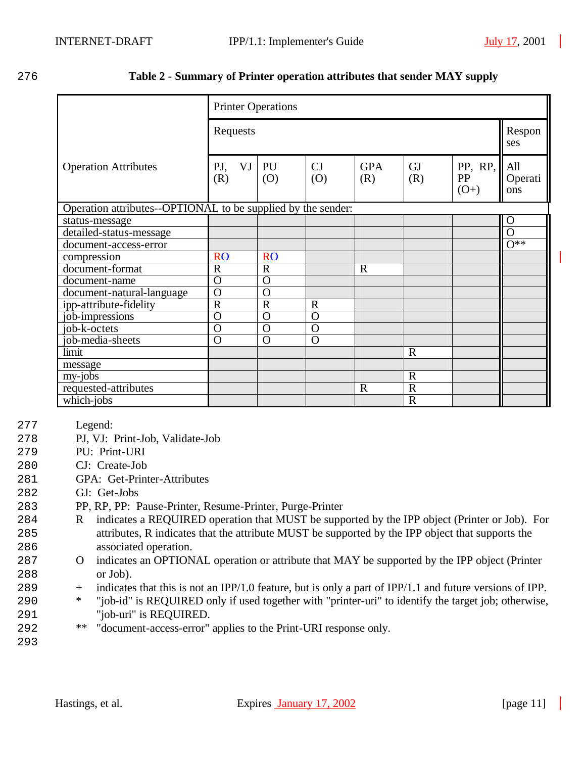#### 276 **Table 2 - Summary of Printer operation attributes that sender MAY supply**

|                                                              | <b>Printer Operations</b> |                |                |                   |                  |                         |                       |
|--------------------------------------------------------------|---------------------------|----------------|----------------|-------------------|------------------|-------------------------|-----------------------|
|                                                              | Requests                  |                |                |                   |                  |                         | Respon<br>ses         |
| <b>Operation Attributes</b>                                  | VJ<br>PJ,<br>(R)          | PU<br>(0)      | CJ<br>(0)      | <b>GPA</b><br>(R) | <b>GJ</b><br>(R) | PP, RP,<br>PP<br>$(O+)$ | All<br>Operati<br>ons |
| Operation attributes--OPTIONAL to be supplied by the sender: |                           |                |                |                   |                  |                         |                       |
| status-message                                               |                           |                |                |                   |                  |                         | $\Omega$              |
| detailed-status-message                                      |                           |                |                |                   |                  |                         | $\overline{O}$        |
| document-access-error                                        |                           |                |                |                   |                  |                         | $\overline{O^{**}}$   |
| compression                                                  | $R\Theta$                 | $R\Theta$      |                |                   |                  |                         |                       |
| document-format                                              | $\mathbf R$               | $\overline{R}$ |                | $\mathbf R$       |                  |                         |                       |
| document-name                                                | $\mathbf O$               | $\Omega$       |                |                   |                  |                         |                       |
| document-natural-language                                    | $\Omega$                  | $\Omega$       |                |                   |                  |                         |                       |
| ipp-attribute-fidelity                                       | $\overline{R}$            | $\overline{R}$ | $\overline{R}$ |                   |                  |                         |                       |
| job-impressions                                              | $\mathbf O$               | $\Omega$       | $\overline{O}$ |                   |                  |                         |                       |
| $\overline{job}$ -k-octets                                   | $\overline{O}$            | $\overline{O}$ | $\overline{O}$ |                   |                  |                         |                       |
| job-media-sheets                                             | $\mathbf O$               | $\Omega$       | $\overline{O}$ |                   |                  |                         |                       |
| limit                                                        |                           |                |                |                   | $\mathbf R$      |                         |                       |
| message                                                      |                           |                |                |                   |                  |                         |                       |
| my-jobs                                                      |                           |                |                |                   | $\mathbf R$      |                         |                       |
| requested-attributes                                         |                           |                |                | $\mathbf R$       | $\overline{R}$   |                         |                       |
| $\overline{\text{which-}j}$                                  |                           |                |                |                   | $\overline{R}$   |                         |                       |

#### 277 Legend:

- 278 PJ, VJ: Print-Job, Validate-Job
- 279 PU: Print-URI
- 280 CJ: Create-Job
- 281 GPA: Get-Printer-Attributes
- 282 GJ: Get-Jobs
- 283 PP, RP, PP: Pause-Printer, Resume-Printer, Purge-Printer
- 284 R indicates a REQUIRED operation that MUST be supported by the IPP object (Printer or Job). For 285 attributes, R indicates that the attribute MUST be supported by the IPP object that supports the 286 associated operation.
- 287 O indicates an OPTIONAL operation or attribute that MAY be supported by the IPP object (Printer 288 or Job).
- 289 + indicates that this is not an IPP/1.0 feature, but is only a part of IPP/1.1 and future versions of IPP.
- 290 \* "job-id" is REQUIRED only if used together with "printer-uri" to identify the target job; otherwise, 291 "job-uri" is REQUIRED.
- 292 \*\* "document-access-error" applies to the Print-URI response only.
- 293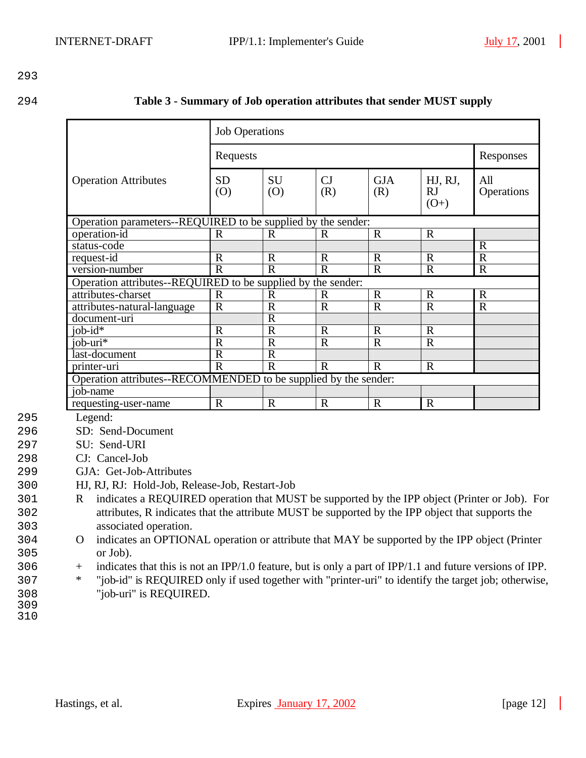| Table 3 - Summary of Job operation attributes that sender MUST supply<br>294 |  |
|------------------------------------------------------------------------------|--|
|------------------------------------------------------------------------------|--|

|                                                                 | <b>Job Operations</b> |                |              |                   |                                |                   |  |
|-----------------------------------------------------------------|-----------------------|----------------|--------------|-------------------|--------------------------------|-------------------|--|
|                                                                 | Requests              |                |              |                   |                                | Responses         |  |
| <b>Operation Attributes</b>                                     | <b>SD</b><br>(0)      | SU<br>(0)      | CJ<br>(R)    | <b>GJA</b><br>(R) | HJ, RJ,<br><b>RJ</b><br>$(O+)$ | All<br>Operations |  |
| Operation parameters--REQUIRED to be supplied by the sender:    |                       |                |              |                   |                                |                   |  |
| operation-id                                                    | R                     | R              | R            | $\mathbf R$       | $\mathbf R$                    |                   |  |
| status-code                                                     |                       |                |              |                   |                                | $\mathbf R$       |  |
| request-id                                                      | $\mathbf R$           | $\mathbf R$    | $\mathbf R$  | $\mathbf R$       | $\mathbf R$                    | $\overline{R}$    |  |
| version-number                                                  | $\mathbf R$           | $\overline{R}$ | $\mathbf{R}$ | $\mathbf R$       | $\mathbf R$                    | $\mathbf R$       |  |
| Operation attributes--REQUIRED to be supplied by the sender:    |                       |                |              |                   |                                |                   |  |
| attributes-charset                                              | $\mathbf R$           | $\mathbf R$    | R            | $\mathbf R$       | $\mathbf R$                    | $\mathbf R$       |  |
| attributes-natural-language                                     | $\mathbf R$           | $\mathbf R$    | $\mathbf R$  | $\mathbf R$       | $\mathbf R$                    | $\mathbf R$       |  |
| document-uri                                                    |                       | $\overline{R}$ |              |                   |                                |                   |  |
| $i$ ob- $id*$                                                   | $\mathbf R$           | $\mathbf R$    | $\mathbf R$  | $\mathbf R$       | $\mathbf R$                    |                   |  |
| $io\overline{b$ -uri <sup>*</sup>                               | $\mathbf R$           | $\overline{R}$ | $\mathbf R$  | $\mathbf R$       | $\mathbf R$                    |                   |  |
| last-document                                                   | $\mathbf R$           | $\mathbf R$    |              |                   |                                |                   |  |
| printer-uri                                                     | $\mathbf R$           | $\mathbf R$    | $\mathbf R$  | $\mathbf R$       | $\mathbf R$                    |                   |  |
| Operation attributes--RECOMMENDED to be supplied by the sender: |                       |                |              |                   |                                |                   |  |
| job-name                                                        |                       |                |              |                   |                                |                   |  |
| requesting-user-name                                            | $\mathbf R$           | $\mathbf R$    | $\mathbf R$  | $\mathbf R$       | $\mathbf R$                    |                   |  |

295 Legend:

296 SD: Send-Document

297 SU: Send-URI

298 CJ: Cancel-Job

- 299 GJA: Get-Job-Attributes
- 300 HJ, RJ, RJ: Hold-Job, Release-Job, Restart-Job

301 R indicates a REQUIRED operation that MUST be supported by the IPP object (Printer or Job). For 302 attributes, R indicates that the attribute MUST be supported by the IPP object that supports the 303 associated operation.

- 304 O indicates an OPTIONAL operation or attribute that MAY be supported by the IPP object (Printer 305 or Job).
- 306 + indicates that this is not an IPP/1.0 feature, but is only a part of IPP/1.1 and future versions of IPP.
- 307 \* "job-id" is REQUIRED only if used together with "printer-uri" to identify the target job; otherwise, 308 "job-uri" is REQUIRED.
- 309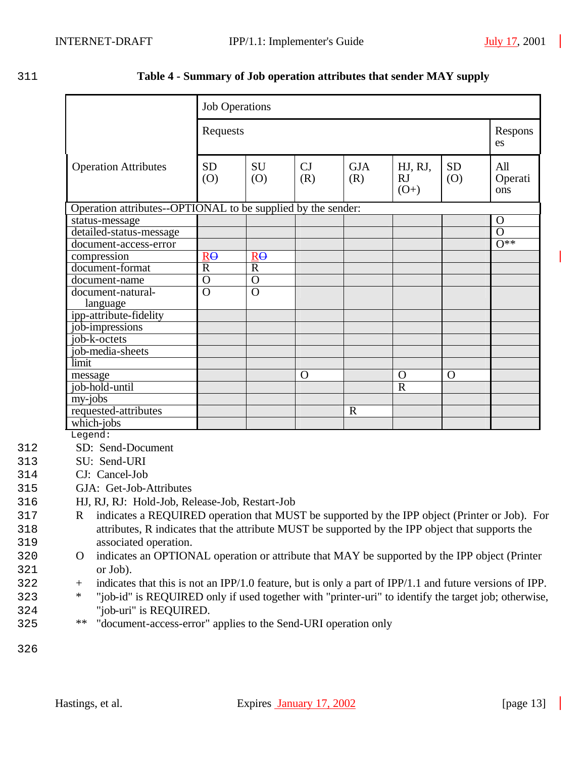| ۰      | ۰, |  |
|--------|----|--|
| v<br>× |    |  |

#### 311 **Table 4 - Summary of Job operation attributes that sender MAY supply**

|                             | <b>Job Operations</b>                                        |                  |           |                   |                         |                  |                       |
|-----------------------------|--------------------------------------------------------------|------------------|-----------|-------------------|-------------------------|------------------|-----------------------|
|                             | Requests                                                     |                  |           |                   |                         |                  | Respons<br>es         |
| <b>Operation Attributes</b> | <b>SD</b><br>(0)                                             | <b>SU</b><br>(O) | CJ<br>(R) | <b>GJA</b><br>(R) | HJ, RJ,<br>RJ<br>$(O+)$ | <b>SD</b><br>(0) | All<br>Operati<br>ons |
|                             | Operation attributes--OPTIONAL to be supplied by the sender: |                  |           |                   |                         |                  |                       |
| status-message              |                                                              |                  |           |                   |                         |                  | $\mathbf O$           |
| detailed-status-message     |                                                              |                  |           |                   |                         |                  | $\overline{O}$        |
| document-access-error       |                                                              |                  |           |                   |                         |                  | $0**$                 |
| compression                 | $R\Theta$                                                    | $R\Theta$        |           |                   |                         |                  |                       |
| document-format             | $\overline{R}$                                               | $\overline{R}$   |           |                   |                         |                  |                       |
| document-name               | $\overline{O}$                                               | $\Omega$         |           |                   |                         |                  |                       |
| document-natural-           | $\overline{O}$                                               | $\Omega$         |           |                   |                         |                  |                       |
| language                    |                                                              |                  |           |                   |                         |                  |                       |
| ipp-attribute-fidelity      |                                                              |                  |           |                   |                         |                  |                       |
| job-impressions             |                                                              |                  |           |                   |                         |                  |                       |
| job-k-octets                |                                                              |                  |           |                   |                         |                  |                       |
| job-media-sheets            |                                                              |                  |           |                   |                         |                  |                       |
| limit                       |                                                              |                  |           |                   |                         |                  |                       |
| message                     |                                                              |                  | O         |                   | $\Omega$                | $\mathbf O$      |                       |
| job-hold-until              |                                                              |                  |           |                   | $\overline{R}$          |                  |                       |
| my-jobs                     |                                                              |                  |           |                   |                         |                  |                       |
| requested-attributes        |                                                              |                  |           | $\mathbf R$       |                         |                  |                       |
| which-jobs                  |                                                              |                  |           |                   |                         |                  |                       |

Legend:

- 312 SD: Send-Document
- 313 SU: Send-URI
- 314 CJ: Cancel-Job
- 315 GJA: Get-Job-Attributes
- 316 HJ, RJ, RJ: Hold-Job, Release-Job, Restart-Job
- 317 R indicates a REQUIRED operation that MUST be supported by the IPP object (Printer or Job). For 318 attributes, R indicates that the attribute MUST be supported by the IPP object that supports the 319 associated operation.
- 320 O indicates an OPTIONAL operation or attribute that MAY be supported by the IPP object (Printer 321 or Job).
- 322 + indicates that this is not an IPP/1.0 feature, but is only a part of IPP/1.1 and future versions of IPP.
- 323 \* "job-id" is REQUIRED only if used together with "printer-uri" to identify the target job; otherwise, 324 "job-uri" is REQUIRED.
- 325 \*\* "document-access-error" applies to the Send-URI operation only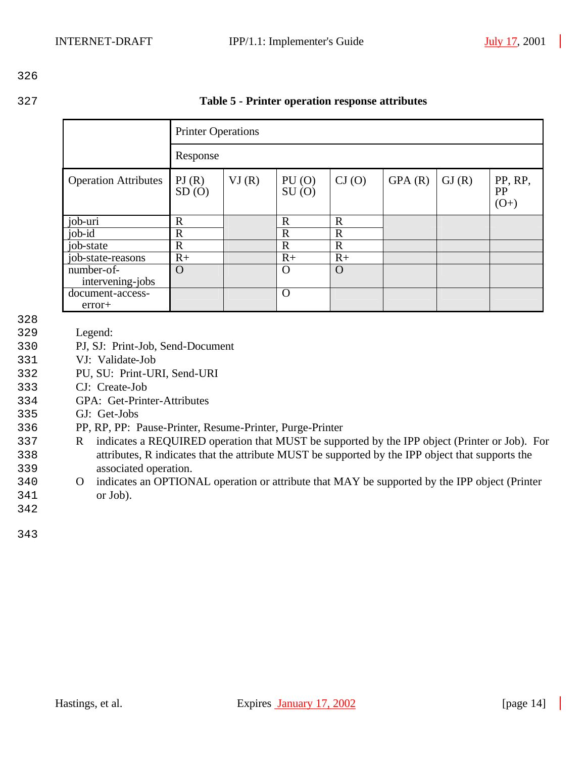| v<br>× |  |
|--------|--|

| Table 5 - Printer operation response attributes |
|-------------------------------------------------|

|                                | <b>Printer Operations</b> |       |                |             |        |       |                                |
|--------------------------------|---------------------------|-------|----------------|-------------|--------|-------|--------------------------------|
|                                | Response                  |       |                |             |        |       |                                |
| <b>Operation Attributes</b>    | PI(R)<br>SD(0)            | VI(R) | PU(0)<br>SU(0) | CI(0)       | GPA(R) | GI(R) | PP, RP,<br><b>PP</b><br>$(O+)$ |
| job-uri                        | $\mathbf R$               |       | $\mathbf R$    | $\mathbf R$ |        |       |                                |
| $job$ - $id$                   | $\mathbf R$               |       | $\mathbf R$    | $\mathbf R$ |        |       |                                |
| job-state                      | $\mathbf R$               |       | $\mathbf R$    | $\mathbf R$ |        |       |                                |
| job-state-reasons              | $R+$                      |       | $R+$           | $R+$        |        |       |                                |
| number-of-<br>intervening-jobs | $\Omega$                  |       | O              | $\Omega$    |        |       |                                |
| document-access-<br>$error+$   |                           |       | $\mathbf O$    |             |        |       |                                |

- 328
- 329 Legend:
- 330 PJ, SJ: Print-Job, Send-Document
- 331 VJ: Validate-Job
- 332 PU, SU: Print-URI, Send-URI
- 333 CJ: Create-Job
- 334 GPA: Get-Printer-Attributes
- 335 GJ: Get-Jobs
- 336 PP, RP, PP: Pause-Printer, Resume-Printer, Purge-Printer
- 337 R indicates a REQUIRED operation that MUST be supported by the IPP object (Printer or Job). For 338 attributes, R indicates that the attribute MUST be supported by the IPP object that supports the 339 associated operation.
- 340 O indicates an OPTIONAL operation or attribute that MAY be supported by the IPP object (Printer 341 or Job).
- 342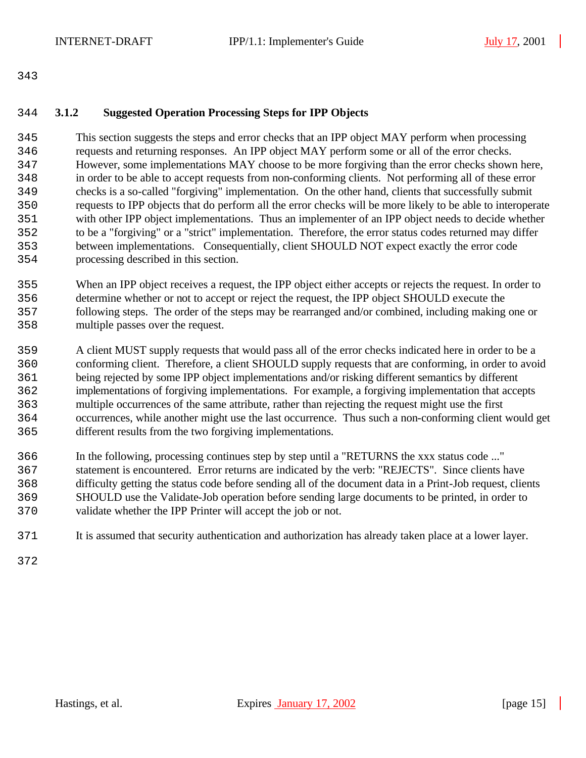#### **3.1.2 Suggested Operation Processing Steps for IPP Objects**

 This section suggests the steps and error checks that an IPP object MAY perform when processing requests and returning responses. An IPP object MAY perform some or all of the error checks. However, some implementations MAY choose to be more forgiving than the error checks shown here, in order to be able to accept requests from non-conforming clients. Not performing all of these error checks is a so-called "forgiving" implementation. On the other hand, clients that successfully submit requests to IPP objects that do perform all the error checks will be more likely to be able to interoperate with other IPP object implementations. Thus an implementer of an IPP object needs to decide whether to be a "forgiving" or a "strict" implementation. Therefore, the error status codes returned may differ between implementations. Consequentially, client SHOULD NOT expect exactly the error code processing described in this section.

 When an IPP object receives a request, the IPP object either accepts or rejects the request. In order to determine whether or not to accept or reject the request, the IPP object SHOULD execute the following steps. The order of the steps may be rearranged and/or combined, including making one or multiple passes over the request.

 A client MUST supply requests that would pass all of the error checks indicated here in order to be a conforming client. Therefore, a client SHOULD supply requests that are conforming, in order to avoid being rejected by some IPP object implementations and/or risking different semantics by different implementations of forgiving implementations. For example, a forgiving implementation that accepts multiple occurrences of the same attribute, rather than rejecting the request might use the first occurrences, while another might use the last occurrence. Thus such a non-conforming client would get different results from the two forgiving implementations.

 In the following, processing continues step by step until a "RETURNS the xxx status code ..." statement is encountered. Error returns are indicated by the verb: "REJECTS". Since clients have difficulty getting the status code before sending all of the document data in a Print-Job request, clients SHOULD use the Validate-Job operation before sending large documents to be printed, in order to validate whether the IPP Printer will accept the job or not.

It is assumed that security authentication and authorization has already taken place at a lower layer.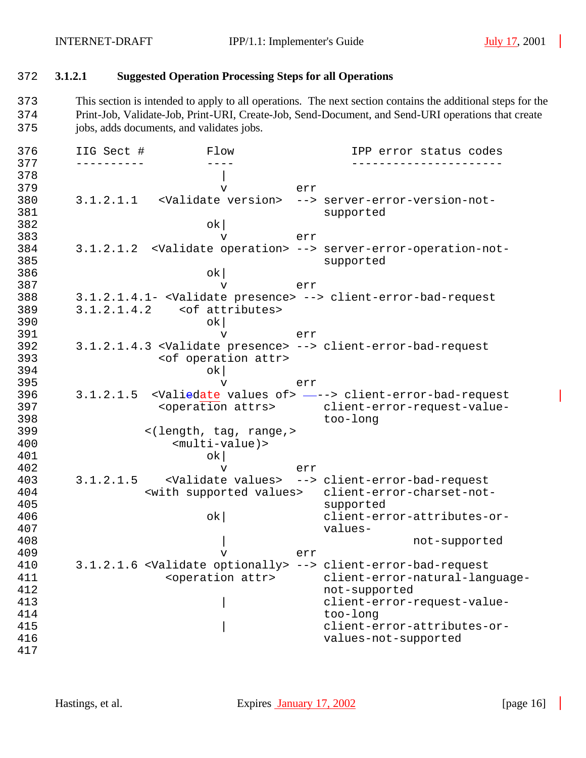#### 372 **3.1.2.1 Suggested Operation Processing Steps for all Operations**

373 This section is intended to apply to all operations. The next section contains the additional steps for the 374 Print-Job, Validate-Job, Print-URI, Create-Job, Send-Document, and Send-URI operations that create 375 jobs, adds documents, and validates jobs.

376 IIG Sect # Flow IPP error status codes 377 ---------- ---- ----------------------  $378$ 379 v err 380 3.1.2.1.1 <Validate version> --> server-error-version-not-381 supported 382 ok| 383 v err 384 3.1.2.1.2 <Validate operation> --> server-error-operation-not-385 supported  $386$  ok 387 v err 388 3.1.2.1.4.1- <Validate presence> --> client-error-bad-request 389 3.1.2.1.4.2 < of attributes><br>390 bk  $390$  ok 391 v err 392 3.1.2.1.4.3 <Validate presence> --> client-error-bad-request 393 <of operation attr>  $394$  ok 395 v err 396 3.1.2.1.5 <Valiedate values of> ---> client-error-bad-request 397 <operation attrs> client-error-request-value-398 too-long 399 <(length, tag, range,>
<(length, tag, range,>
<(length, tag, range,>
<(length, tag, range,>
{\bmd{>  $$multi-value$ ) >$ 401 ok| 402 v err 403 3.1.2.1.5 <Validate values> --> client-error-bad-request 404 <with supported values> client-error-charset-notsupported 406 ok| client-error-attributes-or-407 values-408 | not-supported 409 v err 410 3.1.2.1.6 <Validate optionally> --> client-error-bad-request 411 <operation attr> client-error-natural-language-412 not-supported 413  $\vert$  client-error-request-value-414 too-long | client-error-attributes-or-416 values-not-supported 417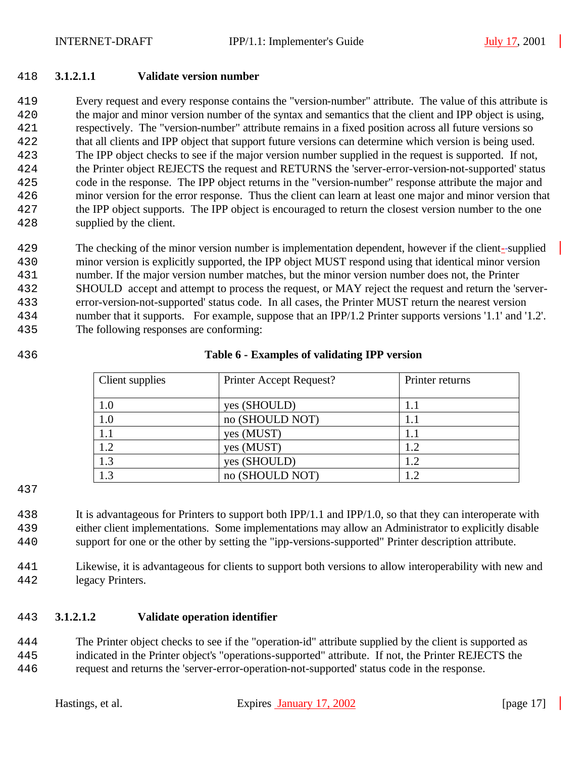#### **3.1.2.1.1 Validate version number**

 Every request and every response contains the "version-number" attribute. The value of this attribute is the major and minor version number of the syntax and semantics that the client and IPP object is using, respectively. The "version-number" attribute remains in a fixed position across all future versions so that all clients and IPP object that support future versions can determine which version is being used. The IPP object checks to see if the major version number supplied in the request is supported. If not, the Printer object REJECTS the request and RETURNS the 'server-error-version-not-supported' status code in the response. The IPP object returns in the "version-number" response attribute the major and minor version for the error response. Thus the client can learn at least one major and minor version that the IPP object supports. The IPP object is encouraged to return the closest version number to the one supplied by the client.

 The checking of the minor version number is implementation dependent, however if the client- supplied minor version is explicitly supported, the IPP object MUST respond using that identical minor version number. If the major version number matches, but the minor version number does not, the Printer SHOULD accept and attempt to process the request, or MAY reject the request and return the 'server- error-version-not-supported' status code. In all cases, the Printer MUST return the nearest version number that it supports. For example, suppose that an IPP/1.2 Printer supports versions '1.1' and '1.2'. The following responses are conforming:

#### **Table 6 - Examples of validating IPP version**

| Client supplies | Printer Accept Request? | Printer returns |  |
|-----------------|-------------------------|-----------------|--|
| 1.0             | yes (SHOULD)            |                 |  |
| 1.0             | no (SHOULD NOT)         |                 |  |
| 1.1             | yes (MUST)              | 1.1             |  |
| 1.2             | yes (MUST)              | 1.2             |  |
| 1.3             | yes (SHOULD)            | 1.2             |  |
|                 | no (SHOULD NOT)         |                 |  |

 It is advantageous for Printers to support both IPP/1.1 and IPP/1.0, so that they can interoperate with either client implementations. Some implementations may allow an Administrator to explicitly disable support for one or the other by setting the "ipp-versions-supported" Printer description attribute.

 Likewise, it is advantageous for clients to support both versions to allow interoperability with new and legacy Printers.

### **3.1.2.1.2 Validate operation identifier**

 The Printer object checks to see if the "operation-id" attribute supplied by the client is supported as indicated in the Printer object's "operations-supported" attribute. If not, the Printer REJECTS the request and returns the 'server-error-operation-not-supported' status code in the response.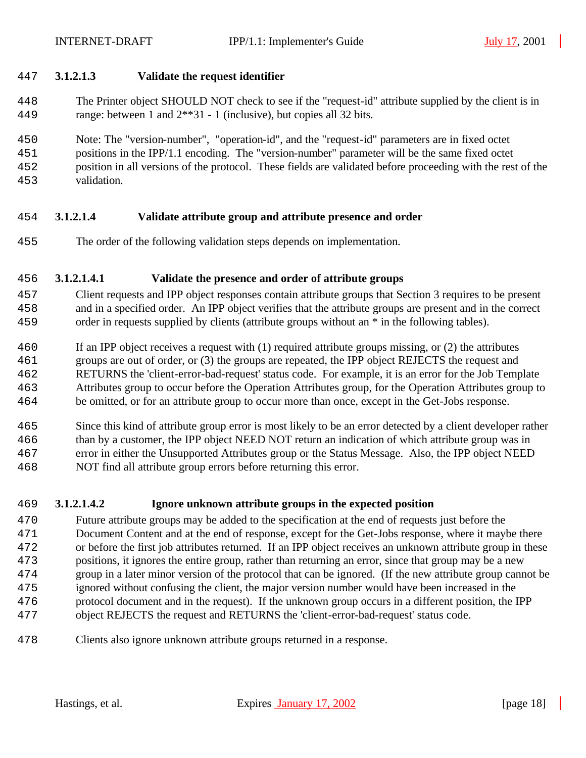#### **3.1.2.1.3 Validate the request identifier**

 The Printer object SHOULD NOT check to see if the "request-id" attribute supplied by the client is in range: between 1 and 2\*\*31 - 1 (inclusive), but copies all 32 bits.

Note: The "version-number", "operation-id", and the "request-id" parameters are in fixed octet

- positions in the IPP/1.1 encoding. The "version-number" parameter will be the same fixed octet
- position in all versions of the protocol. These fields are validated before proceeding with the rest of the validation.

# **3.1.2.1.4 Validate attribute group and attribute presence and order**

The order of the following validation steps depends on implementation.

# **3.1.2.1.4.1 Validate the presence and order of attribute groups**

- Client requests and IPP object responses contain attribute groups that Section 3 requires to be present and in a specified order. An IPP object verifies that the attribute groups are present and in the correct order in requests supplied by clients (attribute groups without an \* in the following tables).
- If an IPP object receives a request with (1) required attribute groups missing, or (2) the attributes
- groups are out of order, or (3) the groups are repeated, the IPP object REJECTS the request and
- RETURNS the 'client-error-bad-request' status code. For example, it is an error for the Job Template
- Attributes group to occur before the Operation Attributes group, for the Operation Attributes group to
- be omitted, or for an attribute group to occur more than once, except in the Get-Jobs response.
- Since this kind of attribute group error is most likely to be an error detected by a client developer rather than by a customer, the IPP object NEED NOT return an indication of which attribute group was in error in either the Unsupported Attributes group or the Status Message. Also, the IPP object NEED NOT find all attribute group errors before returning this error.

# **3.1.2.1.4.2 Ignore unknown attribute groups in the expected position**

- Future attribute groups may be added to the specification at the end of requests just before the Document Content and at the end of response, except for the Get-Jobs response, where it maybe there or before the first job attributes returned. If an IPP object receives an unknown attribute group in these positions, it ignores the entire group, rather than returning an error, since that group may be a new group in a later minor version of the protocol that can be ignored. (If the new attribute group cannot be ignored without confusing the client, the major version number would have been increased in the protocol document and in the request). If the unknown group occurs in a different position, the IPP object REJECTS the request and RETURNS the 'client-error-bad-request' status code.
- Clients also ignore unknown attribute groups returned in a response.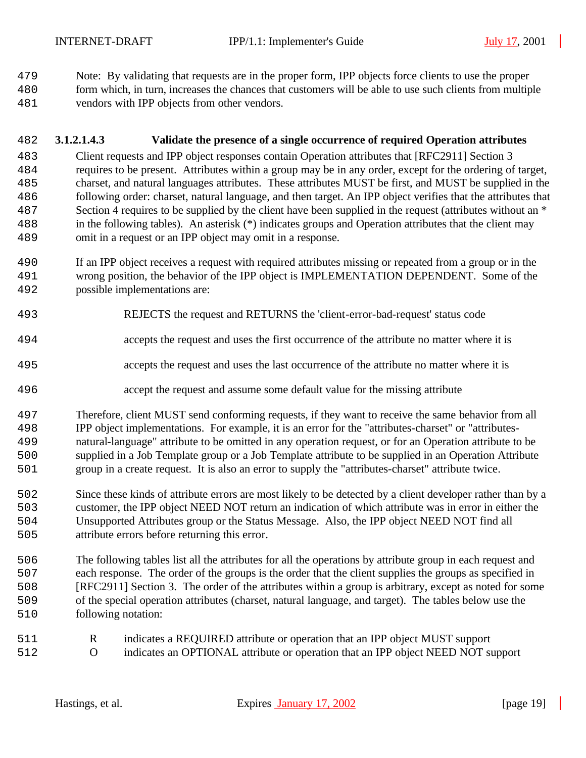Note: By validating that requests are in the proper form, IPP objects force clients to use the proper

- form which, in turn, increases the chances that customers will be able to use such clients from multiple
- vendors with IPP objects from other vendors.

#### **3.1.2.1.4.3 Validate the presence of a single occurrence of required Operation attributes**

 Client requests and IPP object responses contain Operation attributes that [RFC2911] Section 3 requires to be present. Attributes within a group may be in any order, except for the ordering of target, charset, and natural languages attributes. These attributes MUST be first, and MUST be supplied in the following order: charset, natural language, and then target. An IPP object verifies that the attributes that Section 4 requires to be supplied by the client have been supplied in the request (attributes without an \* in the following tables). An asterisk (\*) indicates groups and Operation attributes that the client may omit in a request or an IPP object may omit in a response.

- If an IPP object receives a request with required attributes missing or repeated from a group or in the wrong position, the behavior of the IPP object is IMPLEMENTATION DEPENDENT. Some of the possible implementations are:
- REJECTS the request and RETURNS the 'client-error-bad-request' status code
- accepts the request and uses the first occurrence of the attribute no matter where it is
- accepts the request and uses the last occurrence of the attribute no matter where it is
- accept the request and assume some default value for the missing attribute

 Therefore, client MUST send conforming requests, if they want to receive the same behavior from all IPP object implementations. For example, it is an error for the "attributes-charset" or "attributes- natural-language" attribute to be omitted in any operation request, or for an Operation attribute to be supplied in a Job Template group or a Job Template attribute to be supplied in an Operation Attribute group in a create request. It is also an error to supply the "attributes-charset" attribute twice.

- Since these kinds of attribute errors are most likely to be detected by a client developer rather than by a customer, the IPP object NEED NOT return an indication of which attribute was in error in either the Unsupported Attributes group or the Status Message. Also, the IPP object NEED NOT find all attribute errors before returning this error.
- The following tables list all the attributes for all the operations by attribute group in each request and each response. The order of the groups is the order that the client supplies the groups as specified in [RFC2911] Section 3. The order of the attributes within a group is arbitrary, except as noted for some of the special operation attributes (charset, natural language, and target). The tables below use the following notation:
- R indicates a REQUIRED attribute or operation that an IPP object MUST support
- O indicates an OPTIONAL attribute or operation that an IPP object NEED NOT support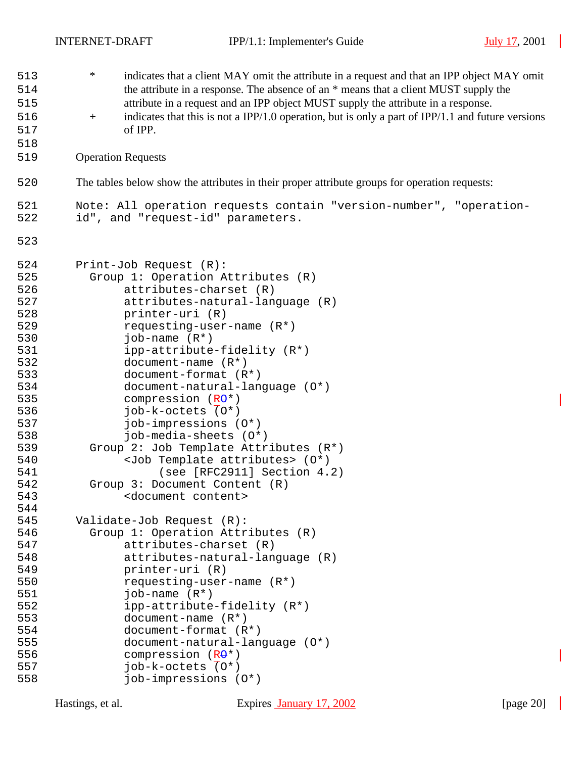$\overline{\phantom{a}}$ 

 $\overline{\phantom{a}}$ 

| 513<br>514 | $\ast$ | indicates that a client MAY omit the attribute in a request and that an IPP object MAY omit<br>the attribute in a response. The absence of an * means that a client MUST supply the |  |  |  |  |  |  |  |
|------------|--------|-------------------------------------------------------------------------------------------------------------------------------------------------------------------------------------|--|--|--|--|--|--|--|
| 515        |        | attribute in a request and an IPP object MUST supply the attribute in a response.                                                                                                   |  |  |  |  |  |  |  |
| 516        | $^{+}$ | indicates that this is not a IPP/1.0 operation, but is only a part of IPP/1.1 and future versions                                                                                   |  |  |  |  |  |  |  |
| 517        |        | of IPP.                                                                                                                                                                             |  |  |  |  |  |  |  |
| 518        |        |                                                                                                                                                                                     |  |  |  |  |  |  |  |
| 519        |        | <b>Operation Requests</b>                                                                                                                                                           |  |  |  |  |  |  |  |
| 520        |        | The tables below show the attributes in their proper attribute groups for operation requests:                                                                                       |  |  |  |  |  |  |  |
|            |        |                                                                                                                                                                                     |  |  |  |  |  |  |  |
| 521<br>522 |        | Note: All operation requests contain "version-number", "operation-<br>id", and "request-id" parameters.                                                                             |  |  |  |  |  |  |  |
| 523        |        |                                                                                                                                                                                     |  |  |  |  |  |  |  |
| 524        |        | Print-Job Request (R):                                                                                                                                                              |  |  |  |  |  |  |  |
| 525        |        | Group 1: Operation Attributes (R)                                                                                                                                                   |  |  |  |  |  |  |  |
| 526        |        | attributes-charset (R)                                                                                                                                                              |  |  |  |  |  |  |  |
| 527        |        | attributes-natural-language (R)                                                                                                                                                     |  |  |  |  |  |  |  |
| 528        |        | printer-uri (R)                                                                                                                                                                     |  |  |  |  |  |  |  |
| 529        |        | requesting-user-name (R*)                                                                                                                                                           |  |  |  |  |  |  |  |
| 530        |        | job-name $(R^*)$                                                                                                                                                                    |  |  |  |  |  |  |  |
| 531        |        | ipp-attribute-fidelity (R*)                                                                                                                                                         |  |  |  |  |  |  |  |
| 532        |        | document-name $(R*)$                                                                                                                                                                |  |  |  |  |  |  |  |
| 533        |        | document-format (R*)                                                                                                                                                                |  |  |  |  |  |  |  |
| 534        |        | document-natural-language (0*)                                                                                                                                                      |  |  |  |  |  |  |  |
| 535        |        | compression $(R\Theta^*)$                                                                                                                                                           |  |  |  |  |  |  |  |
| 536        |        | job-k-octets (0*)                                                                                                                                                                   |  |  |  |  |  |  |  |
| 537        |        | job-impressions (0*)                                                                                                                                                                |  |  |  |  |  |  |  |
| 538        |        | job-media-sheets (O*)                                                                                                                                                               |  |  |  |  |  |  |  |
| 539        |        | Group 2: Job Template Attributes (R*)                                                                                                                                               |  |  |  |  |  |  |  |
| 540        |        | <job attributes="" template=""> (0*)</job>                                                                                                                                          |  |  |  |  |  |  |  |
| 541        |        | (see [RFC2911] Section 4.2)                                                                                                                                                         |  |  |  |  |  |  |  |
| 542        |        | Group 3: Document Content (R)                                                                                                                                                       |  |  |  |  |  |  |  |
| 543        |        | <document content=""></document>                                                                                                                                                    |  |  |  |  |  |  |  |
| 544        |        |                                                                                                                                                                                     |  |  |  |  |  |  |  |
| 545        |        | Validate-Job Request (R):                                                                                                                                                           |  |  |  |  |  |  |  |
| 546        |        | Group 1: Operation Attributes (R)                                                                                                                                                   |  |  |  |  |  |  |  |
| 547        |        | attributes-charset (R)                                                                                                                                                              |  |  |  |  |  |  |  |
| 548        |        | attributes-natural-language (R)                                                                                                                                                     |  |  |  |  |  |  |  |
| 549        |        | printer-uri (R)                                                                                                                                                                     |  |  |  |  |  |  |  |
| 550        |        | requesting-user-name (R*)                                                                                                                                                           |  |  |  |  |  |  |  |
| 551        |        | job-name $(R^*)$                                                                                                                                                                    |  |  |  |  |  |  |  |
| 552        |        | ipp-attribute-fidelity (R*)                                                                                                                                                         |  |  |  |  |  |  |  |
| 553        |        | document-name $(R*)$                                                                                                                                                                |  |  |  |  |  |  |  |
| 554        |        | $document-format (R*)$                                                                                                                                                              |  |  |  |  |  |  |  |
| 555        |        | $document-natural-language (0*)$                                                                                                                                                    |  |  |  |  |  |  |  |
| 556        |        | compression $(R\Theta^*)$                                                                                                                                                           |  |  |  |  |  |  |  |
| 557        |        | $job-k-octets$ $(0*)$                                                                                                                                                               |  |  |  |  |  |  |  |
| 558        |        | job-impressions (0*)                                                                                                                                                                |  |  |  |  |  |  |  |
|            |        |                                                                                                                                                                                     |  |  |  |  |  |  |  |

I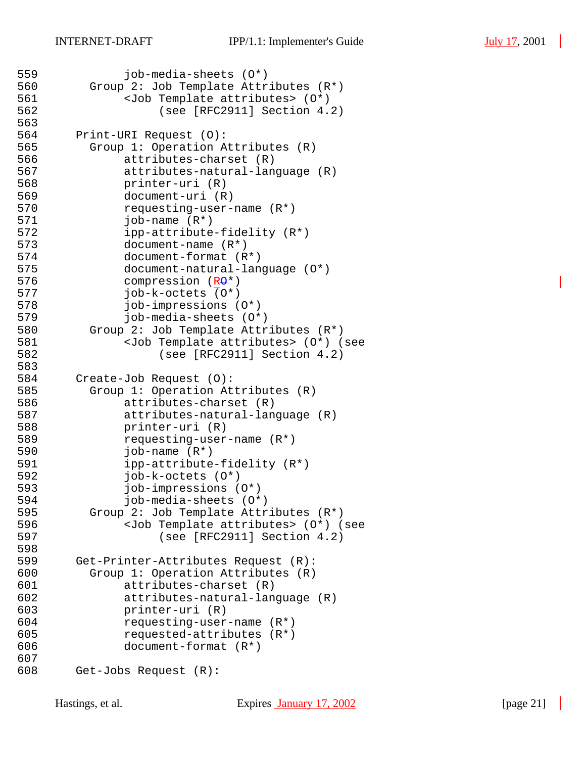```
559 job-media-sheets (O*)
560 Group 2: Job Template Attributes (R*)
561 <Job Template attributes> (0*)<br>562 (see [RFC2911] Section 4.
                 (see [RFC2911] Section 4.2)563
564 Print-URI Request (O):
565 Group 1: Operation Attributes (R)
566 attributes-charset (R)
567 attributes-natural-language (R)
568 printer-uri (R)
569 document-uri (R)
570 requesting-user-name (R*)
             job-name (R<sup>*</sup>)572 ipp-attribute-fidelity (R*)
573 document-name (R*)
574 document-format (R*)
             document-natural-language (0<sup>*</sup>)576 compression (R<del>O</del>*)
577 job-k-octets (O*)
578 job-impressions (O*)
579 job-media-sheets (O*)
580 Group 2: Job Template Attributes (R*)
581 <Job Template attributes> (O*) (see 
582 (see [RFC2911] Section 4.2)
583
584 Create-Job Request (O):
585 Group 1: Operation Attributes (R)
586 attributes-charset (R)
587 attributes-natural-language (R)
588 printer-uri (R)
589 requesting-user-name (R*)
590 job-name (R*)<br>591 ipp-attribute
             ipp-attribute-fieldelity (R<sup>*</sup>)592 job-k-octets (O*)
593 job-impressions (O*)
594 job-media-sheets (O*)
595 Group 2: Job Template Attributes (R*)
596 <Job Template attributes> (0*) (see<br>597 (see [RFC2911] Section 4.2)
                 (see [RFC2911] Section 4.2)598
599 Get-Printer-Attributes Request (R):
600 Group 1: Operation Attributes (R)
601 attributes-charset (R)
602 attributes-natural-language (R)
603 printer-uri (R)
604 requesting-user-name (R*)
605 requested-attributes (R*)
606 document-format (R*)
607
608 Get-Jobs Request (R):
```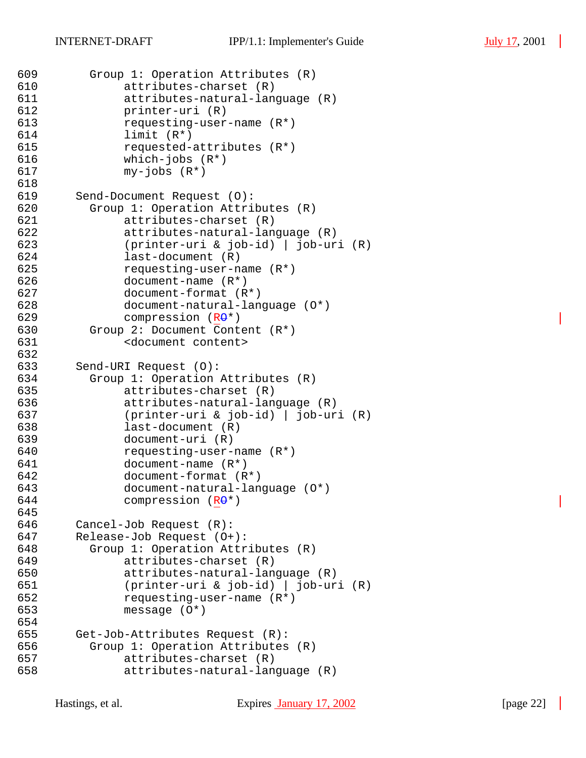```
609 Group 1: Operation Attributes (R)
610 attributes-charset (R)
611 attributes-natural-language (R)
612 printer-uri (R)
613 requesting-user-name (R*)
614 limit (R*)
615 requested-attributes (R*)
616 which-jobs (R*)
617 my-jobs (R*)
618
619 Send-Document Request (O):
620 Group 1: Operation Attributes (R)
            attributes-charset (R)
622 attributes-natural-language (R)
623 (printer-uri & job-id) | job-uri (R)
624 last-document (R)
625 requesting-user-name (R*)
626 document-name (R*)
627 document-format (R*)
628 document-natural-language (O*)
629 compression (R\Theta^*)630 Group 2: Document Content (R*)
631 <document content>
632
633 Send-URI Request (O):
634 Group 1: Operation Attributes (R)
635 attributes-charset (R)
636 attributes-natural-language (R)
637 (printer-uri & job-id) | job-uri (R)
638 last-document (R)
639 document-uri (R)
640 requesting-user-name (R*)<br>641 document-name (R*)
            document-name (R<sup>*</sup>)642 document-format (R*)
643 document-natural-language (O*)
644 compression (R\Theta^*)645
646 Cancel-Job Request (R):
647 Release-Job Request (O+):
648 Group 1: Operation Attributes (R)
649 attributes-charset (R)
650 attributes-natural-language (R)
651 (printer-uri & job-id) | job-uri (R)
652 requesting-user-name (R*)
653 message (O*)
654
655 Get-Job-Attributes Request (R):
656 Group 1: Operation Attributes (R)
657 attributes-charset (R)
658 attributes-natural-language (R)
```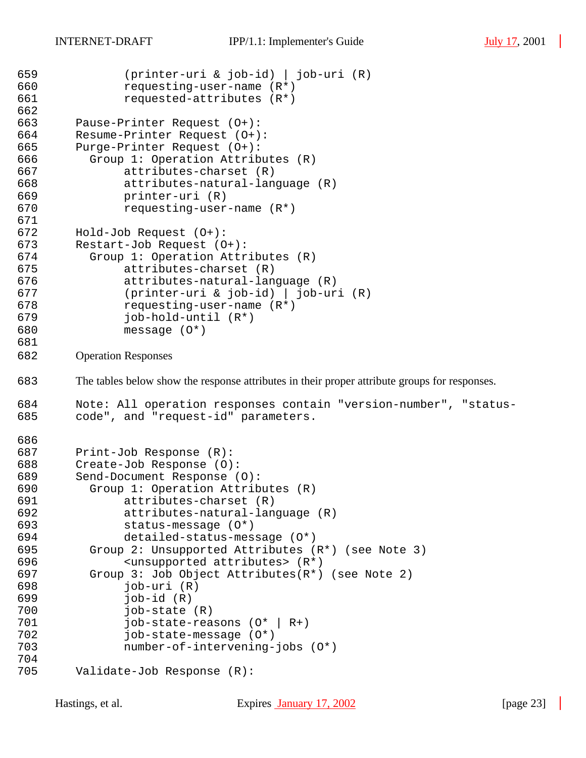```
659 (printer-uri & job-id) | job-uri (R)
660 requesting-user-name (R*)
661 requested-attributes (R*)
662
663 Pause-Printer Request (O+):
664 Resume-Printer Request (O+):
665 Purge-Printer Request (O+):
666 Group 1: Operation Attributes (R)
667 attributes-charset (R)
668 attributes-natural-language (R)
669 printer-uri (R)
670 requesting-user-name (R*)
671
672 Hold-Job Request (O+):
673 Restart-Job Request (O+):
674 Group 1: Operation Attributes (R)
675 attributes-charset (R)
676 attributes-natural-language (R)
677 (printer-uri & job-id) | job-uri (R)
678 requesting-user-name (R*)
679 job-hold-until (R*)
680 message (O*)
681
682 Operation Responses
683 The tables below show the response attributes in their proper attribute groups for responses.
684 Note: All operation responses contain "version-number", "status-
685 code", and "request-id" parameters.
686
687 Print-Job Response (R):
688 Create-Job Response (O):
689 Send-Document Response (O):
        Group 1: Operation Attributes (R)
691 attributes-charset (R)
692 attributes-natural-language (R)
693 status-message (O*)
694 detailed-status-message (O*)
695 Group 2: Unsupported Attributes (R*) (see Note 3)
696 <unsupported attributes> (R*)
697 Group 3: Job Object Attributes(R*) (see Note 2)
698 job-uri (R)
699 job-id (R)
700 job-state (R)
701 job-state-reasons (O* | R+)
702 job-state-message (O*)
703 number-of-intervening-jobs (O*)
704
705 Validate-Job Response (R):
```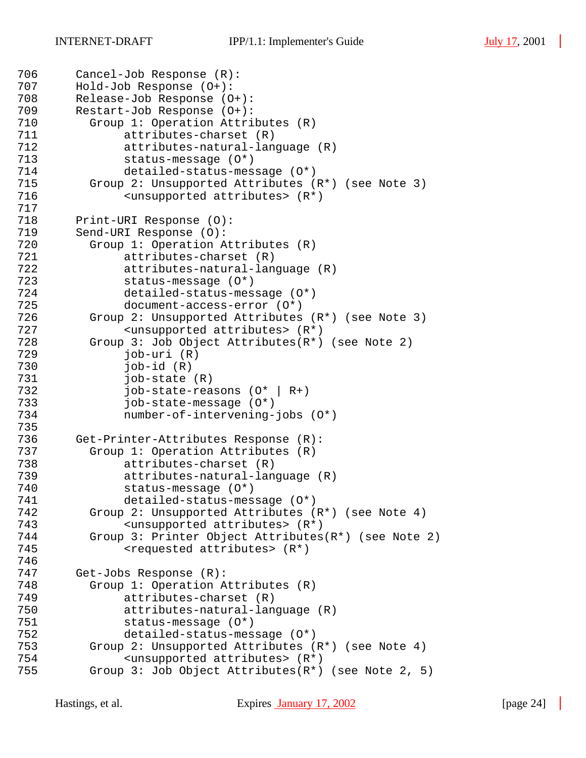```
706 Cancel-Job Response (R):
707 Hold-Job Response (O+):
708 Release-Job Response (O+):<br>709 Restart-Job Response (O+):
       Restart-Job Response (O+):
710 Group 1: Operation Attributes (R)
711 attributes-charset (R)<br>712 attributes-natural-lan
             attributes-natural-language (R)
713 status-message (O*)
714 detailed-status-message (O*)
715 Group 2: Unsupported Attributes (R^*) (see Note 3)<br>716 < unsupported attributes> (R^*)\langleunsupported attributes> (R^*)717
       Print-URI Response (O):
719 Send-URI Response (O):
720 Group 1: Operation Attributes (R)
721 attributes-charset (R)
722 attributes-natural-language (R)
723 status-message (O*)
724 detailed-status-message (O*)
725 document-access-error (O*)
726 Group 2: Unsupported Attributes (R*) (see Note 3)
727 <unsupported attributes> (R*)
728 Group 3: Job Object Attributes(R*) (see Note 2)
729 job-uri (R)
730 job-id (R)
731 job-state (R)
732 job-state-reasons (O* | R+)
733 job-state-message (O*)
734 number-of-intervening-jobs (O*)
735
736 Get-Printer-Attributes Response (R):
737 Group 1: Operation Attributes (R)<br>738 attributes-charset (R)
             attributes-charset (R)
739 attributes-natural-language (R)
740 status-message (O*)
741 detailed-status-message (O*)
742 Group 2: Unsupported Attributes (R*) (see Note 4)
743 <unsupported attributes> (R*)
         Group 3: Printer Object Attributes(R*) (see Note 2)
745 <requested attributes> (R*)
746
747 Get-Jobs Response (R):
748 Group 1: Operation Attributes (R)
749 attributes-charset (R)
750 attributes-natural-language (R)
751 status-message (O*)
752 detailed-status-message (O*)
753 Group 2: Unsupported Attributes (R*) (see Note 4)
754 <unsupported attributes> (R*)
755 Group 3: Job Object Attributes(R*) (see Note 2, 5)
```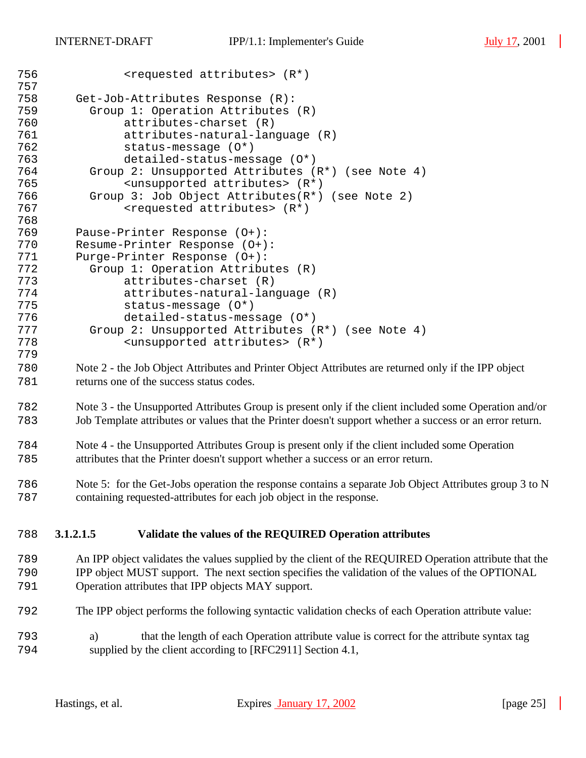| 756<br>757 | $<$ requested attributes> $(R*)$                                                                         |  |  |  |  |  |
|------------|----------------------------------------------------------------------------------------------------------|--|--|--|--|--|
| 758        | Get-Job-Attributes Response (R):                                                                         |  |  |  |  |  |
| 759        | Group 1: Operation Attributes (R)                                                                        |  |  |  |  |  |
| 760        | attributes-charset (R)                                                                                   |  |  |  |  |  |
| 761        | attributes-natural-language (R)                                                                          |  |  |  |  |  |
| 762        | $status$ -message $(0*)$                                                                                 |  |  |  |  |  |
| 763        | detailed-status-message (0*)                                                                             |  |  |  |  |  |
| 764        |                                                                                                          |  |  |  |  |  |
| 765        | Group 2: Unsupported Attributes (R*) (see Note 4)                                                        |  |  |  |  |  |
|            | <unsupported attributes=""> (R*)</unsupported>                                                           |  |  |  |  |  |
| 766        | Group 3: Job Object Attributes(R*) (see Note 2)                                                          |  |  |  |  |  |
| 767        | <requested attributes=""> (R*)</requested>                                                               |  |  |  |  |  |
| 768        |                                                                                                          |  |  |  |  |  |
| 769        | Pause-Printer Response (0+):                                                                             |  |  |  |  |  |
| 770        | Resume-Printer Response (O+):                                                                            |  |  |  |  |  |
| 771        | Purge-Printer Response (0+):                                                                             |  |  |  |  |  |
| 772        | Group 1: Operation Attributes (R)                                                                        |  |  |  |  |  |
| 773        | attributes-charset (R)                                                                                   |  |  |  |  |  |
| 774        | attributes-natural-language (R)                                                                          |  |  |  |  |  |
| 775        | $status$ -message $(0^*)$                                                                                |  |  |  |  |  |
| 776        | detailed-status-message (0*)                                                                             |  |  |  |  |  |
| 777        | Group 2: Unsupported Attributes (R*) (see Note 4)                                                        |  |  |  |  |  |
| 778        | <unsupported attributes=""> (R*)</unsupported>                                                           |  |  |  |  |  |
| 779        |                                                                                                          |  |  |  |  |  |
| 780        | Note 2 - the Job Object Attributes and Printer Object Attributes are returned only if the IPP object     |  |  |  |  |  |
| 781        | returns one of the success status codes.                                                                 |  |  |  |  |  |
|            |                                                                                                          |  |  |  |  |  |
| 782        | Note 3 - the Unsupported Attributes Group is present only if the client included some Operation and/or   |  |  |  |  |  |
| 783        | Job Template attributes or values that the Printer doesn't support whether a success or an error return. |  |  |  |  |  |
|            |                                                                                                          |  |  |  |  |  |
| 784        | Note 4 - the Unsupported Attributes Group is present only if the client included some Operation          |  |  |  |  |  |
| 785        | attributes that the Printer doesn't support whether a success or an error return.                        |  |  |  |  |  |
|            |                                                                                                          |  |  |  |  |  |
| 786        | Note 5: for the Get-Jobs operation the response contains a separate Job Object Attributes group 3 to N   |  |  |  |  |  |
| 787        | containing requested-attributes for each job object in the response.                                     |  |  |  |  |  |
|            |                                                                                                          |  |  |  |  |  |
|            |                                                                                                          |  |  |  |  |  |
| 788        | Validate the values of the REQUIRED Operation attributes<br>3.1.2.1.5                                    |  |  |  |  |  |
|            |                                                                                                          |  |  |  |  |  |
| 789        | An IPP object validates the values supplied by the client of the REQUIRED Operation attribute that the   |  |  |  |  |  |
| 790        | IPP object MUST support. The next section specifies the validation of the values of the OPTIONAL         |  |  |  |  |  |
| 791        | Operation attributes that IPP objects MAY support.                                                       |  |  |  |  |  |
|            |                                                                                                          |  |  |  |  |  |
| 792        | The IPP object performs the following syntactic validation checks of each Operation attribute value:     |  |  |  |  |  |
| 793        | that the length of each Operation attribute value is correct for the attribute syntax tag<br>a)          |  |  |  |  |  |
| 794        | supplied by the client according to [RFC2911] Section 4.1,                                               |  |  |  |  |  |
|            |                                                                                                          |  |  |  |  |  |
|            |                                                                                                          |  |  |  |  |  |
|            |                                                                                                          |  |  |  |  |  |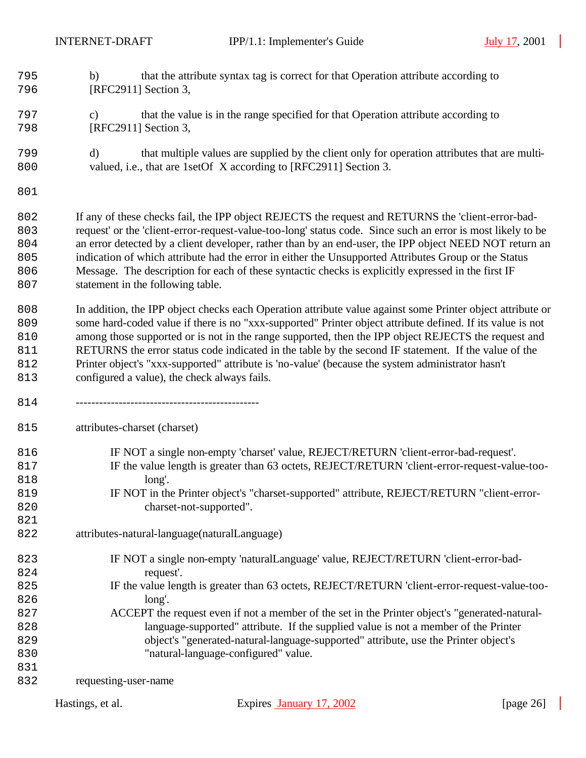- b) that the attribute syntax tag is correct for that Operation attribute according to [RFC2911] Section 3,
- c) that the value is in the range specified for that Operation attribute according to [RFC2911] Section 3,
- d) that multiple values are supplied by the client only for operation attributes that are multi-valued, i.e., that are 1setOf X according to [RFC2911] Section 3.
- 

 If any of these checks fail, the IPP object REJECTS the request and RETURNS the 'client-error-bad- request' or the 'client-error-request-value-too-long' status code. Since such an error is most likely to be an error detected by a client developer, rather than by an end-user, the IPP object NEED NOT return an indication of which attribute had the error in either the Unsupported Attributes Group or the Status Message. The description for each of these syntactic checks is explicitly expressed in the first IF statement in the following table.

 In addition, the IPP object checks each Operation attribute value against some Printer object attribute or some hard-coded value if there is no "xxx-supported" Printer object attribute defined. If its value is not among those supported or is not in the range supported, then the IPP object REJECTS the request and RETURNS the error status code indicated in the table by the second IF statement. If the value of the Printer object's "xxx-supported" attribute is 'no-value' (because the system administrator hasn't configured a value), the check always fails.

-----------------------------------------------

attributes-charset (charset)

- IF NOT a single non-empty 'charset' value, REJECT/RETURN 'client-error-bad-request'.
- 817 IF the value length is greater than 63 octets, REJECT/RETURN 'client-error-request-value-too-long'.
- IF NOT in the Printer object's "charset-supported" attribute, REJECT/RETURN "client-error-charset-not-supported".
- attributes-natural-language(naturalLanguage)
- IF NOT a single non-empty 'naturalLanguage' value, REJECT/RETURN 'client-error-bad-request'.
- IF the value length is greater than 63 octets, REJECT/RETURN 'client-error-request-value-too-long'.
- ACCEPT the request even if not a member of the set in the Printer object's "generated-natural- language-supported" attribute. If the supplied value is not a member of the Printer object's "generated-natural-language-supported" attribute, use the Printer object's "natural-language-configured" value.

requesting-user-name

| Hastings, et al. | Expires January 17, 2002 | [page $26$ ] |
|------------------|--------------------------|--------------|
|                  |                          |              |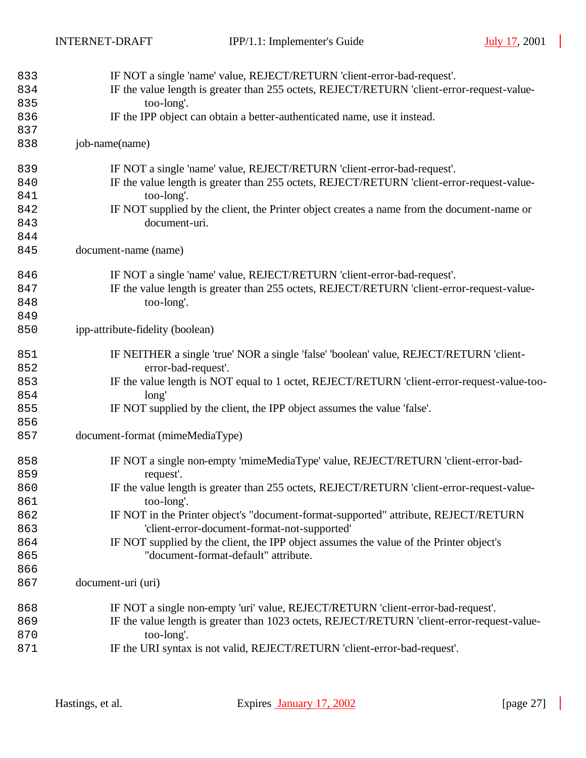| IF the value length is greater than 255 octets, REJECT/RETURN 'client-error-request-value-<br>too-long'.<br>IF the IPP object can obtain a better-authenticated name, use it instead.<br>job-name(name)<br>IF NOT a single 'name' value, REJECT/RETURN 'client-error-bad-request'.<br>839<br>IF the value length is greater than 255 octets, REJECT/RETURN 'client-error-request-value-<br>too-long'.<br>IF NOT supplied by the client, the Printer object creates a name from the document-name or<br>document-uri.<br>843<br>document-name (name)<br>IF NOT a single 'name' value, REJECT/RETURN 'client-error-bad-request'.<br>846<br>IF the value length is greater than 255 octets, REJECT/RETURN 'client-error-request-value-<br>847<br>too-long'.<br>849<br>ipp-attribute-fidelity (boolean)<br>IF NEITHER a single 'true' NOR a single 'false' 'boolean' value, REJECT/RETURN 'client-<br>851<br>error-bad-request'.<br>852<br>IF the value length is NOT equal to 1 octet, REJECT/RETURN 'client-error-request-value-too-<br>853<br>854<br>long'<br>855<br>IF NOT supplied by the client, the IPP object assumes the value 'false'.<br>856<br>document-format (mimeMediaType)<br>IF NOT a single non-empty 'mimeMediaType' value, REJECT/RETURN 'client-error-bad-<br>858<br>859<br>request'.<br>IF the value length is greater than 255 octets, REJECT/RETURN 'client-error-request-value-<br>860<br>too-long'.<br>861<br>IF NOT in the Printer object's "document-format-supported" attribute, REJECT/RETURN<br>862<br>'client-error-document-format-not-supported'<br>863<br>IF NOT supplied by the client, the IPP object assumes the value of the Printer object's<br>864<br>"document-format-default" attribute.<br>865<br>866<br>document-uri (uri)<br>IF NOT a single non-empty 'uri' value, REJECT/RETURN 'client-error-bad-request'.<br>868<br>IF the value length is greater than 1023 octets, REJECT/RETURN 'client-error-request-value-<br>869 | 833 | IF NOT a single 'name' value, REJECT/RETURN 'client-error-bad-request'. |
|----------------------------------------------------------------------------------------------------------------------------------------------------------------------------------------------------------------------------------------------------------------------------------------------------------------------------------------------------------------------------------------------------------------------------------------------------------------------------------------------------------------------------------------------------------------------------------------------------------------------------------------------------------------------------------------------------------------------------------------------------------------------------------------------------------------------------------------------------------------------------------------------------------------------------------------------------------------------------------------------------------------------------------------------------------------------------------------------------------------------------------------------------------------------------------------------------------------------------------------------------------------------------------------------------------------------------------------------------------------------------------------------------------------------------------------------------------------------------------------------------------------------------------------------------------------------------------------------------------------------------------------------------------------------------------------------------------------------------------------------------------------------------------------------------------------------------------------------------------------------------------------------------------------------------------------------------------------------|-----|-------------------------------------------------------------------------|
|                                                                                                                                                                                                                                                                                                                                                                                                                                                                                                                                                                                                                                                                                                                                                                                                                                                                                                                                                                                                                                                                                                                                                                                                                                                                                                                                                                                                                                                                                                                                                                                                                                                                                                                                                                                                                                                                                                                                                                      | 834 |                                                                         |
|                                                                                                                                                                                                                                                                                                                                                                                                                                                                                                                                                                                                                                                                                                                                                                                                                                                                                                                                                                                                                                                                                                                                                                                                                                                                                                                                                                                                                                                                                                                                                                                                                                                                                                                                                                                                                                                                                                                                                                      | 835 |                                                                         |
|                                                                                                                                                                                                                                                                                                                                                                                                                                                                                                                                                                                                                                                                                                                                                                                                                                                                                                                                                                                                                                                                                                                                                                                                                                                                                                                                                                                                                                                                                                                                                                                                                                                                                                                                                                                                                                                                                                                                                                      | 836 |                                                                         |
|                                                                                                                                                                                                                                                                                                                                                                                                                                                                                                                                                                                                                                                                                                                                                                                                                                                                                                                                                                                                                                                                                                                                                                                                                                                                                                                                                                                                                                                                                                                                                                                                                                                                                                                                                                                                                                                                                                                                                                      | 837 |                                                                         |
|                                                                                                                                                                                                                                                                                                                                                                                                                                                                                                                                                                                                                                                                                                                                                                                                                                                                                                                                                                                                                                                                                                                                                                                                                                                                                                                                                                                                                                                                                                                                                                                                                                                                                                                                                                                                                                                                                                                                                                      | 838 |                                                                         |
|                                                                                                                                                                                                                                                                                                                                                                                                                                                                                                                                                                                                                                                                                                                                                                                                                                                                                                                                                                                                                                                                                                                                                                                                                                                                                                                                                                                                                                                                                                                                                                                                                                                                                                                                                                                                                                                                                                                                                                      |     |                                                                         |
|                                                                                                                                                                                                                                                                                                                                                                                                                                                                                                                                                                                                                                                                                                                                                                                                                                                                                                                                                                                                                                                                                                                                                                                                                                                                                                                                                                                                                                                                                                                                                                                                                                                                                                                                                                                                                                                                                                                                                                      | 840 |                                                                         |
|                                                                                                                                                                                                                                                                                                                                                                                                                                                                                                                                                                                                                                                                                                                                                                                                                                                                                                                                                                                                                                                                                                                                                                                                                                                                                                                                                                                                                                                                                                                                                                                                                                                                                                                                                                                                                                                                                                                                                                      | 841 |                                                                         |
|                                                                                                                                                                                                                                                                                                                                                                                                                                                                                                                                                                                                                                                                                                                                                                                                                                                                                                                                                                                                                                                                                                                                                                                                                                                                                                                                                                                                                                                                                                                                                                                                                                                                                                                                                                                                                                                                                                                                                                      | 842 |                                                                         |
|                                                                                                                                                                                                                                                                                                                                                                                                                                                                                                                                                                                                                                                                                                                                                                                                                                                                                                                                                                                                                                                                                                                                                                                                                                                                                                                                                                                                                                                                                                                                                                                                                                                                                                                                                                                                                                                                                                                                                                      |     |                                                                         |
|                                                                                                                                                                                                                                                                                                                                                                                                                                                                                                                                                                                                                                                                                                                                                                                                                                                                                                                                                                                                                                                                                                                                                                                                                                                                                                                                                                                                                                                                                                                                                                                                                                                                                                                                                                                                                                                                                                                                                                      | 844 |                                                                         |
|                                                                                                                                                                                                                                                                                                                                                                                                                                                                                                                                                                                                                                                                                                                                                                                                                                                                                                                                                                                                                                                                                                                                                                                                                                                                                                                                                                                                                                                                                                                                                                                                                                                                                                                                                                                                                                                                                                                                                                      | 845 |                                                                         |
|                                                                                                                                                                                                                                                                                                                                                                                                                                                                                                                                                                                                                                                                                                                                                                                                                                                                                                                                                                                                                                                                                                                                                                                                                                                                                                                                                                                                                                                                                                                                                                                                                                                                                                                                                                                                                                                                                                                                                                      |     |                                                                         |
|                                                                                                                                                                                                                                                                                                                                                                                                                                                                                                                                                                                                                                                                                                                                                                                                                                                                                                                                                                                                                                                                                                                                                                                                                                                                                                                                                                                                                                                                                                                                                                                                                                                                                                                                                                                                                                                                                                                                                                      |     |                                                                         |
|                                                                                                                                                                                                                                                                                                                                                                                                                                                                                                                                                                                                                                                                                                                                                                                                                                                                                                                                                                                                                                                                                                                                                                                                                                                                                                                                                                                                                                                                                                                                                                                                                                                                                                                                                                                                                                                                                                                                                                      | 848 |                                                                         |
|                                                                                                                                                                                                                                                                                                                                                                                                                                                                                                                                                                                                                                                                                                                                                                                                                                                                                                                                                                                                                                                                                                                                                                                                                                                                                                                                                                                                                                                                                                                                                                                                                                                                                                                                                                                                                                                                                                                                                                      |     |                                                                         |
|                                                                                                                                                                                                                                                                                                                                                                                                                                                                                                                                                                                                                                                                                                                                                                                                                                                                                                                                                                                                                                                                                                                                                                                                                                                                                                                                                                                                                                                                                                                                                                                                                                                                                                                                                                                                                                                                                                                                                                      | 850 |                                                                         |
|                                                                                                                                                                                                                                                                                                                                                                                                                                                                                                                                                                                                                                                                                                                                                                                                                                                                                                                                                                                                                                                                                                                                                                                                                                                                                                                                                                                                                                                                                                                                                                                                                                                                                                                                                                                                                                                                                                                                                                      |     |                                                                         |
|                                                                                                                                                                                                                                                                                                                                                                                                                                                                                                                                                                                                                                                                                                                                                                                                                                                                                                                                                                                                                                                                                                                                                                                                                                                                                                                                                                                                                                                                                                                                                                                                                                                                                                                                                                                                                                                                                                                                                                      |     |                                                                         |
|                                                                                                                                                                                                                                                                                                                                                                                                                                                                                                                                                                                                                                                                                                                                                                                                                                                                                                                                                                                                                                                                                                                                                                                                                                                                                                                                                                                                                                                                                                                                                                                                                                                                                                                                                                                                                                                                                                                                                                      |     |                                                                         |
|                                                                                                                                                                                                                                                                                                                                                                                                                                                                                                                                                                                                                                                                                                                                                                                                                                                                                                                                                                                                                                                                                                                                                                                                                                                                                                                                                                                                                                                                                                                                                                                                                                                                                                                                                                                                                                                                                                                                                                      |     |                                                                         |
|                                                                                                                                                                                                                                                                                                                                                                                                                                                                                                                                                                                                                                                                                                                                                                                                                                                                                                                                                                                                                                                                                                                                                                                                                                                                                                                                                                                                                                                                                                                                                                                                                                                                                                                                                                                                                                                                                                                                                                      |     |                                                                         |
|                                                                                                                                                                                                                                                                                                                                                                                                                                                                                                                                                                                                                                                                                                                                                                                                                                                                                                                                                                                                                                                                                                                                                                                                                                                                                                                                                                                                                                                                                                                                                                                                                                                                                                                                                                                                                                                                                                                                                                      |     |                                                                         |
|                                                                                                                                                                                                                                                                                                                                                                                                                                                                                                                                                                                                                                                                                                                                                                                                                                                                                                                                                                                                                                                                                                                                                                                                                                                                                                                                                                                                                                                                                                                                                                                                                                                                                                                                                                                                                                                                                                                                                                      | 857 |                                                                         |
|                                                                                                                                                                                                                                                                                                                                                                                                                                                                                                                                                                                                                                                                                                                                                                                                                                                                                                                                                                                                                                                                                                                                                                                                                                                                                                                                                                                                                                                                                                                                                                                                                                                                                                                                                                                                                                                                                                                                                                      |     |                                                                         |
|                                                                                                                                                                                                                                                                                                                                                                                                                                                                                                                                                                                                                                                                                                                                                                                                                                                                                                                                                                                                                                                                                                                                                                                                                                                                                                                                                                                                                                                                                                                                                                                                                                                                                                                                                                                                                                                                                                                                                                      |     |                                                                         |
|                                                                                                                                                                                                                                                                                                                                                                                                                                                                                                                                                                                                                                                                                                                                                                                                                                                                                                                                                                                                                                                                                                                                                                                                                                                                                                                                                                                                                                                                                                                                                                                                                                                                                                                                                                                                                                                                                                                                                                      |     |                                                                         |
|                                                                                                                                                                                                                                                                                                                                                                                                                                                                                                                                                                                                                                                                                                                                                                                                                                                                                                                                                                                                                                                                                                                                                                                                                                                                                                                                                                                                                                                                                                                                                                                                                                                                                                                                                                                                                                                                                                                                                                      |     |                                                                         |
|                                                                                                                                                                                                                                                                                                                                                                                                                                                                                                                                                                                                                                                                                                                                                                                                                                                                                                                                                                                                                                                                                                                                                                                                                                                                                                                                                                                                                                                                                                                                                                                                                                                                                                                                                                                                                                                                                                                                                                      |     |                                                                         |
|                                                                                                                                                                                                                                                                                                                                                                                                                                                                                                                                                                                                                                                                                                                                                                                                                                                                                                                                                                                                                                                                                                                                                                                                                                                                                                                                                                                                                                                                                                                                                                                                                                                                                                                                                                                                                                                                                                                                                                      |     |                                                                         |
|                                                                                                                                                                                                                                                                                                                                                                                                                                                                                                                                                                                                                                                                                                                                                                                                                                                                                                                                                                                                                                                                                                                                                                                                                                                                                                                                                                                                                                                                                                                                                                                                                                                                                                                                                                                                                                                                                                                                                                      |     |                                                                         |
|                                                                                                                                                                                                                                                                                                                                                                                                                                                                                                                                                                                                                                                                                                                                                                                                                                                                                                                                                                                                                                                                                                                                                                                                                                                                                                                                                                                                                                                                                                                                                                                                                                                                                                                                                                                                                                                                                                                                                                      |     |                                                                         |
|                                                                                                                                                                                                                                                                                                                                                                                                                                                                                                                                                                                                                                                                                                                                                                                                                                                                                                                                                                                                                                                                                                                                                                                                                                                                                                                                                                                                                                                                                                                                                                                                                                                                                                                                                                                                                                                                                                                                                                      |     |                                                                         |
|                                                                                                                                                                                                                                                                                                                                                                                                                                                                                                                                                                                                                                                                                                                                                                                                                                                                                                                                                                                                                                                                                                                                                                                                                                                                                                                                                                                                                                                                                                                                                                                                                                                                                                                                                                                                                                                                                                                                                                      | 867 |                                                                         |
|                                                                                                                                                                                                                                                                                                                                                                                                                                                                                                                                                                                                                                                                                                                                                                                                                                                                                                                                                                                                                                                                                                                                                                                                                                                                                                                                                                                                                                                                                                                                                                                                                                                                                                                                                                                                                                                                                                                                                                      |     |                                                                         |
|                                                                                                                                                                                                                                                                                                                                                                                                                                                                                                                                                                                                                                                                                                                                                                                                                                                                                                                                                                                                                                                                                                                                                                                                                                                                                                                                                                                                                                                                                                                                                                                                                                                                                                                                                                                                                                                                                                                                                                      |     |                                                                         |
|                                                                                                                                                                                                                                                                                                                                                                                                                                                                                                                                                                                                                                                                                                                                                                                                                                                                                                                                                                                                                                                                                                                                                                                                                                                                                                                                                                                                                                                                                                                                                                                                                                                                                                                                                                                                                                                                                                                                                                      | 870 | too-long'.                                                              |
| IF the URI syntax is not valid, REJECT/RETURN 'client-error-bad-request'.                                                                                                                                                                                                                                                                                                                                                                                                                                                                                                                                                                                                                                                                                                                                                                                                                                                                                                                                                                                                                                                                                                                                                                                                                                                                                                                                                                                                                                                                                                                                                                                                                                                                                                                                                                                                                                                                                            | 871 |                                                                         |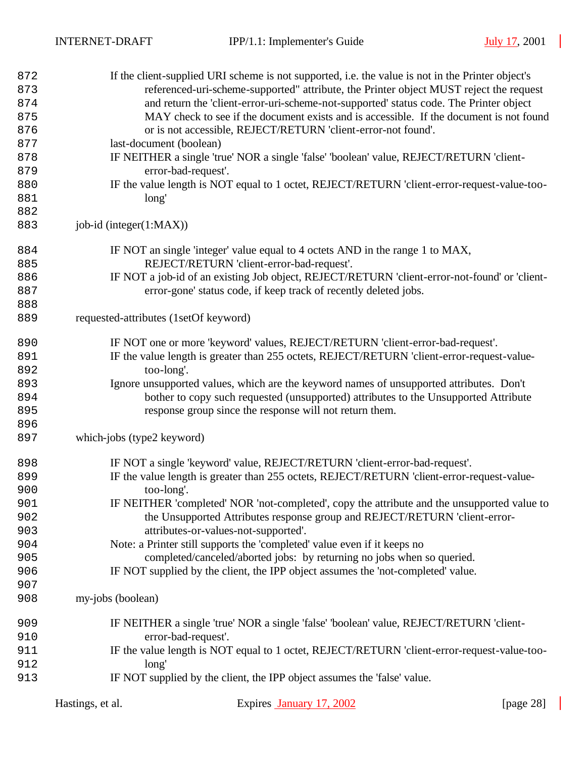| 872<br>873<br>874<br>875<br>876<br>877<br>878<br>879<br>880<br>881<br>882<br>883 | If the client-supplied URI scheme is not supported, i.e. the value is not in the Printer object's<br>referenced-uri-scheme-supported" attribute, the Printer object MUST reject the request<br>and return the 'client-error-uri-scheme-not-supported' status code. The Printer object<br>MAY check to see if the document exists and is accessible. If the document is not found<br>or is not accessible, REJECT/RETURN 'client-error-not found'.<br>last-document (boolean)<br>IF NEITHER a single 'true' NOR a single 'false' 'boolean' value, REJECT/RETURN 'client-<br>error-bad-request'.<br>IF the value length is NOT equal to 1 octet, REJECT/RETURN 'client-error-request-value-too-<br>long'<br>job-id (integer(1:MAX)) |
|----------------------------------------------------------------------------------|-----------------------------------------------------------------------------------------------------------------------------------------------------------------------------------------------------------------------------------------------------------------------------------------------------------------------------------------------------------------------------------------------------------------------------------------------------------------------------------------------------------------------------------------------------------------------------------------------------------------------------------------------------------------------------------------------------------------------------------|
|                                                                                  |                                                                                                                                                                                                                                                                                                                                                                                                                                                                                                                                                                                                                                                                                                                                   |
| 884<br>885                                                                       | IF NOT an single 'integer' value equal to 4 octets AND in the range 1 to MAX,<br>REJECT/RETURN 'client-error-bad-request'.                                                                                                                                                                                                                                                                                                                                                                                                                                                                                                                                                                                                        |
| 886                                                                              | IF NOT a job-id of an existing Job object, REJECT/RETURN 'client-error-not-found' or 'client-                                                                                                                                                                                                                                                                                                                                                                                                                                                                                                                                                                                                                                     |
| 887                                                                              | error-gone' status code, if keep track of recently deleted jobs.                                                                                                                                                                                                                                                                                                                                                                                                                                                                                                                                                                                                                                                                  |
| 888                                                                              |                                                                                                                                                                                                                                                                                                                                                                                                                                                                                                                                                                                                                                                                                                                                   |
| 889                                                                              | requested-attributes (1setOf keyword)                                                                                                                                                                                                                                                                                                                                                                                                                                                                                                                                                                                                                                                                                             |
| 890                                                                              | IF NOT one or more 'keyword' values, REJECT/RETURN 'client-error-bad-request'.                                                                                                                                                                                                                                                                                                                                                                                                                                                                                                                                                                                                                                                    |
| 891                                                                              | IF the value length is greater than 255 octets, REJECT/RETURN 'client-error-request-value-                                                                                                                                                                                                                                                                                                                                                                                                                                                                                                                                                                                                                                        |
| 892                                                                              | too-long'.                                                                                                                                                                                                                                                                                                                                                                                                                                                                                                                                                                                                                                                                                                                        |
| 893                                                                              | Ignore unsupported values, which are the keyword names of unsupported attributes. Don't                                                                                                                                                                                                                                                                                                                                                                                                                                                                                                                                                                                                                                           |
| 894                                                                              | bother to copy such requested (unsupported) attributes to the Unsupported Attribute                                                                                                                                                                                                                                                                                                                                                                                                                                                                                                                                                                                                                                               |
| 895                                                                              | response group since the response will not return them.                                                                                                                                                                                                                                                                                                                                                                                                                                                                                                                                                                                                                                                                           |
| 896<br>897                                                                       | which-jobs (type2 keyword)                                                                                                                                                                                                                                                                                                                                                                                                                                                                                                                                                                                                                                                                                                        |
| 898                                                                              | IF NOT a single 'keyword' value, REJECT/RETURN 'client-error-bad-request'.                                                                                                                                                                                                                                                                                                                                                                                                                                                                                                                                                                                                                                                        |
| 899                                                                              | IF the value length is greater than 255 octets, REJECT/RETURN 'client-error-request-value-                                                                                                                                                                                                                                                                                                                                                                                                                                                                                                                                                                                                                                        |
| 900                                                                              | too-long'.                                                                                                                                                                                                                                                                                                                                                                                                                                                                                                                                                                                                                                                                                                                        |
| 901                                                                              | IF NEITHER 'completed' NOR 'not-completed', copy the attribute and the unsupported value to                                                                                                                                                                                                                                                                                                                                                                                                                                                                                                                                                                                                                                       |
| 902                                                                              | the Unsupported Attributes response group and REJECT/RETURN 'client-error-                                                                                                                                                                                                                                                                                                                                                                                                                                                                                                                                                                                                                                                        |
| 903                                                                              | attributes-or-values-not-supported'.                                                                                                                                                                                                                                                                                                                                                                                                                                                                                                                                                                                                                                                                                              |
| 904                                                                              | Note: a Printer still supports the 'completed' value even if it keeps no                                                                                                                                                                                                                                                                                                                                                                                                                                                                                                                                                                                                                                                          |
| 905                                                                              | completed/canceled/aborted jobs: by returning no jobs when so queried.                                                                                                                                                                                                                                                                                                                                                                                                                                                                                                                                                                                                                                                            |
| 906                                                                              | IF NOT supplied by the client, the IPP object assumes the 'not-completed' value.                                                                                                                                                                                                                                                                                                                                                                                                                                                                                                                                                                                                                                                  |
| 907<br>908                                                                       | my-jobs (boolean)                                                                                                                                                                                                                                                                                                                                                                                                                                                                                                                                                                                                                                                                                                                 |
|                                                                                  |                                                                                                                                                                                                                                                                                                                                                                                                                                                                                                                                                                                                                                                                                                                                   |
| 909                                                                              | IF NEITHER a single 'true' NOR a single 'false' 'boolean' value, REJECT/RETURN 'client-                                                                                                                                                                                                                                                                                                                                                                                                                                                                                                                                                                                                                                           |
| 910                                                                              | error-bad-request'.                                                                                                                                                                                                                                                                                                                                                                                                                                                                                                                                                                                                                                                                                                               |
| 911                                                                              | IF the value length is NOT equal to 1 octet, REJECT/RETURN 'client-error-request-value-too-                                                                                                                                                                                                                                                                                                                                                                                                                                                                                                                                                                                                                                       |
| 912                                                                              | long'                                                                                                                                                                                                                                                                                                                                                                                                                                                                                                                                                                                                                                                                                                                             |
| 913                                                                              | IF NOT supplied by the client, the IPP object assumes the 'false' value.                                                                                                                                                                                                                                                                                                                                                                                                                                                                                                                                                                                                                                                          |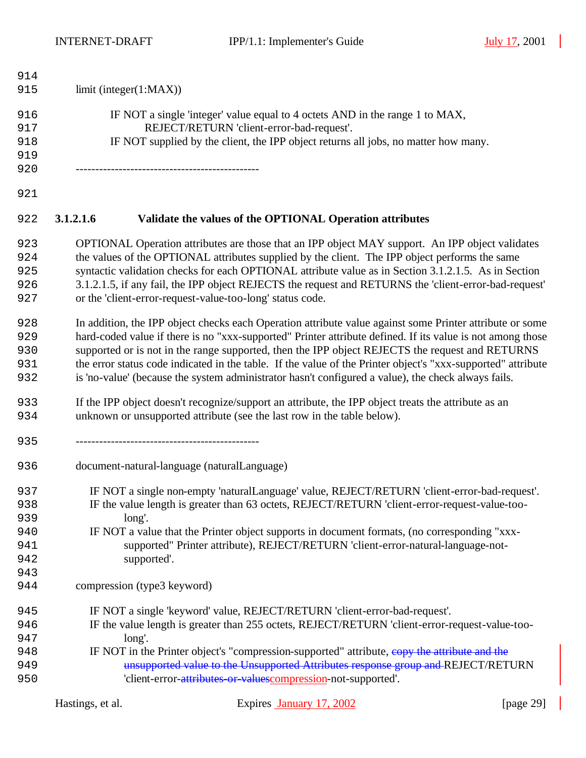$\overline{\phantom{a}}$ 

| 914 |                                                                                                              |  |
|-----|--------------------------------------------------------------------------------------------------------------|--|
| 915 | limit (integer(1:MAX))                                                                                       |  |
| 916 | IF NOT a single 'integer' value equal to 4 octets AND in the range 1 to MAX,                                 |  |
| 917 | REJECT/RETURN 'client-error-bad-request'.                                                                    |  |
| 918 | IF NOT supplied by the client, the IPP object returns all jobs, no matter how many.                          |  |
| 919 |                                                                                                              |  |
| 920 |                                                                                                              |  |
| 921 |                                                                                                              |  |
| 922 | 3.1.2.1.6<br>Validate the values of the OPTIONAL Operation attributes                                        |  |
| 923 | OPTIONAL Operation attributes are those that an IPP object MAY support. An IPP object validates              |  |
| 924 | the values of the OPTIONAL attributes supplied by the client. The IPP object performs the same               |  |
| 925 | syntactic validation checks for each OPTIONAL attribute value as in Section 3.1.2.1.5. As in Section         |  |
| 926 | 3.1.2.1.5, if any fail, the IPP object REJECTS the request and RETURNS the 'client-error-bad-request'        |  |
| 927 | or the 'client-error-request-value-too-long' status code.                                                    |  |
| 928 | In addition, the IPP object checks each Operation attribute value against some Printer attribute or some     |  |
| 929 | hard-coded value if there is no "xxx-supported" Printer attribute defined. If its value is not among those   |  |
| 930 | supported or is not in the range supported, then the IPP object REJECTS the request and RETURNS              |  |
| 931 | the error status code indicated in the table. If the value of the Printer object's "xxx-supported" attribute |  |
| 932 | is 'no-value' (because the system administrator hasn't configured a value), the check always fails.          |  |
| 933 | If the IPP object doesn't recognize/support an attribute, the IPP object treats the attribute as an          |  |
| 934 | unknown or unsupported attribute (see the last row in the table below).                                      |  |
| 935 |                                                                                                              |  |
| 936 | document-natural-language (naturalLanguage)                                                                  |  |
| 937 | IF NOT a single non-empty 'naturalLanguage' value, REJECT/RETURN 'client-error-bad-request'.                 |  |
| 938 | IF the value length is greater than 63 octets, REJECT/RETURN 'client-error-request-value-too-                |  |
| 939 | long'.                                                                                                       |  |
| 940 | IF NOT a value that the Printer object supports in document formats, (no corresponding "xxx-                 |  |
| 941 | supported" Printer attribute), REJECT/RETURN 'client-error-natural-language-not-                             |  |
| 942 | supported'.                                                                                                  |  |
| 943 |                                                                                                              |  |
| 944 | compression (type3 keyword)                                                                                  |  |
| 945 | IF NOT a single 'keyword' value, REJECT/RETURN 'client-error-bad-request'.                                   |  |
| 946 | IF the value length is greater than 255 octets, REJECT/RETURN 'client-error-request-value-too-               |  |
| 947 | long'.                                                                                                       |  |
| 948 | IF NOT in the Printer object's "compression-supported" attribute, eopy the attribute and the                 |  |
| 949 | unsupported value to the Unsupported Attributes response group and REJECT/RETURN                             |  |
| 950 | 'client-error-attributes-or-valuescompression-not-supported'.                                                |  |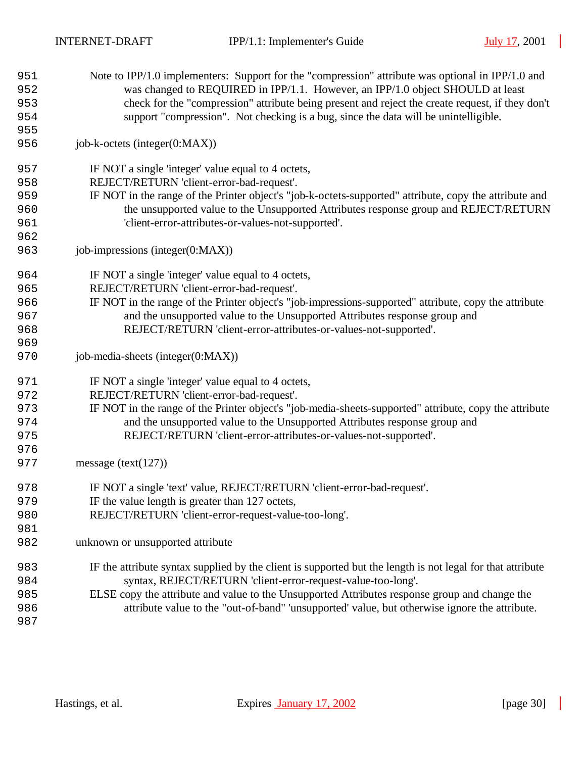| 951 | Note to IPP/1.0 implementers: Support for the "compression" attribute was optional in IPP/1.0 and          |
|-----|------------------------------------------------------------------------------------------------------------|
| 952 | was changed to REQUIRED in IPP/1.1. However, an IPP/1.0 object SHOULD at least                             |
| 953 | check for the "compression" attribute being present and reject the create request, if they don't           |
| 954 | support "compression". Not checking is a bug, since the data will be unintelligible.                       |
| 955 |                                                                                                            |
| 956 | job-k-octets (integer(0:MAX))                                                                              |
| 957 | IF NOT a single 'integer' value equal to 4 octets,                                                         |
| 958 | REJECT/RETURN 'client-error-bad-request'.                                                                  |
| 959 | IF NOT in the range of the Printer object's "job-k-octets-supported" attribute, copy the attribute and     |
| 960 | the unsupported value to the Unsupported Attributes response group and REJECT/RETURN                       |
| 961 | 'client-error-attributes-or-values-not-supported'.                                                         |
| 962 |                                                                                                            |
| 963 | job-impressions (integer(0:MAX))                                                                           |
| 964 | IF NOT a single 'integer' value equal to 4 octets,                                                         |
| 965 | REJECT/RETURN 'client-error-bad-request'.                                                                  |
| 966 | IF NOT in the range of the Printer object's "job-impressions-supported" attribute, copy the attribute      |
| 967 | and the unsupported value to the Unsupported Attributes response group and                                 |
| 968 | REJECT/RETURN 'client-error-attributes-or-values-not-supported'.                                           |
| 969 |                                                                                                            |
| 970 | job-media-sheets (integer(0:MAX))                                                                          |
| 971 | IF NOT a single 'integer' value equal to 4 octets,                                                         |
| 972 | REJECT/RETURN 'client-error-bad-request'.                                                                  |
| 973 | IF NOT in the range of the Printer object's "job-media-sheets-supported" attribute, copy the attribute     |
| 974 | and the unsupported value to the Unsupported Attributes response group and                                 |
| 975 | REJECT/RETURN 'client-error-attributes-or-values-not-supported'.                                           |
| 976 |                                                                                                            |
| 977 | message (text( $127$ ))                                                                                    |
| 978 | IF NOT a single 'text' value, REJECT/RETURN 'client-error-bad-request'.                                    |
| 979 | IF the value length is greater than 127 octets,                                                            |
| 980 | REJECT/RETURN 'client-error-request-value-too-long'.                                                       |
| 981 |                                                                                                            |
| 982 | unknown or unsupported attribute                                                                           |
| 983 | IF the attribute syntax supplied by the client is supported but the length is not legal for that attribute |
| 984 | syntax, REJECT/RETURN 'client-error-request-value-too-long'.                                               |
| 985 | ELSE copy the attribute and value to the Unsupported Attributes response group and change the              |
| 986 | attribute value to the "out-of-band" 'unsupported' value, but otherwise ignore the attribute.              |
| 987 |                                                                                                            |

 $\overline{\phantom{a}}$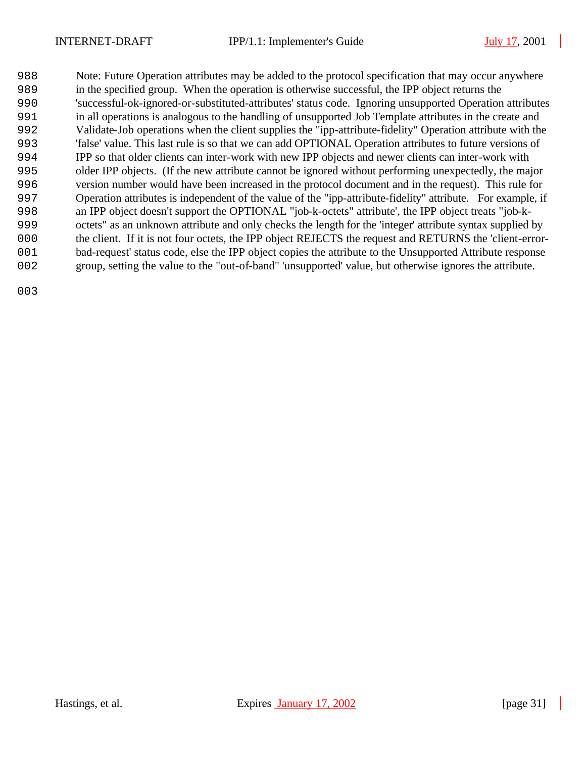Note: Future Operation attributes may be added to the protocol specification that may occur anywhere in the specified group. When the operation is otherwise successful, the IPP object returns the 'successful-ok-ignored-or-substituted-attributes' status code. Ignoring unsupported Operation attributes in all operations is analogous to the handling of unsupported Job Template attributes in the create and Validate-Job operations when the client supplies the "ipp-attribute-fidelity" Operation attribute with the 'false' value. This last rule is so that we can add OPTIONAL Operation attributes to future versions of IPP so that older clients can inter-work with new IPP objects and newer clients can inter-work with older IPP objects. (If the new attribute cannot be ignored without performing unexpectedly, the major version number would have been increased in the protocol document and in the request). This rule for Operation attributes is independent of the value of the "ipp-attribute-fidelity" attribute. For example, if an IPP object doesn't support the OPTIONAL "job-k-octets" attribute', the IPP object treats "job-k- octets" as an unknown attribute and only checks the length for the 'integer' attribute syntax supplied by the client. If it is not four octets, the IPP object REJECTS the request and RETURNS the 'client-error- bad-request' status code, else the IPP object copies the attribute to the Unsupported Attribute response group, setting the value to the "out-of-band" 'unsupported' value, but otherwise ignores the attribute.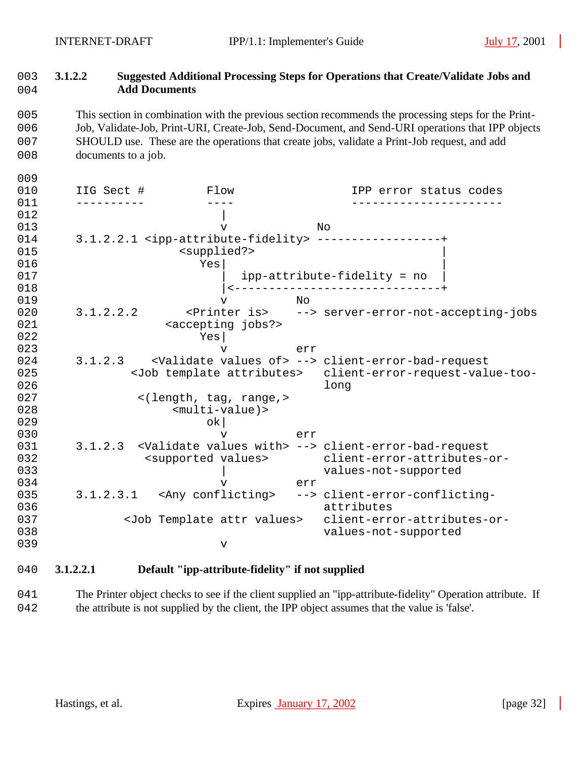$0<sub>0</sub>$ 

### 1003 **3.1.2.2 Suggested Additional Processing Steps for Operations that Create/Validate Jobs and**  1004 **Add Documents**

 This section in combination with the previous section recommends the processing steps for the Print- Job, Validate-Job, Print-URI, Create-Job, Send-Document, and Send-URI operations that IPP objects SHOULD use. These are the operations that create jobs, validate a Print-Job request, and add 008 documents to a job.

| 010 | IIG Sect # |                                           | Flow                             |           | IPP error status codes                                                          |
|-----|------------|-------------------------------------------|----------------------------------|-----------|---------------------------------------------------------------------------------|
| 011 |            |                                           |                                  |           |                                                                                 |
| 012 |            |                                           |                                  |           |                                                                                 |
| 013 |            |                                           | ٦T                               |           | No                                                                              |
| 014 |            |                                           |                                  |           | 3.1.2.2.1 <ipp-attribute-fidelity> ------------------+</ipp-attribute-fidelity> |
| 015 |            |                                           | <supplied?></supplied?>          |           |                                                                                 |
| 016 |            | Yes                                       |                                  |           |                                                                                 |
| 017 |            |                                           |                                  |           | ipp-attribute-fidelity = no                                                     |
| 018 |            |                                           |                                  |           |                                                                                 |
| 019 |            |                                           | v                                | <b>No</b> |                                                                                 |
| 020 | 3.1.2.2.2  |                                           |                                  |           | <printer is=""> --&gt; server-error-not-accepting-jobs</printer>                |
| 021 |            |                                           | <accepting jobs?=""></accepting> |           |                                                                                 |
| 022 |            | Yes                                       |                                  |           |                                                                                 |
| 023 |            |                                           | $\overline{V}$                   | err       |                                                                                 |
| 024 | 3.1.2.3    |                                           |                                  |           | <validate of="" values=""> --&gt; client-error-bad-request</validate>           |
| 025 |            |                                           |                                  |           | <job attributes="" template=""> client-error-request-value-too-</job>           |
| 026 |            |                                           |                                  |           | long                                                                            |
| 027 |            |                                           | <(length, tag, range,>           |           |                                                                                 |
| 028 |            |                                           | $<$ multi-value) >               |           |                                                                                 |
| 029 |            |                                           | ok                               |           |                                                                                 |
| 030 |            |                                           | v                                | err       |                                                                                 |
| 031 |            |                                           |                                  |           | 3.1.2.3 <validate values="" with=""> --&gt; client-error-bad-request</validate> |
| 032 |            | <supported values=""></supported>         |                                  |           | client-error-attributes-or-                                                     |
| 033 |            |                                           |                                  |           | values-not-supported                                                            |
| 034 |            |                                           | $\overline{V}$                   | err       |                                                                                 |
| 035 |            | 3.1.2.3.1 <any conflicting=""></any>      |                                  |           | --> client-error-conflicting-                                                   |
| 036 |            |                                           |                                  |           | attributes                                                                      |
| 037 |            | <job attr="" template="" values=""></job> |                                  |           | client-error-attributes-or-                                                     |
| 038 |            |                                           |                                  |           | values-not-supported                                                            |
| 039 |            |                                           | $\mathbf v$                      |           |                                                                                 |
|     |            |                                           |                                  |           |                                                                                 |

### 1040 **3.1.2.2.1 Default "ipp-attribute-fidelity" if not supplied**

041 The Printer object checks to see if the client supplied an "ipp-attribute-fidelity" Operation attribute. If 1042 the attribute is not supplied by the client, the IPP object assumes that the value is 'false'.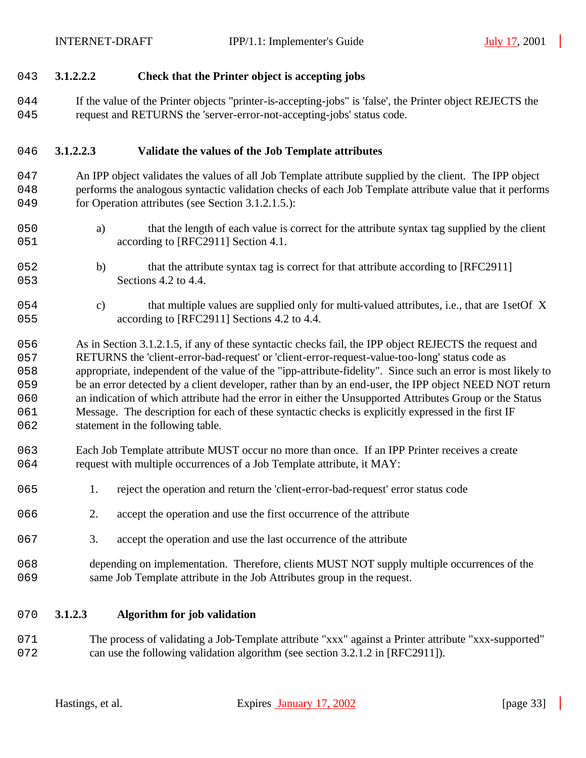#### **3.1.2.2.2 Check that the Printer object is accepting jobs**

044 If the value of the Printer objects "printer-is-accepting-jobs" is 'false', the Printer object REJECTS the request and RETURNS the 'server-error-not-accepting-jobs' status code.

#### **3.1.2.2.3 Validate the values of the Job Template attributes**

- An IPP object validates the values of all Job Template attribute supplied by the client. The IPP object performs the analogous syntactic validation checks of each Job Template attribute value that it performs 049 for Operation attributes (see Section 3.1.2.1.5.):
- a) that the length of each value is correct for the attribute syntax tag supplied by the client 051 according to [RFC2911] Section 4.1.
- 1052 b) that the attribute syntax tag is correct for that attribute according to [RFC2911] 053 Sections 4.2 to 4.4.
- c) that multiple values are supplied only for multi-valued attributes, i.e., that are 1setOf X 055 according to [RFC2911] Sections 4.2 to 4.4.

 As in Section 3.1.2.1.5, if any of these syntactic checks fail, the IPP object REJECTS the request and RETURNS the 'client-error-bad-request' or 'client-error-request-value-too-long' status code as appropriate, independent of the value of the "ipp-attribute-fidelity". Since such an error is most likely to be an error detected by a client developer, rather than by an end-user, the IPP object NEED NOT return an indication of which attribute had the error in either the Unsupported Attributes Group or the Status Message. The description for each of these syntactic checks is explicitly expressed in the first IF 062 statement in the following table.

- Each Job Template attribute MUST occur no more than once. If an IPP Printer receives a create 064 request with multiple occurrences of a Job Template attribute, it MAY:
- 1. reject the operation and return the 'client-error-bad-request' error status code
- 2. accept the operation and use the first occurrence of the attribute
- 3. accept the operation and use the last occurrence of the attribute
- depending on implementation. Therefore, clients MUST NOT supply multiple occurrences of the same Job Template attribute in the Job Attributes group in the request.

#### **3.1.2.3 Algorithm for job validation**

 The process of validating a Job-Template attribute "xxx" against a Printer attribute "xxx-supported" 072 can use the following validation algorithm (see section 3.2.1.2 in [RFC2911]).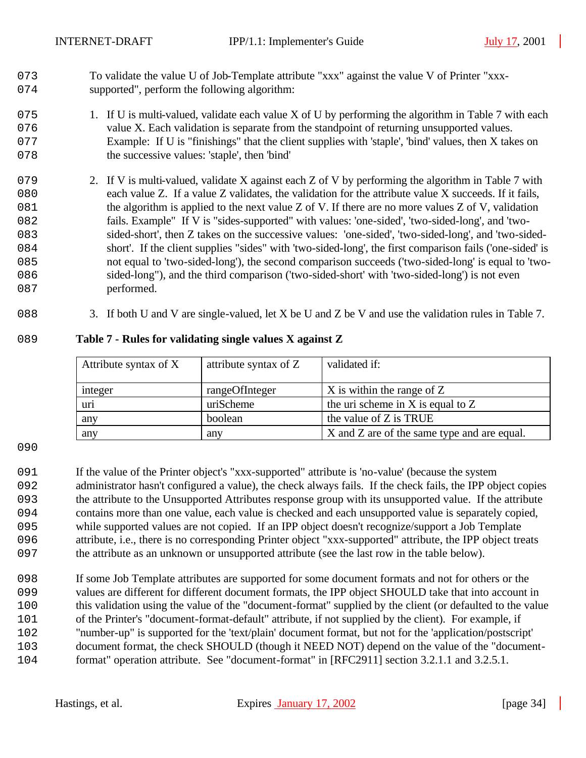1073 To validate the value U of Job-Template attribute "xxx" against the value V of Printer "xxx-074 supported", perform the following algorithm:

- 075 1. If U is multi-valued, validate each value X of U by performing the algorithm in Table 7 with each 1076 value X. Each validation is separate from the standpoint of returning unsupported values. 1077 Example: If U is "finishings" that the client supplies with 'staple', 'bind' values, then X takes on 078 the successive values: 'staple', then 'bind'
- 079 2. If V is multi-valued, validate X against each Z of V by performing the algorithm in Table 7 with 1080 each value Z. If a value Z validates, the validation for the attribute value X succeeds. If it fails, 081 the algorithm is applied to the next value  $Z$  of  $V$ . If there are no more values  $Z$  of  $V$ , validation 1082 fails. Example" If V is "sides-supported" with values: 'one-sided', 'two-sided-long', and 'two-1083 sided-short', then Z takes on the successive values: 'one-sided', 'two-sided-long', and 'two-sided-1084 short'. If the client supplies "sides" with 'two-sided-long', the first comparison fails ('one-sided' is 1085 not equal to 'two-sided-long'), the second comparison succeeds ('two-sided-long' is equal to 'two-1086 sided-long"), and the third comparison ('two-sided-short' with 'two-sided-long') is not even 087 performed.
- 088 3. If both U and V are single-valued, let X be U and Z be V and use the validation rules in Table 7.

| Attribute syntax of X | attribute syntax of Z | validated if:                               |
|-----------------------|-----------------------|---------------------------------------------|
|                       |                       |                                             |
| integer               | rangeOfInteger        | $X$ is within the range of $Z$              |
| uri                   | uriScheme             | the uri scheme in X is equal to $Z$         |
| any                   | boolean               | the value of Z is TRUE                      |
| any                   | any                   | X and Z are of the same type and are equal. |

#### 1089 **Table 7 - Rules for validating single values X against Z**

1090

 If the value of the Printer object's "xxx-supported" attribute is 'no-value' (because the system administrator hasn't configured a value), the check always fails. If the check fails, the IPP object copies the attribute to the Unsupported Attributes response group with its unsupported value. If the attribute contains more than one value, each value is checked and each unsupported value is separately copied, while supported values are not copied. If an IPP object doesn't recognize/support a Job Template attribute, i.e., there is no corresponding Printer object "xxx-supported" attribute, the IPP object treats the attribute as an unknown or unsupported attribute (see the last row in the table below).

 If some Job Template attributes are supported for some document formats and not for others or the values are different for different document formats, the IPP object SHOULD take that into account in 100 this validation using the value of the "document-format" supplied by the client (or defaulted to the value of the Printer's "document-format-default" attribute, if not supplied by the client). For example, if "number-up" is supported for the 'text/plain' document format, but not for the 'application/postscript' 103 document format, the check SHOULD (though it NEED NOT) depend on the value of the "document-format" operation attribute. See "document-format" in [RFC2911] section 3.2.1.1 and 3.2.5.1.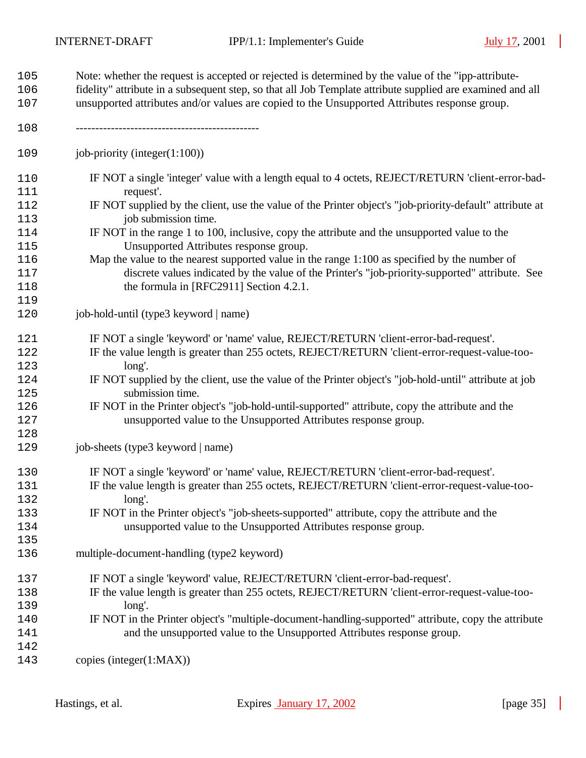| 105        | Note: whether the request is accepted or rejected is determined by the value of the "ipp-attribute-            |
|------------|----------------------------------------------------------------------------------------------------------------|
| 106        | fidelity" attribute in a subsequent step, so that all Job Template attribute supplied are examined and all     |
| 107        | unsupported attributes and/or values are copied to the Unsupported Attributes response group.                  |
| 108        |                                                                                                                |
| 109        | job-priority (integer $(1:100)$ )                                                                              |
| 110<br>111 | IF NOT a single 'integer' value with a length equal to 4 octets, REJECT/RETURN 'client-error-bad-<br>request'. |
| 112        | IF NOT supplied by the client, use the value of the Printer object's "job-priority-default" attribute at       |
| 113        | job submission time.                                                                                           |
| 114        | IF NOT in the range 1 to 100, inclusive, copy the attribute and the unsupported value to the                   |
| 115        | Unsupported Attributes response group.                                                                         |
| 116        | Map the value to the nearest supported value in the range 1:100 as specified by the number of                  |
| 117        | discrete values indicated by the value of the Printer's "job-priority-supported" attribute. See                |
| 118        | the formula in [RFC2911] Section 4.2.1.                                                                        |
| 119        |                                                                                                                |
| 120        | job-hold-until (type3 keyword   name)                                                                          |
| 121        | IF NOT a single 'keyword' or 'name' value, REJECT/RETURN 'client-error-bad-request'.                           |
| 122        | IF the value length is greater than 255 octets, REJECT/RETURN 'client-error-request-value-too-                 |
| 123        | long'.                                                                                                         |
| 124        | IF NOT supplied by the client, use the value of the Printer object's "job-hold-until" attribute at job         |
| 125        | submission time.                                                                                               |
| 126        | IF NOT in the Printer object's "job-hold-until-supported" attribute, copy the attribute and the                |
| 127        | unsupported value to the Unsupported Attributes response group.                                                |
| 128        |                                                                                                                |
| 129        | job-sheets (type3 keyword   name)                                                                              |
| 130        | IF NOT a single 'keyword' or 'name' value, REJECT/RETURN 'client-error-bad-request'.                           |
| 131        | IF the value length is greater than 255 octets, REJECT/RETURN 'client-error-request-value-too-                 |
| 132        | long'.                                                                                                         |
| 133        | IF NOT in the Printer object's "job-sheets-supported" attribute, copy the attribute and the                    |
| 134        | unsupported value to the Unsupported Attributes response group.                                                |
| 135        |                                                                                                                |
| 136        | multiple-document-handling (type2 keyword)                                                                     |
| 137        | IF NOT a single 'keyword' value, REJECT/RETURN 'client-error-bad-request'.                                     |
| 138        | IF the value length is greater than 255 octets, REJECT/RETURN 'client-error-request-value-too-                 |
| 139        | long'.                                                                                                         |
| 140        | IF NOT in the Printer object's "multiple-document-handling-supported" attribute, copy the attribute            |
| 141        | and the unsupported value to the Unsupported Attributes response group.                                        |
| 142        |                                                                                                                |
| 143        | copies (integer $(1:MAX)$ )                                                                                    |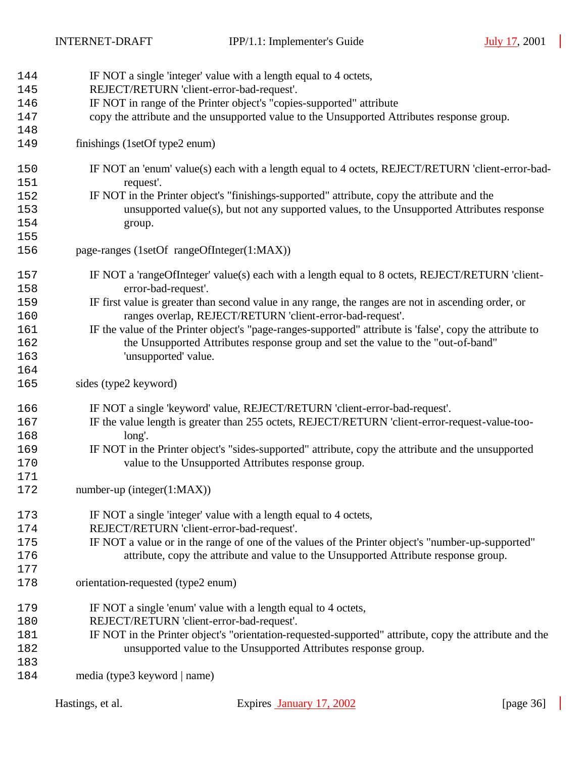| 144 | IF NOT a single 'integer' value with a length equal to 4 octets,                                         |
|-----|----------------------------------------------------------------------------------------------------------|
| 145 | REJECT/RETURN 'client-error-bad-request'.                                                                |
| 146 | IF NOT in range of the Printer object's "copies-supported" attribute                                     |
| 147 | copy the attribute and the unsupported value to the Unsupported Attributes response group.               |
| 148 |                                                                                                          |
| 149 | finishings (1setOf type2 enum)                                                                           |
|     |                                                                                                          |
| 150 | IF NOT an 'enum' value(s) each with a length equal to 4 octets, REJECT/RETURN 'client-error-bad-         |
| 151 | request'.                                                                                                |
| 152 | IF NOT in the Printer object's "finishings-supported" attribute, copy the attribute and the              |
| 153 | unsupported value(s), but not any supported values, to the Unsupported Attributes response               |
| 154 | group.                                                                                                   |
| 155 |                                                                                                          |
| 156 | page-ranges (1setOf rangeOfInteger(1:MAX))                                                               |
| 157 | IF NOT a 'rangeOfInteger' value(s) each with a length equal to 8 octets, REJECT/RETURN 'client-          |
| 158 | error-bad-request'.                                                                                      |
| 159 | IF first value is greater than second value in any range, the ranges are not in ascending order, or      |
| 160 | ranges overlap, REJECT/RETURN 'client-error-bad-request'.                                                |
|     |                                                                                                          |
| 161 | IF the value of the Printer object's "page-ranges-supported" attribute is 'false', copy the attribute to |
| 162 | the Unsupported Attributes response group and set the value to the "out-of-band"                         |
| 163 | 'unsupported' value.                                                                                     |
| 164 |                                                                                                          |
| 165 | sides (type2 keyword)                                                                                    |
| 166 | IF NOT a single 'keyword' value, REJECT/RETURN 'client-error-bad-request'.                               |
| 167 | IF the value length is greater than 255 octets, REJECT/RETURN 'client-error-request-value-too-           |
| 168 | long'.                                                                                                   |
| 169 | IF NOT in the Printer object's "sides-supported" attribute, copy the attribute and the unsupported       |
| 170 | value to the Unsupported Attributes response group.                                                      |
| 171 |                                                                                                          |
| 172 | $number-up (integer(1:MAX))$                                                                             |
| 173 | IF NOT a single 'integer' value with a length equal to 4 octets,                                         |
| 174 | REJECT/RETURN 'client-error-bad-request'.                                                                |
| 175 | IF NOT a value or in the range of one of the values of the Printer object's "number-up-supported"        |
| 176 | attribute, copy the attribute and value to the Unsupported Attribute response group.                     |
|     |                                                                                                          |
| 177 |                                                                                                          |
| 178 | orientation-requested (type2 enum)                                                                       |
| 179 | IF NOT a single 'enum' value with a length equal to 4 octets,                                            |
| 180 | REJECT/RETURN 'client-error-bad-request'.                                                                |
| 181 | IF NOT in the Printer object's "orientation-requested-supported" attribute, copy the attribute and the   |
| 182 | unsupported value to the Unsupported Attributes response group.                                          |
| 183 |                                                                                                          |
| 184 | media (type3 keyword   name)                                                                             |
|     |                                                                                                          |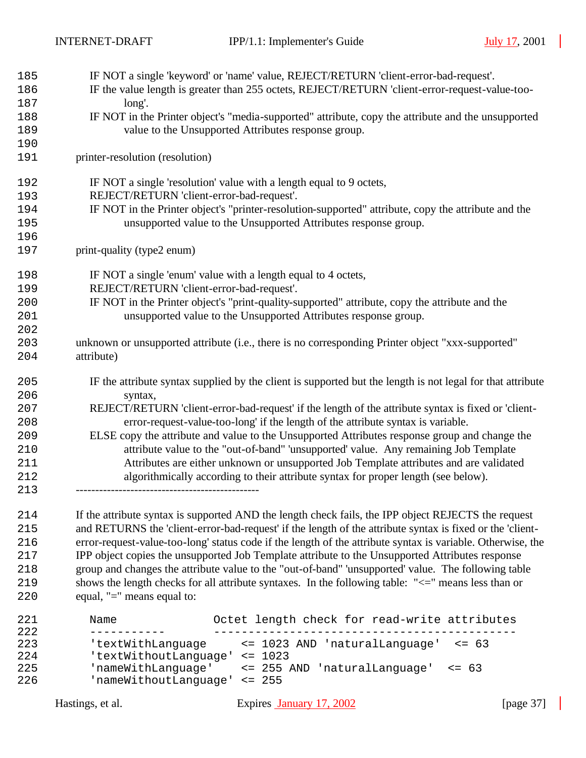| 185        | IF NOT a single 'keyword' or 'name' value, REJECT/RETURN 'client-error-bad-request'.                                  |
|------------|-----------------------------------------------------------------------------------------------------------------------|
| 186<br>187 | IF the value length is greater than 255 octets, REJECT/RETURN 'client-error-request-value-too-<br>long'.              |
| 188        | IF NOT in the Printer object's "media-supported" attribute, copy the attribute and the unsupported                    |
| 189        | value to the Unsupported Attributes response group.                                                                   |
| 190        |                                                                                                                       |
| 191        | printer-resolution (resolution)                                                                                       |
| 192        | IF NOT a single 'resolution' value with a length equal to 9 octets,                                                   |
| 193        | REJECT/RETURN 'client-error-bad-request'.                                                                             |
| 194        | IF NOT in the Printer object's "printer-resolution-supported" attribute, copy the attribute and the                   |
| 195        | unsupported value to the Unsupported Attributes response group.                                                       |
| 196        |                                                                                                                       |
| 197        | print-quality (type2 enum)                                                                                            |
| 198        | IF NOT a single 'enum' value with a length equal to 4 octets,                                                         |
| 199        | REJECT/RETURN 'client-error-bad-request'.                                                                             |
| 200        | IF NOT in the Printer object's "print-quality-supported" attribute, copy the attribute and the                        |
| 201        | unsupported value to the Unsupported Attributes response group.                                                       |
| 202        |                                                                                                                       |
| 203        | unknown or unsupported attribute (i.e., there is no corresponding Printer object "xxx-supported"                      |
| 204        | attribute)                                                                                                            |
| 205<br>206 | IF the attribute syntax supplied by the client is supported but the length is not legal for that attribute<br>syntax, |
| 207        | REJECT/RETURN 'client-error-bad-request' if the length of the attribute syntax is fixed or 'client-                   |
| 208        | error-request-value-too-long' if the length of the attribute syntax is variable.                                      |
| 209        | ELSE copy the attribute and value to the Unsupported Attributes response group and change the                         |
| 210        | attribute value to the "out-of-band" 'unsupported' value. Any remaining Job Template                                  |
| 211        | Attributes are either unknown or unsupported Job Template attributes and are validated                                |
| 212        | algorithmically according to their attribute syntax for proper length (see below).                                    |
| 213        |                                                                                                                       |
| 214        | If the attribute syntax is supported AND the length check fails, the IPP object REJECTS the request                   |
| 215        | and RETURNS the 'client-error-bad-request' if the length of the attribute syntax is fixed or the 'client-             |
| 216        | error-request-value-too-long' status code if the length of the attribute syntax is variable. Otherwise, the           |

 IPP object copies the unsupported Job Template attribute to the Unsupported Attributes response group and changes the attribute value to the "out-of-band" 'unsupported' value. The following table 219 shows the length checks for all attribute syntaxes. In the following table: " $\le$  " means less than or equal, "=" means equal to: equal, "=" means equal to:

| 221 | Name                         |             | Octet length check for read-write attributes |            |  |
|-----|------------------------------|-------------|----------------------------------------------|------------|--|
| 222 |                              |             |                                              |            |  |
| 223 | 'textWithLanquaqe            |             | <= 1023 AND 'naturalLanguage'                | $\le$ = 63 |  |
| 224 | 'textWithoutLanguage'        | $\leq$ 1023 |                                              |            |  |
| 225 | 'nameWithLanquaqe'           |             | <= 255 AND 'naturalLanquaqe'                 | $\leq$ 63  |  |
| 226 | 'nameWithoutLanguage' <= 255 |             |                                              |            |  |
|     |                              |             |                                              |            |  |

Hastings, et al. Expires January 17, 2002 [page 37]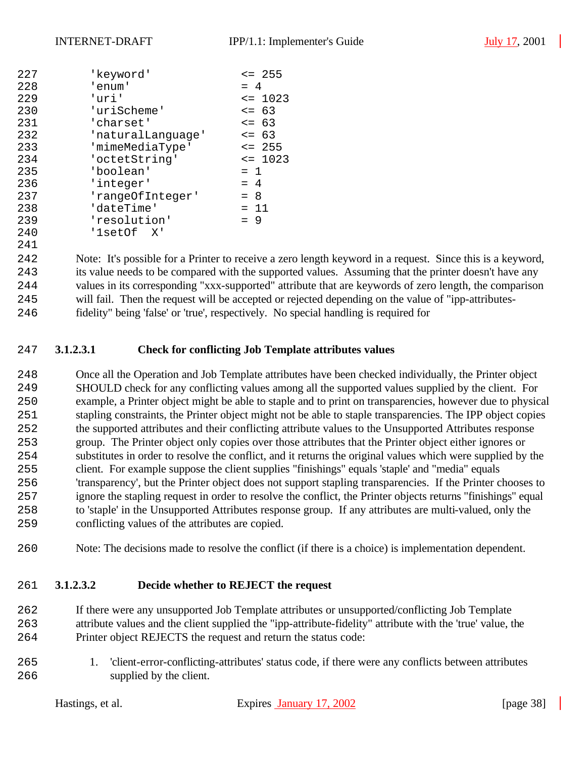| 227 | 'keyword'             | $\leq$ 255  |  |  |  |  |
|-----|-----------------------|-------------|--|--|--|--|
| 228 | 'enum'                | $= 4$       |  |  |  |  |
| 229 | 'uri'                 | $= 1023$    |  |  |  |  |
| 230 | 'uriScheme'           | $\leq$ 63   |  |  |  |  |
| 231 | 'charset'             | $\leq$ 63   |  |  |  |  |
| 232 | 'naturalLanquaqe'     | $\leq$ 63   |  |  |  |  |
| 233 | 'mimeMediaType'       | $\leq$ 255  |  |  |  |  |
| 234 | 'octetString'         | $\leq 1023$ |  |  |  |  |
| 235 | 'boolean'             | $= 1$       |  |  |  |  |
| 236 | 'integer'             | $= 4$       |  |  |  |  |
| 237 | 'rangeOfInteger'      | $= 8$       |  |  |  |  |
| 238 | 'dateTime'            | $= 11$      |  |  |  |  |
| 239 | 'resolution'<br>$= 9$ |             |  |  |  |  |
| 240 | 'lsetOf X'            |             |  |  |  |  |
| 241 |                       |             |  |  |  |  |

 Note: It's possible for a Printer to receive a zero length keyword in a request. Since this is a keyword, its value needs to be compared with the supported values. Assuming that the printer doesn't have any values in its corresponding "xxx-supported" attribute that are keywords of zero length, the comparison will fail. Then the request will be accepted or rejected depending on the value of "ipp-attributes-fidelity" being 'false' or 'true', respectively. No special handling is required for

#### **3.1.2.3.1 Check for conflicting Job Template attributes values**

 Once all the Operation and Job Template attributes have been checked individually, the Printer object SHOULD check for any conflicting values among all the supported values supplied by the client. For example, a Printer object might be able to staple and to print on transparencies, however due to physical stapling constraints, the Printer object might not be able to staple transparencies. The IPP object copies the supported attributes and their conflicting attribute values to the Unsupported Attributes response group. The Printer object only copies over those attributes that the Printer object either ignores or substitutes in order to resolve the conflict, and it returns the original values which were supplied by the client. For example suppose the client supplies "finishings" equals 'staple' and "media" equals 'transparency', but the Printer object does not support stapling transparencies. If the Printer chooses to ignore the stapling request in order to resolve the conflict, the Printer objects returns "finishings" equal to 'staple' in the Unsupported Attributes response group. If any attributes are multi-valued, only the conflicting values of the attributes are copied.

Note: The decisions made to resolve the conflict (if there is a choice) is implementation dependent.

#### **3.1.2.3.2 Decide whether to REJECT the request**

 If there were any unsupported Job Template attributes or unsupported/conflicting Job Template attribute values and the client supplied the "ipp-attribute-fidelity" attribute with the 'true' value, the Printer object REJECTS the request and return the status code:

 1. 'client-error-conflicting-attributes' status code, if there were any conflicts between attributes 266 supplied by the client.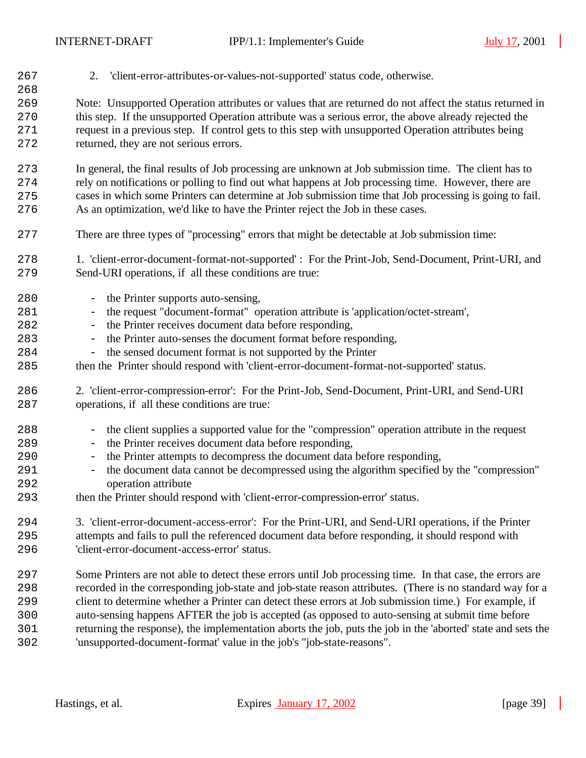| 267 | 2. 'client-error-attributes-or-values-not-supported' status code, otherwise.                                 |
|-----|--------------------------------------------------------------------------------------------------------------|
| 268 |                                                                                                              |
| 269 | Note: Unsupported Operation attributes or values that are returned do not affect the status returned in      |
| 270 | this step. If the unsupported Operation attribute was a serious error, the above already rejected the        |
| 271 | request in a previous step. If control gets to this step with unsupported Operation attributes being         |
| 272 | returned, they are not serious errors.                                                                       |
|     |                                                                                                              |
| 273 | In general, the final results of Job processing are unknown at Job submission time. The client has to        |
| 274 | rely on notifications or polling to find out what happens at Job processing time. However, there are         |
| 275 | cases in which some Printers can determine at Job submission time that Job processing is going to fail.      |
| 276 | As an optimization, we'd like to have the Printer reject the Job in these cases.                             |
|     |                                                                                                              |
| 277 | There are three types of "processing" errors that might be detectable at Job submission time:                |
| 278 | 1. 'client-error-document-format-not-supported': For the Print-Job, Send-Document, Print-URI, and            |
| 279 | Send-URI operations, if all these conditions are true:                                                       |
|     |                                                                                                              |
| 280 | - the Printer supports auto-sensing,                                                                         |
| 281 | - the request "document-format" operation attribute is 'application/octet-stream',                           |
| 282 | - the Printer receives document data before responding,                                                      |
| 283 | - the Printer auto-senses the document format before responding,                                             |
| 284 | - the sensed document format is not supported by the Printer                                                 |
| 285 | then the Printer should respond with 'client-error-document-format-not-supported' status.                    |
|     |                                                                                                              |
| 286 | 2. 'client-error-compression-error': For the Print-Job, Send-Document, Print-URI, and Send-URI               |
| 287 | operations, if all these conditions are true:                                                                |
|     |                                                                                                              |
| 288 | - the client supplies a supported value for the "compression" operation attribute in the request             |
| 289 | the Printer receives document data before responding,<br>$\equiv$                                            |
| 290 | the Printer attempts to decompress the document data before responding,<br>$\overline{\phantom{a}}$          |
| 291 | the document data cannot be decompressed using the algorithm specified by the "compression"                  |
| 292 | operation attribute                                                                                          |
| 293 | then the Printer should respond with 'client-error-compression-error' status.                                |
| 294 | 3. 'client-error-document-access-error': For the Print-URI, and Send-URI operations, if the Printer          |
| 295 | attempts and fails to pull the referenced document data before responding, it should respond with            |
| 296 | 'client-error-document-access-error' status.                                                                 |
|     |                                                                                                              |
| 297 | Some Printers are not able to detect these errors until Job processing time. In that case, the errors are    |
| 298 | recorded in the corresponding job-state and job-state reason attributes. (There is no standard way for a     |
| 299 | client to determine whether a Printer can detect these errors at Job submission time.) For example, if       |
| 300 | auto-sensing happens AFTER the job is accepted (as opposed to auto-sensing at submit time before             |
| 301 | returning the response), the implementation aborts the job, puts the job in the 'aborted' state and sets the |
| 302 | 'unsupported-document-format' value in the job's "job-state-reasons".                                        |
|     |                                                                                                              |

 $\overline{\phantom{a}}$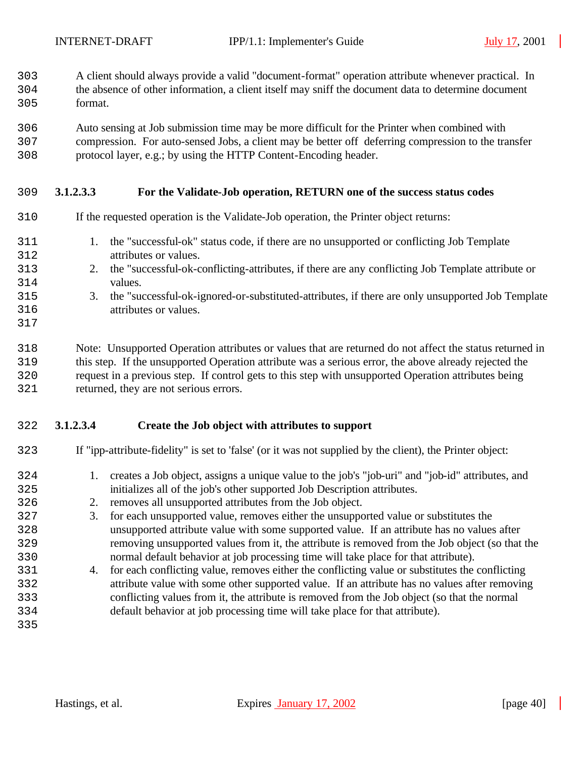- A client should always provide a valid "document-format" operation attribute whenever practical. In
- the absence of other information, a client itself may sniff the document data to determine document format.
- Auto sensing at Job submission time may be more difficult for the Printer when combined with
- compression. For auto-sensed Jobs, a client may be better off deferring compression to the transfer protocol layer, e.g.; by using the HTTP Content-Encoding header.
- **3.1.2.3.3 For the Validate-Job operation, RETURN one of the success status codes**
- If the requested operation is the Validate-Job operation, the Printer object returns:
- 1. the "successful-ok" status code, if there are no unsupported or conflicting Job Template attributes or values.
- 2. the "successful-ok-conflicting-attributes, if there are any conflicting Job Template attribute or values.
- 3. the "successful-ok-ignored-or-substituted-attributes, if there are only unsupported Job Template attributes or values.
- 

 Note: Unsupported Operation attributes or values that are returned do not affect the status returned in this step. If the unsupported Operation attribute was a serious error, the above already rejected the request in a previous step. If control gets to this step with unsupported Operation attributes being returned, they are not serious errors.

#### **3.1.2.3.4 Create the Job object with attributes to support**

- If "ipp-attribute-fidelity" is set to 'false' (or it was not supplied by the client), the Printer object:
	- 1. creates a Job object, assigns a unique value to the job's "job-uri" and "job-id" attributes, and initializes all of the job's other supported Job Description attributes.
	- 2. removes all unsupported attributes from the Job object.
	- 3. for each unsupported value, removes either the unsupported value or substitutes the unsupported attribute value with some supported value. If an attribute has no values after removing unsupported values from it, the attribute is removed from the Job object (so that the normal default behavior at job processing time will take place for that attribute).
	- 4. for each conflicting value, removes either the conflicting value or substitutes the conflicting attribute value with some other supported value. If an attribute has no values after removing conflicting values from it, the attribute is removed from the Job object (so that the normal default behavior at job processing time will take place for that attribute).
	-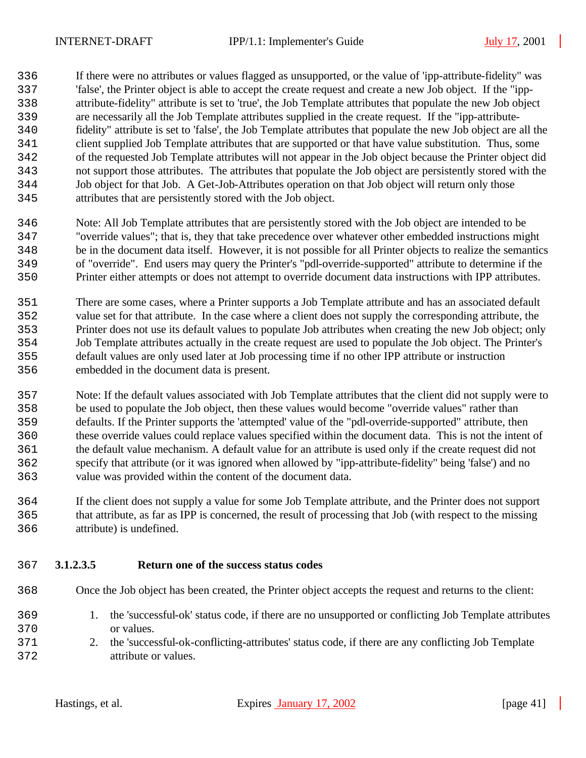If there were no attributes or values flagged as unsupported, or the value of 'ipp-attribute-fidelity" was 'false', the Printer object is able to accept the create request and create a new Job object. If the "ipp- attribute-fidelity" attribute is set to 'true', the Job Template attributes that populate the new Job object are necessarily all the Job Template attributes supplied in the create request. If the "ipp-attribute- fidelity" attribute is set to 'false', the Job Template attributes that populate the new Job object are all the client supplied Job Template attributes that are supported or that have value substitution. Thus, some of the requested Job Template attributes will not appear in the Job object because the Printer object did not support those attributes. The attributes that populate the Job object are persistently stored with the Job object for that Job. A Get-Job-Attributes operation on that Job object will return only those attributes that are persistently stored with the Job object.

 Note: All Job Template attributes that are persistently stored with the Job object are intended to be "override values"; that is, they that take precedence over whatever other embedded instructions might be in the document data itself. However, it is not possible for all Printer objects to realize the semantics of "override". End users may query the Printer's "pdl-override-supported" attribute to determine if the Printer either attempts or does not attempt to override document data instructions with IPP attributes.

 There are some cases, where a Printer supports a Job Template attribute and has an associated default value set for that attribute. In the case where a client does not supply the corresponding attribute, the Printer does not use its default values to populate Job attributes when creating the new Job object; only Job Template attributes actually in the create request are used to populate the Job object. The Printer's default values are only used later at Job processing time if no other IPP attribute or instruction embedded in the document data is present.

 Note: If the default values associated with Job Template attributes that the client did not supply were to be used to populate the Job object, then these values would become "override values" rather than defaults. If the Printer supports the 'attempted' value of the "pdl-override-supported" attribute, then these override values could replace values specified within the document data. This is not the intent of the default value mechanism. A default value for an attribute is used only if the create request did not specify that attribute (or it was ignored when allowed by "ipp-attribute-fidelity" being 'false') and no value was provided within the content of the document data.

 If the client does not supply a value for some Job Template attribute, and the Printer does not support that attribute, as far as IPP is concerned, the result of processing that Job (with respect to the missing attribute) is undefined.

#### **3.1.2.3.5 Return one of the success status codes**

Once the Job object has been created, the Printer object accepts the request and returns to the client:

- 1. the 'successful-ok' status code, if there are no unsupported or conflicting Job Template attributes or values.
- 2. the 'successful-ok-conflicting-attributes' status code, if there are any conflicting Job Template attribute or values.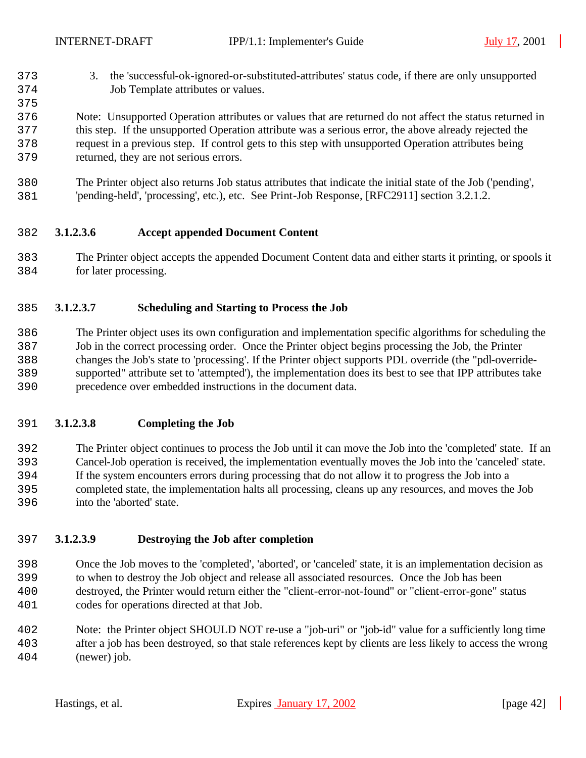- 3. the 'successful-ok-ignored-or-substituted-attributes' status code, if there are only unsupported Job Template attributes or values.
- Note: Unsupported Operation attributes or values that are returned do not affect the status returned in this step. If the unsupported Operation attribute was a serious error, the above already rejected the request in a previous step. If control gets to this step with unsupported Operation attributes being returned, they are not serious errors.
- The Printer object also returns Job status attributes that indicate the initial state of the Job ('pending', 'pending-held', 'processing', etc.), etc. See Print-Job Response, [RFC2911] section 3.2.1.2.

#### **3.1.2.3.6 Accept appended Document Content**

 The Printer object accepts the appended Document Content data and either starts it printing, or spools it for later processing.

#### **3.1.2.3.7 Scheduling and Starting to Process the Job**

 The Printer object uses its own configuration and implementation specific algorithms for scheduling the Job in the correct processing order. Once the Printer object begins processing the Job, the Printer changes the Job's state to 'processing'. If the Printer object supports PDL override (the "pdl-override- supported" attribute set to 'attempted'), the implementation does its best to see that IPP attributes take precedence over embedded instructions in the document data.

#### **3.1.2.3.8 Completing the Job**

 The Printer object continues to process the Job until it can move the Job into the 'completed' state. If an Cancel-Job operation is received, the implementation eventually moves the Job into the 'canceled' state. If the system encounters errors during processing that do not allow it to progress the Job into a completed state, the implementation halts all processing, cleans up any resources, and moves the Job into the 'aborted' state.

#### **3.1.2.3.9 Destroying the Job after completion**

 Once the Job moves to the 'completed', 'aborted', or 'canceled' state, it is an implementation decision as to when to destroy the Job object and release all associated resources. Once the Job has been destroyed, the Printer would return either the "client-error-not-found" or "client-error-gone" status codes for operations directed at that Job.

 Note: the Printer object SHOULD NOT re-use a "job-uri" or "job-id" value for a sufficiently long time after a job has been destroyed, so that stale references kept by clients are less likely to access the wrong (newer) job.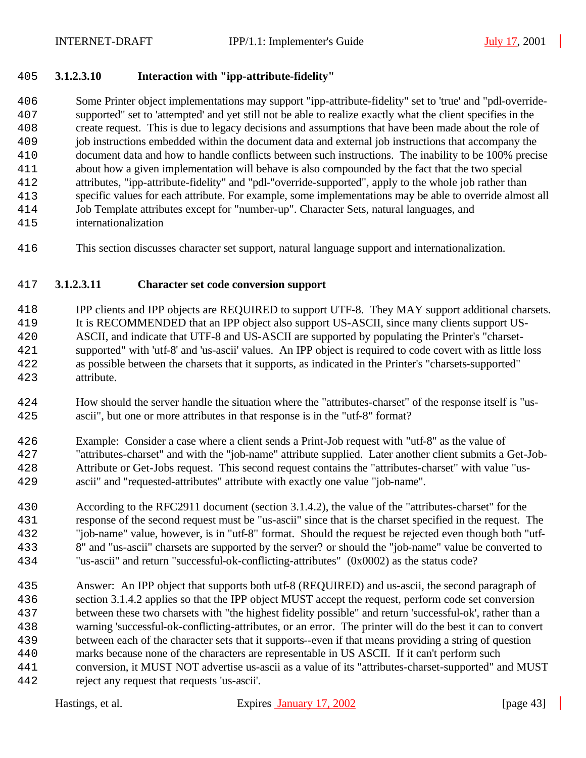#### **3.1.2.3.10 Interaction with "ipp-attribute-fidelity"**

 Some Printer object implementations may support "ipp-attribute-fidelity" set to 'true' and "pdl-override- supported" set to 'attempted' and yet still not be able to realize exactly what the client specifies in the create request. This is due to legacy decisions and assumptions that have been made about the role of job instructions embedded within the document data and external job instructions that accompany the document data and how to handle conflicts between such instructions. The inability to be 100% precise about how a given implementation will behave is also compounded by the fact that the two special attributes, "ipp-attribute-fidelity" and "pdl-"override-supported", apply to the whole job rather than specific values for each attribute. For example, some implementations may be able to override almost all Job Template attributes except for "number-up". Character Sets, natural languages, and internationalization

This section discusses character set support, natural language support and internationalization.

#### **3.1.2.3.11 Character set code conversion support**

 IPP clients and IPP objects are REQUIRED to support UTF-8. They MAY support additional charsets. It is RECOMMENDED that an IPP object also support US-ASCII, since many clients support US- ASCII, and indicate that UTF-8 and US-ASCII are supported by populating the Printer's "charset- supported" with 'utf-8' and 'us-ascii' values. An IPP object is required to code covert with as little loss as possible between the charsets that it supports, as indicated in the Printer's "charsets-supported" attribute.

- How should the server handle the situation where the "attributes-charset" of the response itself is "us-ascii", but one or more attributes in that response is in the "utf-8" format?
- Example: Consider a case where a client sends a Print-Job request with "utf-8" as the value of "attributes-charset" and with the "job-name" attribute supplied. Later another client submits a Get-Job- Attribute or Get-Jobs request. This second request contains the "attributes-charset" with value "us-ascii" and "requested-attributes" attribute with exactly one value "job-name".
- According to the RFC2911 document (section 3.1.4.2), the value of the "attributes-charset" for the response of the second request must be "us-ascii" since that is the charset specified in the request. The "job-name" value, however, is in "utf-8" format. Should the request be rejected even though both "utf- 8" and "us-ascii" charsets are supported by the server? or should the "job-name" value be converted to "us-ascii" and return "successful-ok-conflicting-attributes" (0x0002) as the status code?
- Answer: An IPP object that supports both utf-8 (REQUIRED) and us-ascii, the second paragraph of section 3.1.4.2 applies so that the IPP object MUST accept the request, perform code set conversion between these two charsets with "the highest fidelity possible" and return 'successful-ok', rather than a warning 'successful-ok-conflicting-attributes, or an error. The printer will do the best it can to convert between each of the character sets that it supports--even if that means providing a string of question marks because none of the characters are representable in US ASCII. If it can't perform such conversion, it MUST NOT advertise us-ascii as a value of its "attributes-charset-supported" and MUST reject any request that requests 'us-ascii'.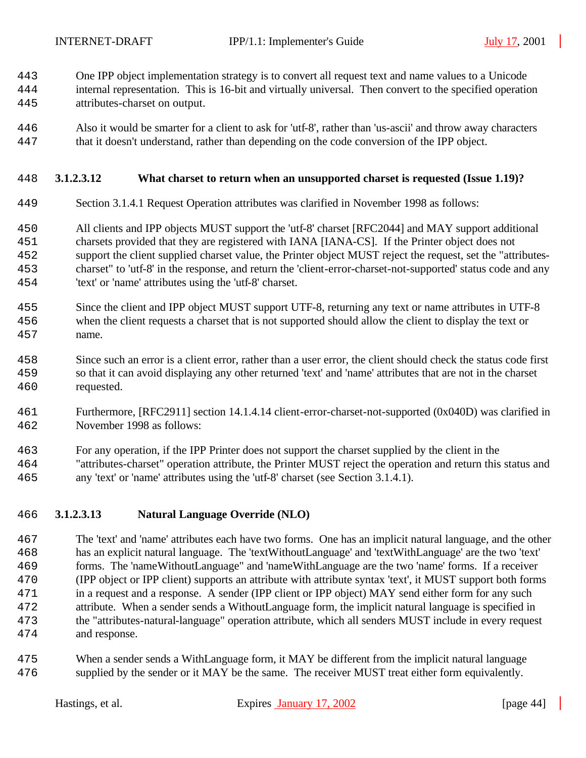- One IPP object implementation strategy is to convert all request text and name values to a Unicode
- internal representation. This is 16-bit and virtually universal. Then convert to the specified operation attributes-charset on output.
- Also it would be smarter for a client to ask for 'utf-8', rather than 'us-ascii' and throw away characters that it doesn't understand, rather than depending on the code conversion of the IPP object.

#### **3.1.2.3.12 What charset to return when an unsupported charset is requested (Issue 1.19)?**

- Section 3.1.4.1 Request Operation attributes was clarified in November 1998 as follows:
- All clients and IPP objects MUST support the 'utf-8' charset [RFC2044] and MAY support additional charsets provided that they are registered with IANA [IANA-CS]. If the Printer object does not support the client supplied charset value, the Printer object MUST reject the request, set the "attributes- charset" to 'utf-8' in the response, and return the 'client-error-charset-not-supported' status code and any 'text' or 'name' attributes using the 'utf-8' charset.
- Since the client and IPP object MUST support UTF-8, returning any text or name attributes in UTF-8 when the client requests a charset that is not supported should allow the client to display the text or name.
- Since such an error is a client error, rather than a user error, the client should check the status code first so that it can avoid displaying any other returned 'text' and 'name' attributes that are not in the charset requested.
- Furthermore, [RFC2911] section 14.1.4.14 client-error-charset-not-supported (0x040D) was clarified in November 1998 as follows:
- For any operation, if the IPP Printer does not support the charset supplied by the client in the
- "attributes-charset" operation attribute, the Printer MUST reject the operation and return this status and any 'text' or 'name' attributes using the 'utf-8' charset (see Section 3.1.4.1).

#### **3.1.2.3.13 Natural Language Override (NLO)**

- The 'text' and 'name' attributes each have two forms. One has an implicit natural language, and the other has an explicit natural language. The 'textWithoutLanguage' and 'textWithLanguage' are the two 'text' forms. The 'nameWithoutLanguage" and 'nameWithLanguage are the two 'name' forms. If a receiver (IPP object or IPP client) supports an attribute with attribute syntax 'text', it MUST support both forms in a request and a response. A sender (IPP client or IPP object) MAY send either form for any such attribute. When a sender sends a WithoutLanguage form, the implicit natural language is specified in the "attributes-natural-language" operation attribute, which all senders MUST include in every request and response.
- When a sender sends a WithLanguage form, it MAY be different from the implicit natural language supplied by the sender or it MAY be the same. The receiver MUST treat either form equivalently.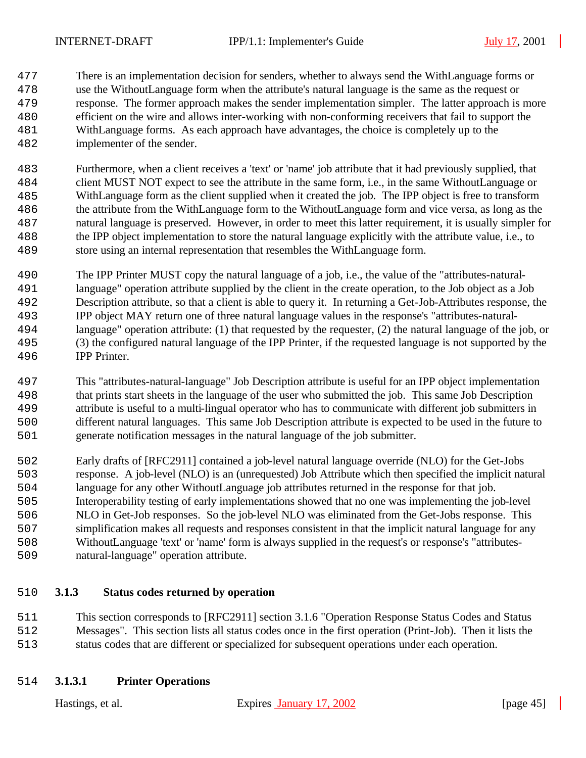There is an implementation decision for senders, whether to always send the WithLanguage forms or use the WithoutLanguage form when the attribute's natural language is the same as the request or response. The former approach makes the sender implementation simpler. The latter approach is more efficient on the wire and allows inter-working with non-conforming receivers that fail to support the WithLanguage forms. As each approach have advantages, the choice is completely up to the implementer of the sender.

 Furthermore, when a client receives a 'text' or 'name' job attribute that it had previously supplied, that client MUST NOT expect to see the attribute in the same form, i.e., in the same WithoutLanguage or WithLanguage form as the client supplied when it created the job. The IPP object is free to transform the attribute from the WithLanguage form to the WithoutLanguage form and vice versa, as long as the natural language is preserved. However, in order to meet this latter requirement, it is usually simpler for the IPP object implementation to store the natural language explicitly with the attribute value, i.e., to store using an internal representation that resembles the WithLanguage form.

 The IPP Printer MUST copy the natural language of a job, i.e., the value of the "attributes-natural- language" operation attribute supplied by the client in the create operation, to the Job object as a Job Description attribute, so that a client is able to query it. In returning a Get-Job-Attributes response, the IPP object MAY return one of three natural language values in the response's "attributes-natural- language" operation attribute: (1) that requested by the requester, (2) the natural language of the job, or (3) the configured natural language of the IPP Printer, if the requested language is not supported by the IPP Printer.

 This "attributes-natural-language" Job Description attribute is useful for an IPP object implementation that prints start sheets in the language of the user who submitted the job. This same Job Description attribute is useful to a multi-lingual operator who has to communicate with different job submitters in different natural languages. This same Job Description attribute is expected to be used in the future to generate notification messages in the natural language of the job submitter.

 Early drafts of [RFC2911] contained a job-level natural language override (NLO) for the Get-Jobs response. A job-level (NLO) is an (unrequested) Job Attribute which then specified the implicit natural language for any other WithoutLanguage job attributes returned in the response for that job. Interoperability testing of early implementations showed that no one was implementing the job-level NLO in Get-Job responses. So the job-level NLO was eliminated from the Get-Jobs response. This simplification makes all requests and responses consistent in that the implicit natural language for any WithoutLanguage 'text' or 'name' form is always supplied in the request's or response's "attributes-

natural-language" operation attribute.

#### **3.1.3 Status codes returned by operation**

 This section corresponds to [RFC2911] section 3.1.6 "Operation Response Status Codes and Status Messages". This section lists all status codes once in the first operation (Print-Job). Then it lists the status codes that are different or specialized for subsequent operations under each operation.

#### **3.1.3.1 Printer Operations**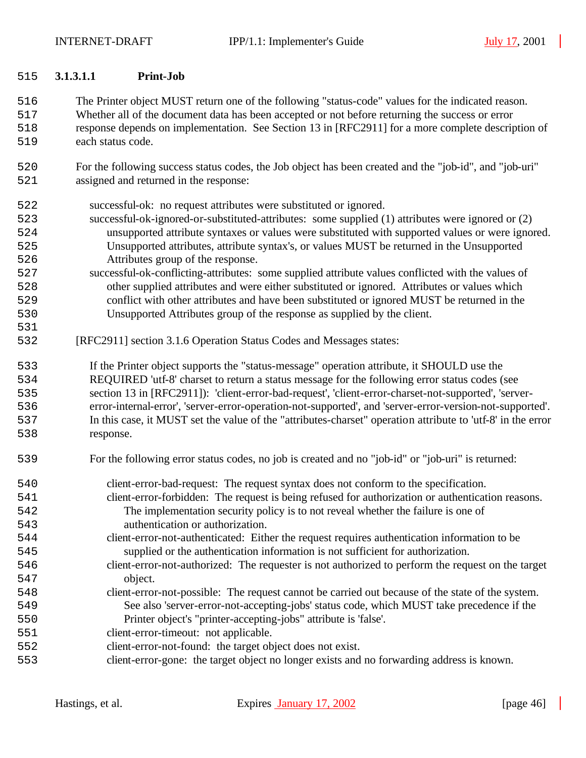#### **3.1.3.1.1 Print-Job**

 The Printer object MUST return one of the following "status-code" values for the indicated reason. Whether all of the document data has been accepted or not before returning the success or error response depends on implementation. See Section 13 in [RFC2911] for a more complete description of each status code.

 For the following success status codes, the Job object has been created and the "job-id", and "job-uri" assigned and returned in the response:

successful-ok: no request attributes were substituted or ignored.

- successful-ok-ignored-or-substituted-attributes: some supplied (1) attributes were ignored or (2) unsupported attribute syntaxes or values were substituted with supported values or were ignored. Unsupported attributes, attribute syntax's, or values MUST be returned in the Unsupported Attributes group of the response.
- successful-ok-conflicting-attributes: some supplied attribute values conflicted with the values of other supplied attributes and were either substituted or ignored. Attributes or values which conflict with other attributes and have been substituted or ignored MUST be returned in the Unsupported Attributes group of the response as supplied by the client.
- [RFC2911] section 3.1.6 Operation Status Codes and Messages states:

 If the Printer object supports the "status-message" operation attribute, it SHOULD use the REQUIRED 'utf-8' charset to return a status message for the following error status codes (see section 13 in [RFC2911]): 'client-error-bad-request', 'client-error-charset-not-supported', 'server- error-internal-error', 'server-error-operation-not-supported', and 'server-error-version-not-supported'. In this case, it MUST set the value of the "attributes-charset" operation attribute to 'utf-8' in the error response.

- For the following error status codes, no job is created and no "job-id" or "job-uri" is returned:
- client-error-bad-request: The request syntax does not conform to the specification. client-error-forbidden: The request is being refused for authorization or authentication reasons. The implementation security policy is to not reveal whether the failure is one of authentication or authorization.
- client-error-not-authenticated: Either the request requires authentication information to be supplied or the authentication information is not sufficient for authorization.
- client-error-not-authorized: The requester is not authorized to perform the request on the target object.
- client-error-not-possible: The request cannot be carried out because of the state of the system. See also 'server-error-not-accepting-jobs' status code, which MUST take precedence if the Printer object's "printer-accepting-jobs" attribute is 'false'.
- client-error-timeout: not applicable.
- client-error-not-found: the target object does not exist.
- client-error-gone: the target object no longer exists and no forwarding address is known.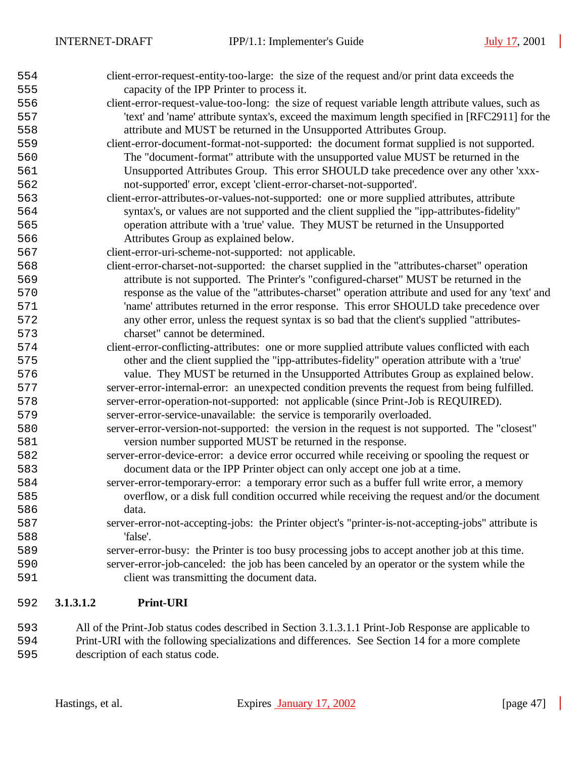| 554 |           | client-error-request-entity-too-large: the size of the request and/or print data exceeds the       |
|-----|-----------|----------------------------------------------------------------------------------------------------|
| 555 |           | capacity of the IPP Printer to process it.                                                         |
| 556 |           | client-error-request-value-too-long: the size of request variable length attribute values, such as |
| 557 |           | 'text' and 'name' attribute syntax's, exceed the maximum length specified in [RFC2911] for the     |
| 558 |           | attribute and MUST be returned in the Unsupported Attributes Group.                                |
| 559 |           | client-error-document-format-not-supported: the document format supplied is not supported.         |
| 560 |           | The "document-format" attribute with the unsupported value MUST be returned in the                 |
| 561 |           | Unsupported Attributes Group. This error SHOULD take precedence over any other 'xxx-               |
| 562 |           | not-supported' error, except 'client-error-charset-not-supported'.                                 |
| 563 |           | client-error-attributes-or-values-not-supported: one or more supplied attributes, attribute        |
| 564 |           | syntax's, or values are not supported and the client supplied the "ipp-attributes-fidelity"        |
| 565 |           | operation attribute with a 'true' value. They MUST be returned in the Unsupported                  |
| 566 |           | Attributes Group as explained below.                                                               |
| 567 |           | client-error-uri-scheme-not-supported: not applicable.                                             |
| 568 |           | client-error-charset-not-supported: the charset supplied in the "attributes-charset" operation     |
| 569 |           | attribute is not supported. The Printer's "configured-charset" MUST be returned in the             |
| 570 |           | response as the value of the "attributes-charset" operation attribute and used for any 'text' and  |
| 571 |           | 'name' attributes returned in the error response. This error SHOULD take precedence over           |
| 572 |           | any other error, unless the request syntax is so bad that the client's supplied "attributes-       |
| 573 |           | charset" cannot be determined.                                                                     |
| 574 |           | client-error-conflicting-attributes: one or more supplied attribute values conflicted with each    |
| 575 |           | other and the client supplied the "ipp-attributes-fidelity" operation attribute with a 'true'      |
| 576 |           | value. They MUST be returned in the Unsupported Attributes Group as explained below.               |
| 577 |           | server-error-internal-error: an unexpected condition prevents the request from being fulfilled.    |
| 578 |           | server-error-operation-not-supported: not applicable (since Print-Job is REQUIRED).                |
| 579 |           | server-error-service-unavailable: the service is temporarily overloaded.                           |
| 580 |           | server-error-version-not-supported: the version in the request is not supported. The "closest"     |
| 581 |           | version number supported MUST be returned in the response.                                         |
| 582 |           | server-error-device-error: a device error occurred while receiving or spooling the request or      |
| 583 |           | document data or the IPP Printer object can only accept one job at a time.                         |
| 584 |           | server-error-temporary-error: a temporary error such as a buffer full write error, a memory        |
| 585 |           | overflow, or a disk full condition occurred while receiving the request and/or the document        |
| 586 |           | data.                                                                                              |
| 587 |           | server-error-not-accepting-jobs: the Printer object's "printer-is-not-accepting-jobs" attribute is |
| 588 |           | 'false'.                                                                                           |
| 589 |           | server-error-busy: the Printer is too busy processing jobs to accept another job at this time.     |
| 590 |           | server-error-job-canceled: the job has been canceled by an operator or the system while the        |
| 591 |           | client was transmitting the document data.                                                         |
| 592 | 3.1.3.1.2 | <b>Print-URI</b>                                                                                   |
|     |           |                                                                                                    |

 All of the Print-Job status codes described in Section 3.1.3.1.1 Print-Job Response are applicable to Print-URI with the following specializations and differences. See Section 14 for a more complete description of each status code.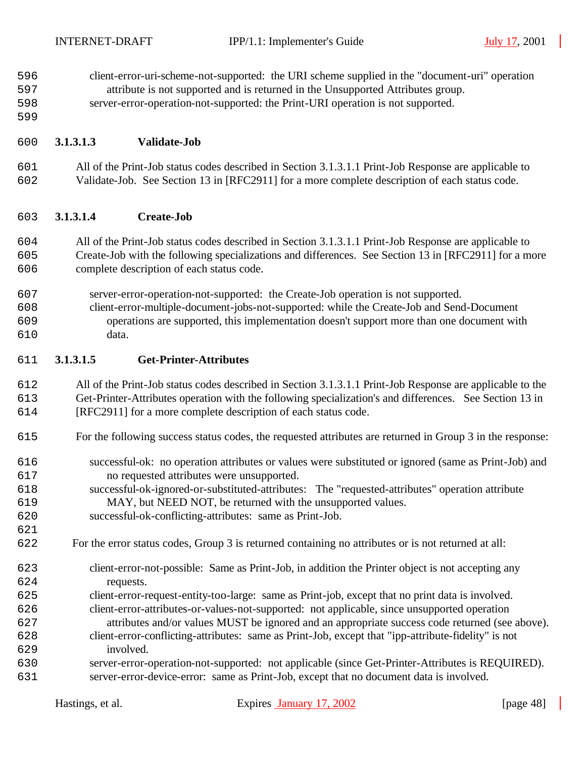client-error-uri-scheme-not-supported: the URI scheme supplied in the "document-uri" operation attribute is not supported and is returned in the Unsupported Attributes group.

- server-error-operation-not-supported: the Print-URI operation is not supported.
- 

#### **3.1.3.1.3 Validate-Job**

 All of the Print-Job status codes described in Section 3.1.3.1.1 Print-Job Response are applicable to Validate-Job. See Section 13 in [RFC2911] for a more complete description of each status code.

#### **3.1.3.1.4 Create-Job**

 All of the Print-Job status codes described in Section 3.1.3.1.1 Print-Job Response are applicable to Create-Job with the following specializations and differences. See Section 13 in [RFC2911] for a more complete description of each status code.

- server-error-operation-not-supported: the Create-Job operation is not supported.
- client-error-multiple-document-jobs-not-supported: while the Create-Job and Send-Document operations are supported, this implementation doesn't support more than one document with data.

#### **3.1.3.1.5 Get-Printer-Attributes**

 All of the Print-Job status codes described in Section 3.1.3.1.1 Print-Job Response are applicable to the Get-Printer-Attributes operation with the following specialization's and differences. See Section 13 in [RFC2911] for a more complete description of each status code.

- For the following success status codes, the requested attributes are returned in Group 3 in the response:
- successful-ok: no operation attributes or values were substituted or ignored (same as Print-Job) and no requested attributes were unsupported.
- successful-ok-ignored-or-substituted-attributes: The "requested-attributes" operation attribute MAY, but NEED NOT, be returned with the unsupported values.
- successful-ok-conflicting-attributes: same as Print-Job.
- For the error status codes, Group 3 is returned containing no attributes or is not returned at all:
- client-error-not-possible: Same as Print-Job, in addition the Printer object is not accepting any requests.
- client-error-request-entity-too-large: same as Print-job, except that no print data is involved. client-error-attributes-or-values-not-supported: not applicable, since unsupported operation attributes and/or values MUST be ignored and an appropriate success code returned (see above).
- client-error-conflicting-attributes: same as Print-Job, except that "ipp-attribute-fidelity" is not involved.
- server-error-operation-not-supported: not applicable (since Get-Printer-Attributes is REQUIRED). server-error-device-error: same as Print-Job, except that no document data is involved.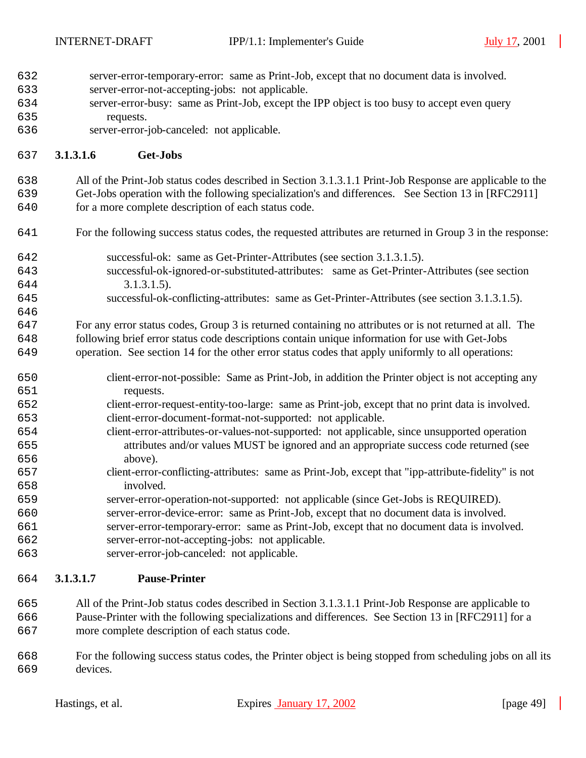- server-error-temporary-error: same as Print-Job, except that no document data is involved.
- server-error-not-accepting-jobs: not applicable.
- server-error-busy: same as Print-Job, except the IPP object is too busy to accept even query requests.
- server-error-job-canceled: not applicable.

#### **3.1.3.1.6 Get-Jobs**

 All of the Print-Job status codes described in Section 3.1.3.1.1 Print-Job Response are applicable to the Get-Jobs operation with the following specialization's and differences. See Section 13 in [RFC2911]

for a more complete description of each status code.

- For the following success status codes, the requested attributes are returned in Group 3 in the response:
- successful-ok: same as Get-Printer-Attributes (see section 3.1.3.1.5).
- successful-ok-ignored-or-substituted-attributes: same as Get-Printer-Attributes (see section 644 3.1.3.1.5).
- successful-ok-conflicting-attributes: same as Get-Printer-Attributes (see section 3.1.3.1.5).

 For any error status codes, Group 3 is returned containing no attributes or is not returned at all. The following brief error status code descriptions contain unique information for use with Get-Jobs

- operation. See section 14 for the other error status codes that apply uniformly to all operations:
- client-error-not-possible: Same as Print-Job, in addition the Printer object is not accepting any requests.
- client-error-request-entity-too-large: same as Print-job, except that no print data is involved. client-error-document-format-not-supported: not applicable.
- client-error-attributes-or-values-not-supported: not applicable, since unsupported operation attributes and/or values MUST be ignored and an appropriate success code returned (see above).
- client-error-conflicting-attributes: same as Print-Job, except that "ipp-attribute-fidelity" is not involved.
- server-error-operation-not-supported: not applicable (since Get-Jobs is REQUIRED).
- server-error-device-error: same as Print-Job, except that no document data is involved.
- server-error-temporary-error: same as Print-Job, except that no document data is involved.
- server-error-not-accepting-jobs: not applicable.
- server-error-job-canceled: not applicable.

#### **3.1.3.1.7 Pause-Printer**

- All of the Print-Job status codes described in Section 3.1.3.1.1 Print-Job Response are applicable to Pause-Printer with the following specializations and differences. See Section 13 in [RFC2911] for a more complete description of each status code.
- For the following success status codes, the Printer object is being stopped from scheduling jobs on all its devices.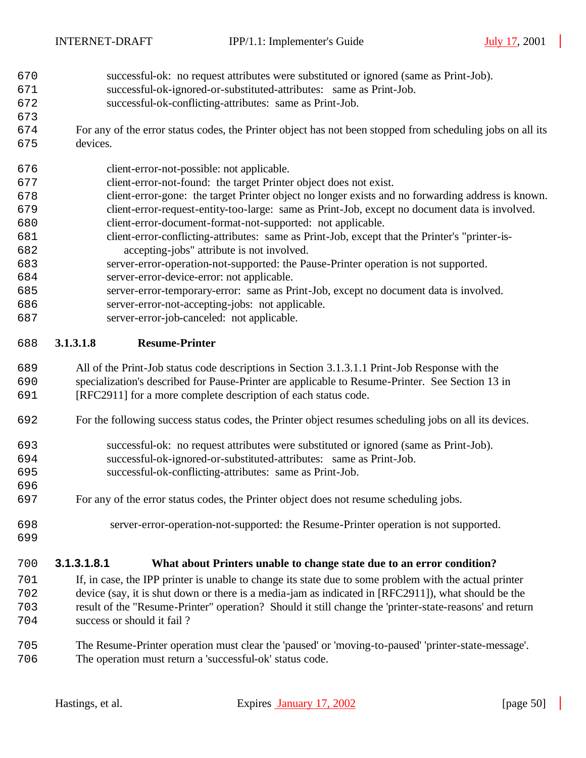- successful-ok: no request attributes were substituted or ignored (same as Print-Job).
- successful-ok-ignored-or-substituted-attributes: same as Print-Job.
- successful-ok-conflicting-attributes: same as Print-Job.
- For any of the error status codes, the Printer object has not been stopped from scheduling jobs on all its devices.
- client-error-not-possible: not applicable.
- client-error-not-found: the target Printer object does not exist.
- client-error-gone: the target Printer object no longer exists and no forwarding address is known. client-error-request-entity-too-large: same as Print-Job, except no document data is involved.
- client-error-document-format-not-supported: not applicable.
- client-error-conflicting-attributes: same as Print-Job, except that the Printer's "printer-is-accepting-jobs" attribute is not involved.
- server-error-operation-not-supported: the Pause-Printer operation is not supported. server-error-device-error: not applicable.
- server-error-temporary-error: same as Print-Job, except no document data is involved.
- server-error-not-accepting-jobs: not applicable.

server-error-job-canceled: not applicable.

#### **3.1.3.1.8 Resume-Printer**

- All of the Print-Job status code descriptions in Section 3.1.3.1.1 Print-Job Response with the specialization's described for Pause-Printer are applicable to Resume-Printer. See Section 13 in [RFC2911] for a more complete description of each status code.
- For the following success status codes, the Printer object resumes scheduling jobs on all its devices.
- successful-ok: no request attributes were substituted or ignored (same as Print-Job).
- successful-ok-ignored-or-substituted-attributes: same as Print-Job.
- successful-ok-conflicting-attributes: same as Print-Job.
- For any of the error status codes, the Printer object does not resume scheduling jobs.
- 

- server-error-operation-not-supported: the Resume-Printer operation is not supported.
- 

#### **3.1.3.1.8.1 What about Printers unable to change state due to an error condition?**

- If, in case, the IPP printer is unable to change its state due to some problem with the actual printer device (say, it is shut down or there is a media-jam as indicated in [RFC2911]), what should be the result of the "Resume-Printer" operation? Should it still change the 'printer-state-reasons' and return success or should it fail ?
- The Resume-Printer operation must clear the 'paused' or 'moving-to-paused' 'printer-state-message'. The operation must return a 'successful-ok' status code.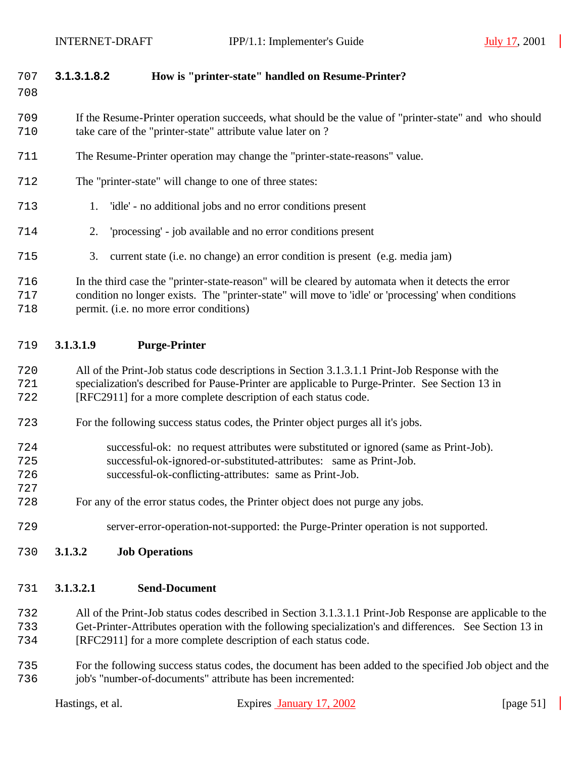#### **3.1.3.1.8.2 How is "printer-state" handled on Resume-Printer?**

 If the Resume-Printer operation succeeds, what should be the value of "printer-state" and who should take care of the "printer-state" attribute value later on ?

- The Resume-Printer operation may change the "printer-state-reasons" value.
- The "printer-state" will change to one of three states:
- 1. 'idle' no additional jobs and no error conditions present
- 2. 'processing' job available and no error conditions present
- 3. current state (i.e. no change) an error condition is present (e.g. media jam)

 In the third case the "printer-state-reason" will be cleared by automata when it detects the error condition no longer exists. The "printer-state" will move to 'idle' or 'processing' when conditions permit. (i.e. no more error conditions)

#### **3.1.3.1.9 Purge-Printer**

 All of the Print-Job status code descriptions in Section 3.1.3.1.1 Print-Job Response with the specialization's described for Pause-Printer are applicable to Purge-Printer. See Section 13 in [RFC2911] for a more complete description of each status code.

- For the following success status codes, the Printer object purges all it's jobs.
- successful-ok: no request attributes were substituted or ignored (same as Print-Job).
- successful-ok-ignored-or-substituted-attributes: same as Print-Job.
- successful-ok-conflicting-attributes: same as Print-Job.
- For any of the error status codes, the Printer object does not purge any jobs.
- server-error-operation-not-supported: the Purge-Printer operation is not supported.
- **3.1.3.2 Job Operations**

#### **3.1.3.2.1 Send-Document**

 All of the Print-Job status codes described in Section 3.1.3.1.1 Print-Job Response are applicable to the Get-Printer-Attributes operation with the following specialization's and differences. See Section 13 in [RFC2911] for a more complete description of each status code.

 For the following success status codes, the document has been added to the specified Job object and the job's "number-of-documents" attribute has been incremented: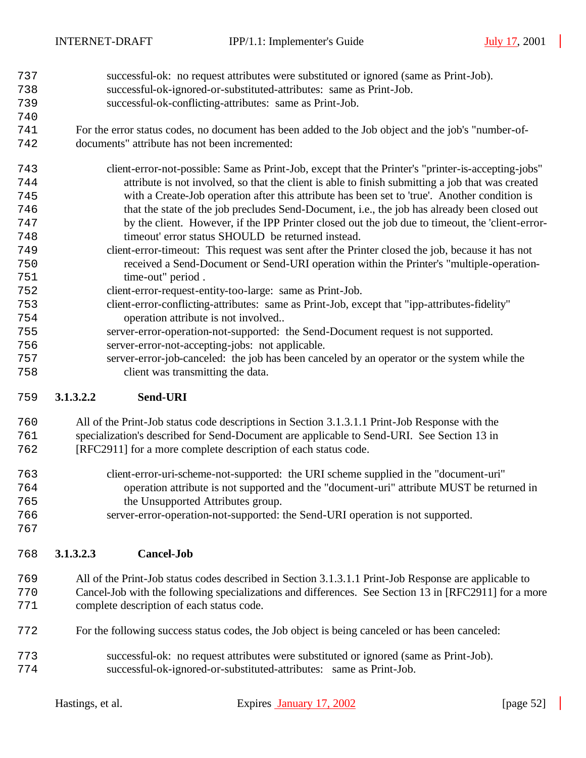- successful-ok: no request attributes were substituted or ignored (same as Print-Job). successful-ok-ignored-or-substituted-attributes: same as Print-Job.
- successful-ok-conflicting-attributes: same as Print-Job.
- For the error status codes, no document has been added to the Job object and the job's "number-of-documents" attribute has not been incremented:
- client-error-not-possible: Same as Print-Job, except that the Printer's "printer-is-accepting-jobs" attribute is not involved, so that the client is able to finish submitting a job that was created with a Create-Job operation after this attribute has been set to 'true'. Another condition is that the state of the job precludes Send-Document, i.e., the job has already been closed out by the client. However, if the IPP Printer closed out the job due to timeout, the 'client-error- timeout' error status SHOULD be returned instead. client-error-timeout: This request was sent after the Printer closed the job, because it has not received a Send-Document or Send-URI operation within the Printer's "multiple-operation-
- 751 time-out" period . client-error-request-entity-too-large: same as Print-Job.
- client-error-conflicting-attributes: same as Print-Job, except that "ipp-attributes-fidelity" operation attribute is not involved..
- server-error-operation-not-supported: the Send-Document request is not supported.
- server-error-not-accepting-jobs: not applicable.
- server-error-job-canceled: the job has been canceled by an operator or the system while the client was transmitting the data.

#### **3.1.3.2.2 Send-URI**

- All of the Print-Job status code descriptions in Section 3.1.3.1.1 Print-Job Response with the specialization's described for Send-Document are applicable to Send-URI. See Section 13 in
- [RFC2911] for a more complete description of each status code.
- client-error-uri-scheme-not-supported: the URI scheme supplied in the "document-uri" operation attribute is not supported and the "document-uri" attribute MUST be returned in the Unsupported Attributes group.
- server-error-operation-not-supported: the Send-URI operation is not supported.
- 

- **3.1.3.2.3 Cancel-Job**
- All of the Print-Job status codes described in Section 3.1.3.1.1 Print-Job Response are applicable to Cancel-Job with the following specializations and differences. See Section 13 in [RFC2911] for a more complete description of each status code.
- For the following success status codes, the Job object is being canceled or has been canceled:
- successful-ok: no request attributes were substituted or ignored (same as Print-Job). successful-ok-ignored-or-substituted-attributes: same as Print-Job.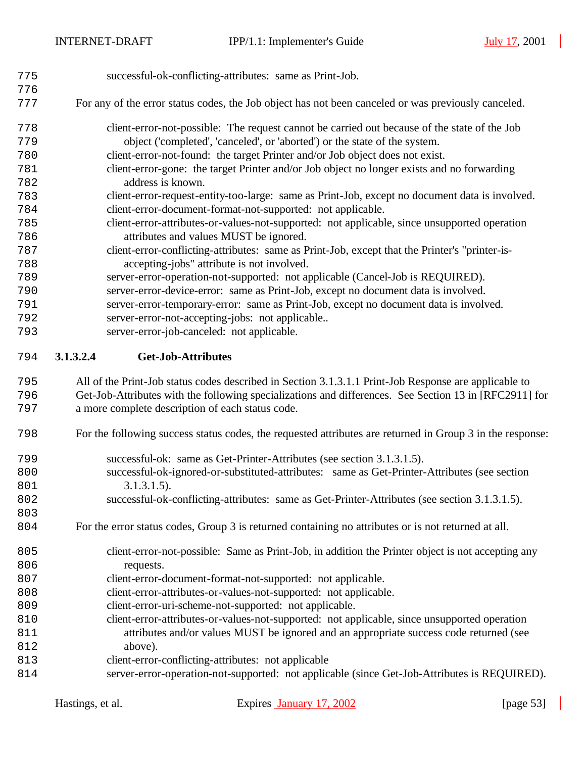| 775<br>776 | successful-ok-conflicting-attributes: same as Print-Job.                                                  |
|------------|-----------------------------------------------------------------------------------------------------------|
| 777        | For any of the error status codes, the Job object has not been canceled or was previously canceled.       |
| 778        | client-error-not-possible: The request cannot be carried out because of the state of the Job              |
| 779        | object ('completed', 'canceled', or 'aborted') or the state of the system.                                |
| 780        | client-error-not-found: the target Printer and/or Job object does not exist.                              |
| 781        | client-error-gone: the target Printer and/or Job object no longer exists and no forwarding                |
| 782        | address is known.                                                                                         |
| 783        | client-error-request-entity-too-large: same as Print-Job, except no document data is involved.            |
| 784        | client-error-document-format-not-supported: not applicable.                                               |
| 785        | client-error-attributes-or-values-not-supported: not applicable, since unsupported operation              |
| 786        | attributes and values MUST be ignored.                                                                    |
| 787        | client-error-conflicting-attributes: same as Print-Job, except that the Printer's "printer-is-            |
| 788        | accepting-jobs" attribute is not involved.                                                                |
| 789        | server-error-operation-not-supported: not applicable (Cancel-Job is REQUIRED).                            |
| 790        | server-error-device-error: same as Print-Job, except no document data is involved.                        |
| 791        | server-error-temporary-error: same as Print-Job, except no document data is involved.                     |
| 792        | server-error-not-accepting-jobs: not applicable                                                           |
| 793        | server-error-job-canceled: not applicable.                                                                |
| 794        | <b>Get-Job-Attributes</b><br>3.1.3.2.4                                                                    |
| 795        | All of the Print-Job status codes described in Section 3.1.3.1.1 Print-Job Response are applicable to     |
| 796        | Get-Job-Attributes with the following specializations and differences. See Section 13 in [RFC2911] for    |
| 797        | a more complete description of each status code.                                                          |
| 798        | For the following success status codes, the requested attributes are returned in Group 3 in the response: |

- successful-ok: same as Get-Printer-Attributes (see section 3.1.3.1.5).
- successful-ok-ignored-or-substituted-attributes: same as Get-Printer-Attributes (see section 801 3.1.3.1.5).
- successful-ok-conflicting-attributes: same as Get-Printer-Attributes (see section 3.1.3.1.5).
- For the error status codes, Group 3 is returned containing no attributes or is not returned at all.
- client-error-not-possible: Same as Print-Job, in addition the Printer object is not accepting any 806 requests.
- client-error-document-format-not-supported: not applicable.
- client-error-attributes-or-values-not-supported: not applicable.
- client-error-uri-scheme-not-supported: not applicable.
- client-error-attributes-or-values-not-supported: not applicable, since unsupported operation attributes and/or values MUST be ignored and an appropriate success code returned (see 812 above).
- client-error-conflicting-attributes: not applicable
- server-error-operation-not-supported: not applicable (since Get-Job-Attributes is REQUIRED).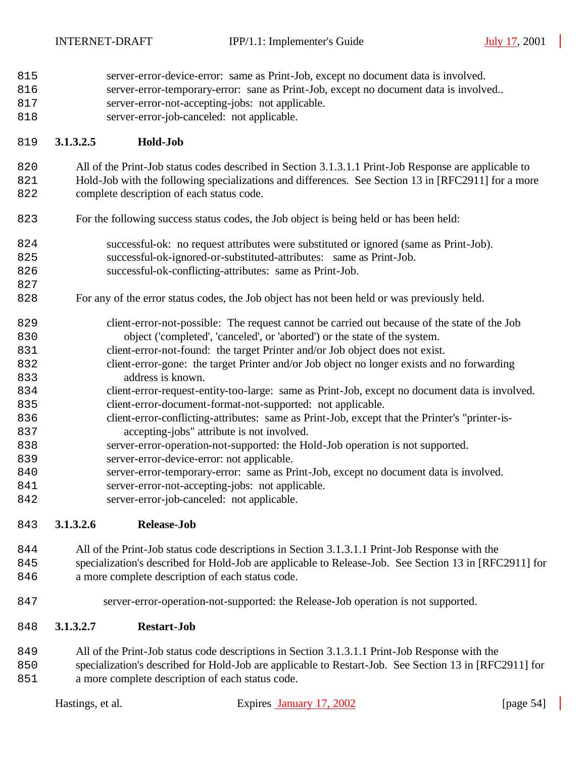| 815<br>816<br>817<br>818                                                                       | server-error-device-error: same as Print-Job, except no document data is involved.<br>server-error-temporary-error: sane as Print-Job, except no document data is involved<br>server-error-not-accepting-jobs: not applicable.<br>server-error-job-canceled: not applicable.                                                                                                                                                                                                                                                                                                                                                                                                                                                                                                                                                                                                                                                                                                                                              |  |
|------------------------------------------------------------------------------------------------|---------------------------------------------------------------------------------------------------------------------------------------------------------------------------------------------------------------------------------------------------------------------------------------------------------------------------------------------------------------------------------------------------------------------------------------------------------------------------------------------------------------------------------------------------------------------------------------------------------------------------------------------------------------------------------------------------------------------------------------------------------------------------------------------------------------------------------------------------------------------------------------------------------------------------------------------------------------------------------------------------------------------------|--|
| 819                                                                                            | Hold-Job<br>3.1.3.2.5                                                                                                                                                                                                                                                                                                                                                                                                                                                                                                                                                                                                                                                                                                                                                                                                                                                                                                                                                                                                     |  |
| 820<br>821<br>822                                                                              | All of the Print-Job status codes described in Section 3.1.3.1.1 Print-Job Response are applicable to<br>Hold-Job with the following specializations and differences. See Section 13 in [RFC2911] for a more<br>complete description of each status code.                                                                                                                                                                                                                                                                                                                                                                                                                                                                                                                                                                                                                                                                                                                                                                 |  |
| 823                                                                                            | For the following success status codes, the Job object is being held or has been held:                                                                                                                                                                                                                                                                                                                                                                                                                                                                                                                                                                                                                                                                                                                                                                                                                                                                                                                                    |  |
| 824<br>825<br>826<br>827                                                                       | successful-ok: no request attributes were substituted or ignored (same as Print-Job).<br>successful-ok-ignored-or-substituted-attributes: same as Print-Job.<br>successful-ok-conflicting-attributes: same as Print-Job.                                                                                                                                                                                                                                                                                                                                                                                                                                                                                                                                                                                                                                                                                                                                                                                                  |  |
| 828                                                                                            | For any of the error status codes, the Job object has not been held or was previously held.                                                                                                                                                                                                                                                                                                                                                                                                                                                                                                                                                                                                                                                                                                                                                                                                                                                                                                                               |  |
| 829<br>830<br>831<br>832<br>833<br>834<br>835<br>836<br>837<br>838<br>839<br>840<br>841<br>842 | client-error-not-possible: The request cannot be carried out because of the state of the Job<br>object ('completed', 'canceled', or 'aborted') or the state of the system.<br>client-error-not-found: the target Printer and/or Job object does not exist.<br>client-error-gone: the target Printer and/or Job object no longer exists and no forwarding<br>address is known.<br>client-error-request-entity-too-large: same as Print-Job, except no document data is involved.<br>client-error-document-format-not-supported: not applicable.<br>client-error-conflicting-attributes: same as Print-Job, except that the Printer's "printer-is-<br>accepting-jobs" attribute is not involved.<br>server-error-operation-not-supported: the Hold-Job operation is not supported.<br>server-error-device-error: not applicable.<br>server-error-temporary-error: same as Print-Job, except no document data is involved.<br>server-error-not-accepting-jobs: not applicable.<br>server-error-job-canceled: not applicable. |  |
| 843                                                                                            | <b>Release-Job</b><br>3.1.3.2.6                                                                                                                                                                                                                                                                                                                                                                                                                                                                                                                                                                                                                                                                                                                                                                                                                                                                                                                                                                                           |  |
|                                                                                                | .<br>.                                                                                                                                                                                                                                                                                                                                                                                                                                                                                                                                                                                                                                                                                                                                                                                                                                                                                                                                                                                                                    |  |

 All of the Print-Job status code descriptions in Section 3.1.3.1.1 Print-Job Response with the specialization's described for Hold-Job are applicable to Release-Job. See Section 13 in [RFC2911] for 846 a more complete description of each status code.

server-error-operation-not-supported: the Release-Job operation is not supported.

#### **3.1.3.2.7 Restart-Job**

 All of the Print-Job status code descriptions in Section 3.1.3.1.1 Print-Job Response with the specialization's described for Hold-Job are applicable to Restart-Job. See Section 13 in [RFC2911] for a more complete description of each status code.

| Hastings, et al. | Expires January 17, 2002 | [page $54$ ] |
|------------------|--------------------------|--------------|
|                  |                          |              |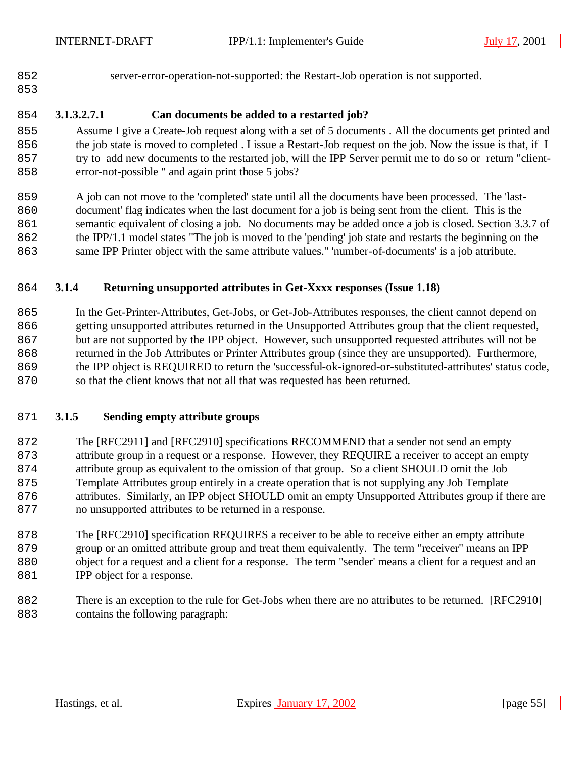- 
- server-error-operation-not-supported: the Restart-Job operation is not supported.

# 

### **3.1.3.2.7.1 Can documents be added to a restarted job?**

 Assume I give a Create-Job request along with a set of 5 documents . All the documents get printed and 856 the job state is moved to completed . I issue a Restart-Job request on the job. Now the issue is that, if I try to add new documents to the restarted job, will the IPP Server permit me to do so or return "client-error-not-possible " and again print those 5 jobs?

 A job can not move to the 'completed' state until all the documents have been processed. The 'last- document' flag indicates when the last document for a job is being sent from the client. This is the semantic equivalent of closing a job. No documents may be added once a job is closed. Section 3.3.7 of the IPP/1.1 model states "The job is moved to the 'pending' job state and restarts the beginning on the same IPP Printer object with the same attribute values." 'number-of-documents' is a job attribute.

#### **3.1.4 Returning unsupported attributes in Get-Xxxx responses (Issue 1.18)**

 In the Get-Printer-Attributes, Get-Jobs, or Get-Job-Attributes responses, the client cannot depend on getting unsupported attributes returned in the Unsupported Attributes group that the client requested, but are not supported by the IPP object. However, such unsupported requested attributes will not be returned in the Job Attributes or Printer Attributes group (since they are unsupported). Furthermore, the IPP object is REQUIRED to return the 'successful-ok-ignored-or-substituted-attributes' status code, so that the client knows that not all that was requested has been returned.

#### **3.1.5 Sending empty attribute groups**

 The [RFC2911] and [RFC2910] specifications RECOMMEND that a sender not send an empty attribute group in a request or a response. However, they REQUIRE a receiver to accept an empty attribute group as equivalent to the omission of that group. So a client SHOULD omit the Job Template Attributes group entirely in a create operation that is not supplying any Job Template attributes. Similarly, an IPP object SHOULD omit an empty Unsupported Attributes group if there are no unsupported attributes to be returned in a response.

 The [RFC2910] specification REQUIRES a receiver to be able to receive either an empty attribute group or an omitted attribute group and treat them equivalently. The term "receiver" means an IPP object for a request and a client for a response. The term "sender' means a client for a request and an **IPP** object for a response.

 There is an exception to the rule for Get-Jobs when there are no attributes to be returned. [RFC2910] contains the following paragraph: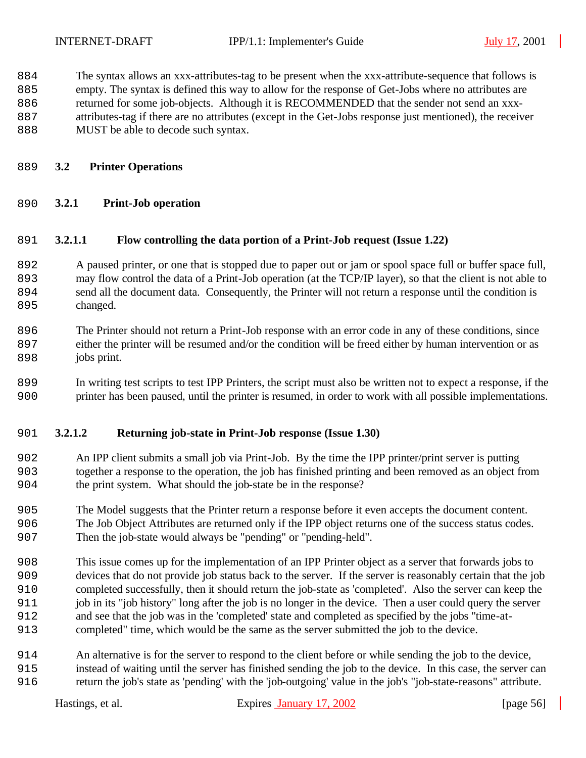The syntax allows an xxx-attributes-tag to be present when the xxx-attribute-sequence that follows is

empty. The syntax is defined this way to allow for the response of Get-Jobs where no attributes are

returned for some job-objects. Although it is RECOMMENDED that the sender not send an xxx-

- attributes-tag if there are no attributes (except in the Get-Jobs response just mentioned), the receiver
- 888 MUST be able to decode such syntax.
- **3.2 Printer Operations**
- **3.2.1 Print-Job operation**

#### **3.2.1.1 Flow controlling the data portion of a Print-Job request (Issue 1.22)**

 A paused printer, or one that is stopped due to paper out or jam or spool space full or buffer space full, may flow control the data of a Print-Job operation (at the TCP/IP layer), so that the client is not able to send all the document data. Consequently, the Printer will not return a response until the condition is 895 changed.

 The Printer should not return a Print-Job response with an error code in any of these conditions, since either the printer will be resumed and/or the condition will be freed either by human intervention or as 898 jobs print.

 In writing test scripts to test IPP Printers, the script must also be written not to expect a response, if the printer has been paused, until the printer is resumed, in order to work with all possible implementations.

#### **3.2.1.2 Returning job-state in Print-Job response (Issue 1.30)**

 An IPP client submits a small job via Print-Job. By the time the IPP printer/print server is putting together a response to the operation, the job has finished printing and been removed as an object from the print system. What should the job-state be in the response?

- The Model suggests that the Printer return a response before it even accepts the document content. The Job Object Attributes are returned only if the IPP object returns one of the success status codes. Then the job-state would always be "pending" or "pending-held".
- This issue comes up for the implementation of an IPP Printer object as a server that forwards jobs to devices that do not provide job status back to the server. If the server is reasonably certain that the job completed successfully, then it should return the job-state as 'completed'. Also the server can keep the job in its "job history" long after the job is no longer in the device. Then a user could query the server and see that the job was in the 'completed' state and completed as specified by the jobs "time-at-completed" time, which would be the same as the server submitted the job to the device.
- An alternative is for the server to respond to the client before or while sending the job to the device, instead of waiting until the server has finished sending the job to the device. In this case, the server can return the job's state as 'pending' with the 'job-outgoing' value in the job's "job-state-reasons" attribute.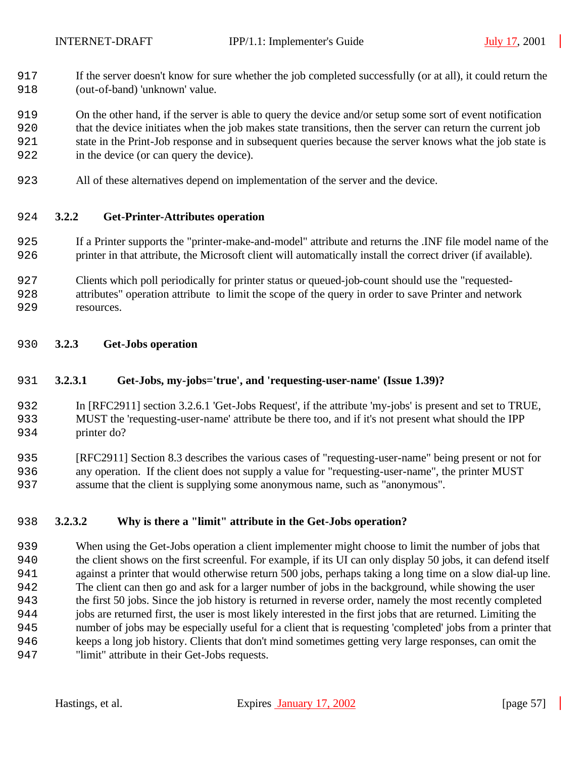If the server doesn't know for sure whether the job completed successfully (or at all), it could return the 918 (out-of-band) 'unknown' value.

 On the other hand, if the server is able to query the device and/or setup some sort of event notification that the device initiates when the job makes state transitions, then the server can return the current job state in the Print-Job response and in subsequent queries because the server knows what the job state is in the device (or can query the device).

All of these alternatives depend on implementation of the server and the device.

#### **3.2.2 Get-Printer-Attributes operation**

- If a Printer supports the "printer-make-and-model" attribute and returns the .INF file model name of the printer in that attribute, the Microsoft client will automatically install the correct driver (if available).
- Clients which poll periodically for printer status or queued-job-count should use the "requested-
- attributes" operation attribute to limit the scope of the query in order to save Printer and network resources.
- **3.2.3 Get-Jobs operation**

#### **3.2.3.1 Get-Jobs, my-jobs='true', and 'requesting-user-name' (Issue 1.39)?**

 In [RFC2911] section 3.2.6.1 'Get-Jobs Request', if the attribute 'my-jobs' is present and set to TRUE, MUST the 'requesting-user-name' attribute be there too, and if it's not present what should the IPP printer do?

 [RFC2911] Section 8.3 describes the various cases of "requesting-user-name" being present or not for any operation. If the client does not supply a value for "requesting-user-name", the printer MUST assume that the client is supplying some anonymous name, such as "anonymous".

#### **3.2.3.2 Why is there a "limit" attribute in the Get-Jobs operation?**

 When using the Get-Jobs operation a client implementer might choose to limit the number of jobs that the client shows on the first screenful. For example, if its UI can only display 50 jobs, it can defend itself against a printer that would otherwise return 500 jobs, perhaps taking a long time on a slow dial-up line. The client can then go and ask for a larger number of jobs in the background, while showing the user the first 50 jobs. Since the job history is returned in reverse order, namely the most recently completed jobs are returned first, the user is most likely interested in the first jobs that are returned. Limiting the number of jobs may be especially useful for a client that is requesting 'completed' jobs from a printer that keeps a long job history. Clients that don't mind sometimes getting very large responses, can omit the "limit" attribute in their Get-Jobs requests.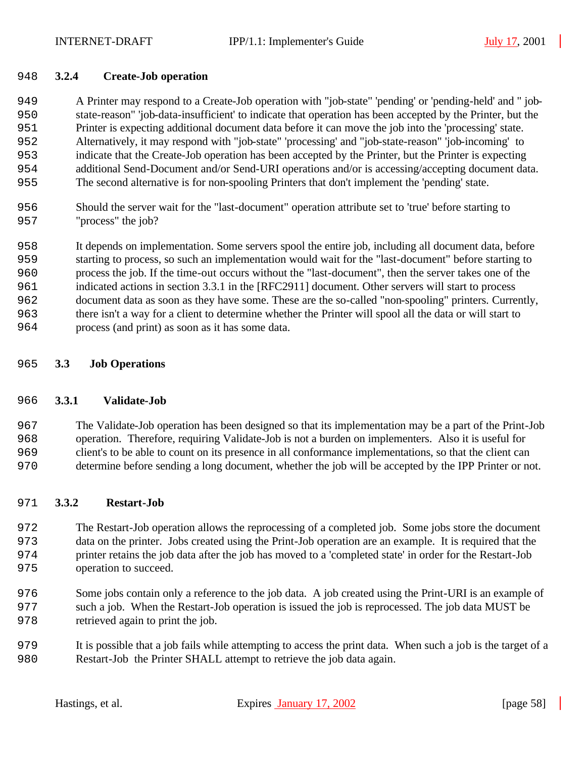#### **3.2.4 Create-Job operation**

 A Printer may respond to a Create-Job operation with "job-state" 'pending' or 'pending-held' and " job- state-reason" 'job-data-insufficient' to indicate that operation has been accepted by the Printer, but the Printer is expecting additional document data before it can move the job into the 'processing' state. Alternatively, it may respond with "job-state" 'processing' and "job-state-reason" 'job-incoming' to indicate that the Create-Job operation has been accepted by the Printer, but the Printer is expecting additional Send-Document and/or Send-URI operations and/or is accessing/accepting document data. The second alternative is for non-spooling Printers that don't implement the 'pending' state.

 Should the server wait for the "last-document" operation attribute set to 'true' before starting to 957 "process" the job?

 It depends on implementation. Some servers spool the entire job, including all document data, before starting to process, so such an implementation would wait for the "last-document" before starting to process the job. If the time-out occurs without the "last-document", then the server takes one of the indicated actions in section 3.3.1 in the [RFC2911] document. Other servers will start to process document data as soon as they have some. These are the so-called "non-spooling" printers. Currently, there isn't a way for a client to determine whether the Printer will spool all the data or will start to process (and print) as soon as it has some data.

#### **3.3 Job Operations**

#### **3.3.1 Validate-Job**

 The Validate-Job operation has been designed so that its implementation may be a part of the Print-Job operation. Therefore, requiring Validate-Job is not a burden on implementers. Also it is useful for client's to be able to count on its presence in all conformance implementations, so that the client can determine before sending a long document, whether the job will be accepted by the IPP Printer or not.

#### **3.3.2 Restart-Job**

 The Restart-Job operation allows the reprocessing of a completed job. Some jobs store the document data on the printer. Jobs created using the Print-Job operation are an example. It is required that the printer retains the job data after the job has moved to a 'completed state' in order for the Restart-Job operation to succeed.

- Some jobs contain only a reference to the job data. A job created using the Print-URI is an example of such a job. When the Restart-Job operation is issued the job is reprocessed. The job data MUST be retrieved again to print the job.
- It is possible that a job fails while attempting to access the print data. When such a job is the target of a Restart-Job the Printer SHALL attempt to retrieve the job data again.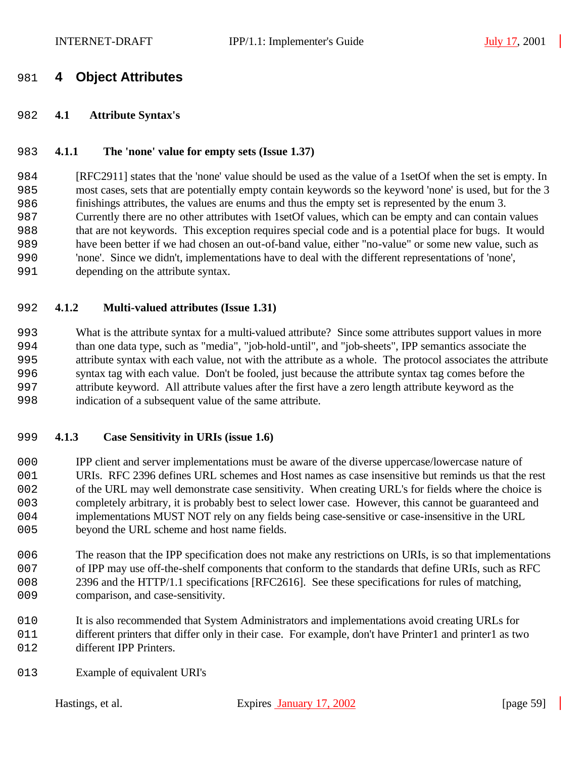## **4 Object Attributes**

#### **4.1 Attribute Syntax's**

#### **4.1.1 The 'none' value for empty sets (Issue 1.37)**

 [RFC2911] states that the 'none' value should be used as the value of a 1setOf when the set is empty. In most cases, sets that are potentially empty contain keywords so the keyword 'none' is used, but for the 3 finishings attributes, the values are enums and thus the empty set is represented by the enum 3. Currently there are no other attributes with 1setOf values, which can be empty and can contain values that are not keywords. This exception requires special code and is a potential place for bugs. It would have been better if we had chosen an out-of-band value, either "no-value" or some new value, such as 'none'. Since we didn't, implementations have to deal with the different representations of 'none', depending on the attribute syntax.

#### **4.1.2 Multi-valued attributes (Issue 1.31)**

 What is the attribute syntax for a multi-valued attribute? Since some attributes support values in more than one data type, such as "media", "job-hold-until", and "job-sheets", IPP semantics associate the attribute syntax with each value, not with the attribute as a whole. The protocol associates the attribute syntax tag with each value. Don't be fooled, just because the attribute syntax tag comes before the attribute keyword. All attribute values after the first have a zero length attribute keyword as the indication of a subsequent value of the same attribute.

#### **4.1.3 Case Sensitivity in URIs (issue 1.6)**

 IPP client and server implementations must be aware of the diverse uppercase/lowercase nature of URIs. RFC 2396 defines URL schemes and Host names as case insensitive but reminds us that the rest 002 of the URL may well demonstrate case sensitivity. When creating URL's for fields where the choice is completely arbitrary, it is probably best to select lower case. However, this cannot be guaranteed and implementations MUST NOT rely on any fields being case-sensitive or case-insensitive in the URL 005 beyond the URL scheme and host name fields.

 The reason that the IPP specification does not make any restrictions on URIs, is so that implementations 007 of IPP may use off-the-shelf components that conform to the standards that define URIs, such as RFC 008 2396 and the HTTP/1.1 specifications [RFC2616]. See these specifications for rules of matching, comparison, and case-sensitivity.

- It is also recommended that System Administrators and implementations avoid creating URLs for different printers that differ only in their case. For example, don't have Printer1 and printer1 as two 012 different IPP Printers.
- Example of equivalent URI's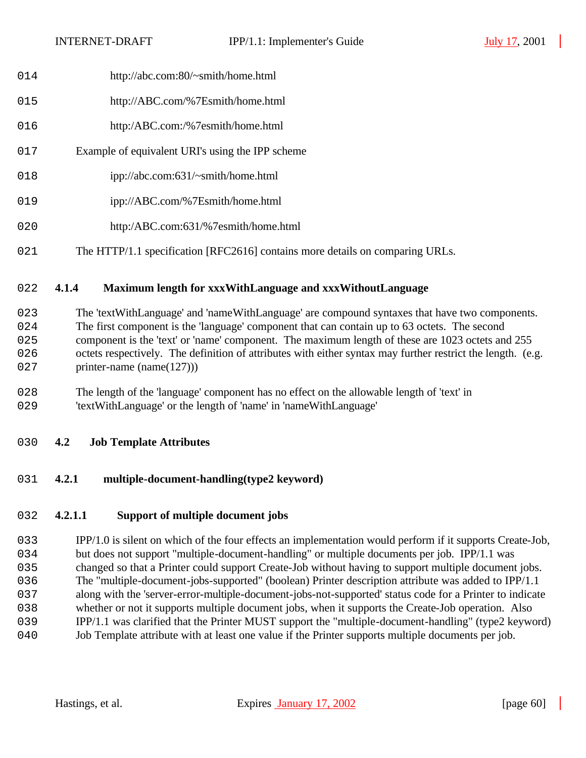- 014 http://abc.com:80/~smith/home.html
- http://ABC.com/%7Esmith/home.html
- http:/ABC.com:/%7esmith/home.html
- Example of equivalent URI's using the IPP scheme
- 018 ipp://abc.com:631/~smith/home.html
- 019 ipp://ABC.com/%7Esmith/home.html
- http:/ABC.com:631/%7esmith/home.html
- 021 The HTTP/1.1 specification [RFC2616] contains more details on comparing URLs.

## **4.1.4 Maximum length for xxxWithLanguage and xxxWithoutLanguage**

- The 'textWithLanguage' and 'nameWithLanguage' are compound syntaxes that have two components. The first component is the 'language' component that can contain up to 63 octets. The second component is the 'text' or 'name' component. The maximum length of these are 1023 octets and 255 026 octets respectively. The definition of attributes with either syntax may further restrict the length. (e.g. 027 printer-name (name(127)))
- The length of the 'language' component has no effect on the allowable length of 'text' in 'textWithLanguage' or the length of 'name' in 'nameWithLanguage'
- **4.2 Job Template Attributes**
- **4.2.1 multiple-document-handling(type2 keyword)**

## **4.2.1.1 Support of multiple document jobs**

 IPP/1.0 is silent on which of the four effects an implementation would perform if it supports Create-Job, 034 but does not support "multiple-document-handling" or multiple documents per job. IPP/1.1 was changed so that a Printer could support Create-Job without having to support multiple document jobs. The "multiple-document-jobs-supported" (boolean) Printer description attribute was added to IPP/1.1 along with the 'server-error-multiple-document-jobs-not-supported' status code for a Printer to indicate whether or not it supports multiple document jobs, when it supports the Create-Job operation. Also IPP/1.1 was clarified that the Printer MUST support the "multiple-document-handling" (type2 keyword) Job Template attribute with at least one value if the Printer supports multiple documents per job.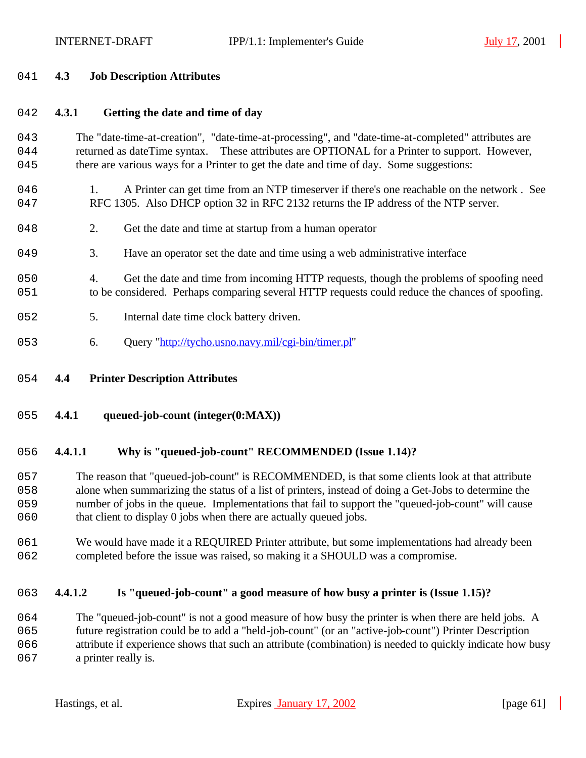#### 2041 **4.3 Job Description Attributes**

## 2042 **4.3.1 Getting the date and time of day**

## 2043 The "date-time-at-creation", "date-time-at-processing", and "date-time-at-completed" attributes are 044 returned as dateTime syntax. These attributes are OPTIONAL for a Printer to support. However, 045 there are various ways for a Printer to get the date and time of day. Some suggestions:

- 046 1. A Printer can get time from an NTP timeserver if there's one reachable on the network. See 047 RFC 1305. Also DHCP option 32 in RFC 2132 returns the IP address of the NTP server.
- 048 2. Get the date and time at startup from a human operator
- 2049 3. Have an operator set the date and time using a web administrative interface
- 2050 4. Get the date and time from incoming HTTP requests, though the problems of spoofing need 2051 to be considered. Perhaps comparing several HTTP requests could reduce the chances of spoofing.
- 052 5. Internal date time clock battery driven.
- 053 6. Query "http://tycho.usno.navy.mil/cgi-bin/timer.pl"
- 2054 **4.4 Printer Description Attributes**
- 2055 **4.4.1 queued-job-count (integer(0:MAX))**

## 2056 **4.4.1.1 Why is "queued-job-count" RECOMMENDED (Issue 1.14)?**

 The reason that "queued-job-count" is RECOMMENDED, is that some clients look at that attribute alone when summarizing the status of a list of printers, instead of doing a Get-Jobs to determine the number of jobs in the queue. Implementations that fail to support the "queued-job-count" will cause 060 that client to display 0 jobs when there are actually queued jobs.

2061 We would have made it a REQUIRED Printer attribute, but some implementations had already been 2062 completed before the issue was raised, so making it a SHOULD was a compromise.

## 2063 **4.4.1.2 Is "queued-job-count" a good measure of how busy a printer is (Issue 1.15)?**

064 The "queued-job-count" is not a good measure of how busy the printer is when there are held jobs. A 2065 future registration could be to add a "held-job-count" (or an "active-job-count") Printer Description 2066 attribute if experience shows that such an attribute (combination) is needed to quickly indicate how busy 067 a printer really is.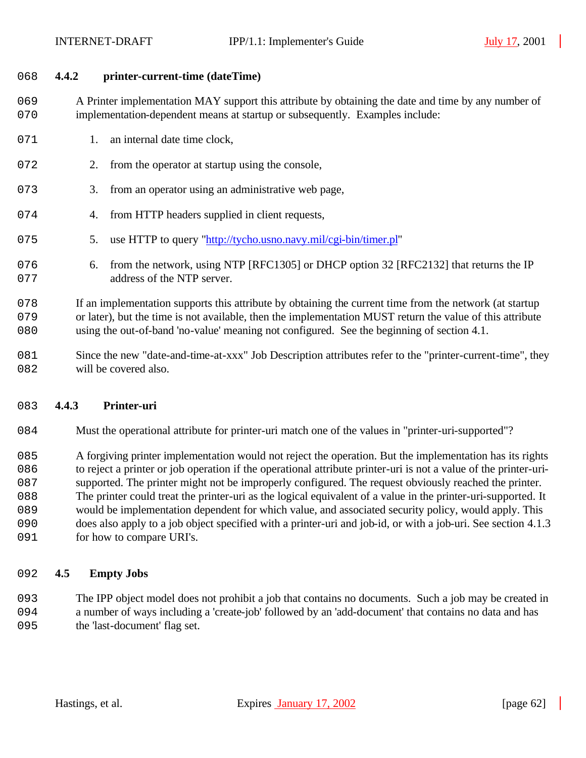#### 2068 **4.4.2 printer-current-time (dateTime)**

2069 A Printer implementation MAY support this attribute by obtaining the date and time by any number of 2070 implementation-dependent means at startup or subsequently. Examples include:

- 071 1. an internal date time clock,
- 072 2. from the operator at startup using the console,
- 073 3. from an operator using an administrative web page,
- 074 4. from HTTP headers supplied in client requests,
- 2075 5. use HTTP to query "http://tycho.usno.navy.mil/cgi-bin/timer.pl"
- 076 6. from the network, using NTP [RFC1305] or DHCP option 32 [RFC2132] that returns the IP 077 address of the NTP server.

078 If an implementation supports this attribute by obtaining the current time from the network (at startup 079 or later), but the time is not available, then the implementation MUST return the value of this attribute 2080 using the out-of-band 'no-value' meaning not configured. See the beginning of section 4.1.

2081 Since the new "date-and-time-at-xxx" Job Description attributes refer to the "printer-current-time", they 082 will be covered also.

#### 2083 **4.4.3 Printer-uri**

2084 Must the operational attribute for printer-uri match one of the values in "printer-uri-supported"?

2085 A forgiving printer implementation would not reject the operation. But the implementation has its rights 2086 to reject a printer or job operation if the operational attribute printer-uri is not a value of the printer-uri-

- 087 supported. The printer might not be improperly configured. The request obviously reached the printer.
- 2088 The printer could treat the printer-uri as the logical equivalent of a value in the printer-uri-supported. It
- 2089 would be implementation dependent for which value, and associated security policy, would apply. This
- 2090 does also apply to a job object specified with a printer-uri and job-id, or with a job-uri. See section 4.1.3
- 091 for how to compare URI's.

#### 2092 **4.5 Empty Jobs**

2093 The IPP object model does not prohibit a job that contains no documents. Such a job may be created in 2094 a number of ways including a 'create-job' followed by an 'add-document' that contains no data and has 095 the 'last-document' flag set.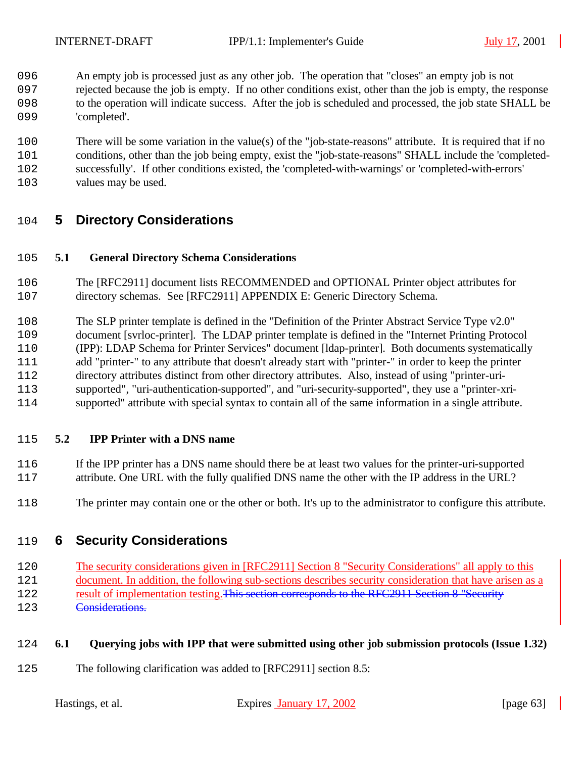- An empty job is processed just as any other job. The operation that "closes" an empty job is not
- rejected because the job is empty. If no other conditions exist, other than the job is empty, the response to the operation will indicate success. After the job is scheduled and processed, the job state SHALL be 099 'completed'.
- There will be some variation in the value(s) of the "job-state-reasons" attribute. It is required that if no
- conditions, other than the job being empty, exist the "job-state-reasons" SHALL include the 'completed-
- successfully'. If other conditions existed, the 'completed-with-warnings' or 'completed-with-errors'
- values may be used.

# **5 Directory Considerations**

## **5.1 General Directory Schema Considerations**

- The [RFC2911] document lists RECOMMENDED and OPTIONAL Printer object attributes for directory schemas. See [RFC2911] APPENDIX E: Generic Directory Schema.
- The SLP printer template is defined in the "Definition of the Printer Abstract Service Type v2.0"
- document [svrloc-printer]. The LDAP printer template is defined in the "Internet Printing Protocol (IPP): LDAP Schema for Printer Services" document [ldap-printer]. Both documents systematically
- 211 add "printer-" to any attribute that doesn't already start with "printer-" in order to keep the printer-
- directory attributes distinct from other directory attributes. Also, instead of using "printer-uri-
- supported", "uri-authentication-supported", and "uri-security-supported", they use a "printer-xri-
- supported" attribute with special syntax to contain all of the same information in a single attribute.

## **5.2 IPP Printer with a DNS name**

- If the IPP printer has a DNS name should there be at least two values for the printer-uri-supported attribute. One URL with the fully qualified DNS name the other with the IP address in the URL?
- The printer may contain one or the other or both. It's up to the administrator to configure this attribute.

# **6 Security Considerations**

- 2120 The security considerations given in [RFC2911] Section 8 "Security Considerations" all apply to this
- document. In addition, the following sub-sections describes security consideration that have arisen as a
- 122 result of implementation testing. This section corresponds to the RFC2911 Section 8 "Security **Considerations.**

# **6.1 Querying jobs with IPP that were submitted using other job submission protocols (Issue 1.32)**

The following clarification was added to [RFC2911] section 8.5: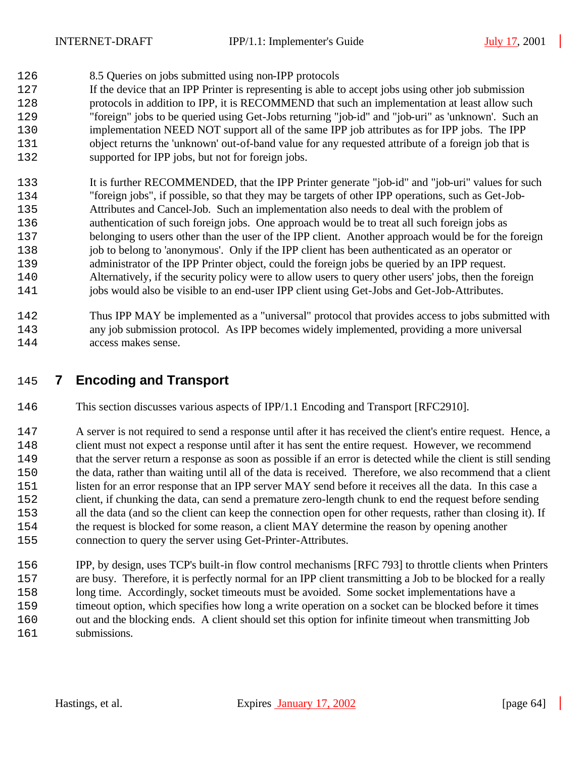- 8.5 Queries on jobs submitted using non-IPP protocols
- If the device that an IPP Printer is representing is able to accept jobs using other job submission protocols in addition to IPP, it is RECOMMEND that such an implementation at least allow such "foreign" jobs to be queried using Get-Jobs returning "job-id" and "job-uri" as 'unknown'. Such an implementation NEED NOT support all of the same IPP job attributes as for IPP jobs. The IPP object returns the 'unknown' out-of-band value for any requested attribute of a foreign job that is 132 supported for IPP jobs, but not for foreign jobs.
- It is further RECOMMENDED, that the IPP Printer generate "job-id" and "job-uri" values for such "foreign jobs", if possible, so that they may be targets of other IPP operations, such as Get-Job- Attributes and Cancel-Job. Such an implementation also needs to deal with the problem of authentication of such foreign jobs. One approach would be to treat all such foreign jobs as belonging to users other than the user of the IPP client. Another approach would be for the foreign job to belong to 'anonymous'. Only if the IPP client has been authenticated as an operator or administrator of the IPP Printer object, could the foreign jobs be queried by an IPP request. Alternatively, if the security policy were to allow users to query other users' jobs, then the foreign 141 jobs would also be visible to an end-user IPP client using Get-Jobs and Get-Job-Attributes.
- Thus IPP MAY be implemented as a "universal" protocol that provides access to jobs submitted with any job submission protocol. As IPP becomes widely implemented, providing a more universal access makes sense.

# **7 Encoding and Transport**

This section discusses various aspects of IPP/1.1 Encoding and Transport [RFC2910].

 A server is not required to send a response until after it has received the client's entire request. Hence, a client must not expect a response until after it has sent the entire request. However, we recommend that the server return a response as soon as possible if an error is detected while the client is still sending the data, rather than waiting until all of the data is received. Therefore, we also recommend that a client listen for an error response that an IPP server MAY send before it receives all the data. In this case a client, if chunking the data, can send a premature zero-length chunk to end the request before sending all the data (and so the client can keep the connection open for other requests, rather than closing it). If the request is blocked for some reason, a client MAY determine the reason by opening another connection to query the server using Get-Printer-Attributes.

 IPP, by design, uses TCP's built-in flow control mechanisms [RFC 793] to throttle clients when Printers are busy. Therefore, it is perfectly normal for an IPP client transmitting a Job to be blocked for a really long time. Accordingly, socket timeouts must be avoided. Some socket implementations have a timeout option, which specifies how long a write operation on a socket can be blocked before it times out and the blocking ends. A client should set this option for infinite timeout when transmitting Job 161 submissions.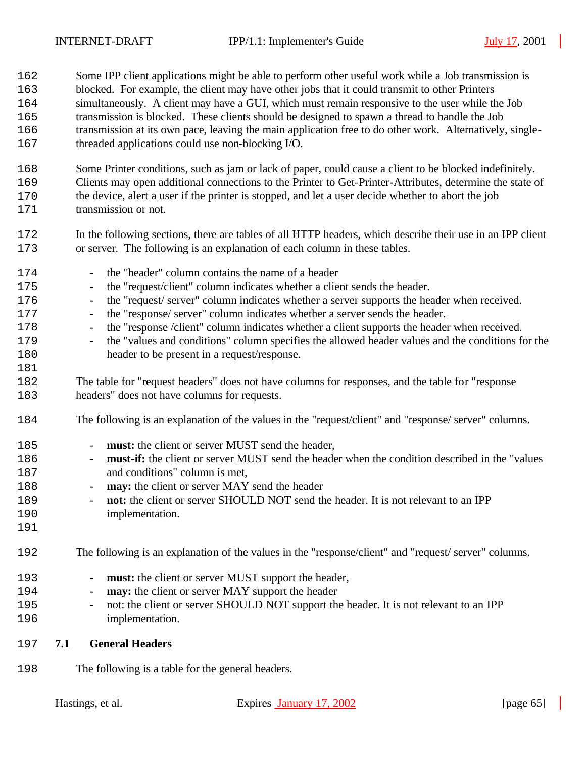- Some IPP client applications might be able to perform other useful work while a Job transmission is blocked. For example, the client may have other jobs that it could transmit to other Printers simultaneously. A client may have a GUI, which must remain responsive to the user while the Job transmission is blocked. These clients should be designed to spawn a thread to handle the Job transmission at its own pace, leaving the main application free to do other work. Alternatively, single-threaded applications could use non-blocking I/O.
- Some Printer conditions, such as jam or lack of paper, could cause a client to be blocked indefinitely. Clients may open additional connections to the Printer to Get-Printer-Attributes, determine the state of the device, alert a user if the printer is stopped, and let a user decide whether to abort the job 171 transmission or not.
- In the following sections, there are tables of all HTTP headers, which describe their use in an IPP client or server. The following is an explanation of each column in these tables.
- the "header" column contains the name of a header - the "request/client" column indicates whether a client sends the header. - the "request/ server" column indicates whether a server supports the header when received. 2177 - the "response/ server" column indicates whether a server sends the header. - the "response /client" column indicates whether a client supports the header when received. - the "values and conditions" column specifies the allowed header values and the conditions for the header to be present in a request/response. The table for "request headers" does not have columns for responses, and the table for "response headers" does not have columns for requests. The following is an explanation of the values in the "request/client" and "response/ server" columns. - **must:** the client or server MUST send the header, - **must-if:** the client or server MUST send the header when the condition described in the "values and conditions" column is met,
- **may:** the client or server MAY send the header
- <sup>189</sup> **not:** the client or server SHOULD NOT send the header. It is not relevant to an IPP implementation.
- 

The following is an explanation of the values in the "response/client" and "request/ server" columns.

- 193 **must:** the client or server MUST support the header,
- **may:** the client or server MAY support the header
- <sup>195</sup> not: the client or server SHOULD NOT support the header. It is not relevant to an IPP implementation.
- **7.1 General Headers**
- The following is a table for the general headers.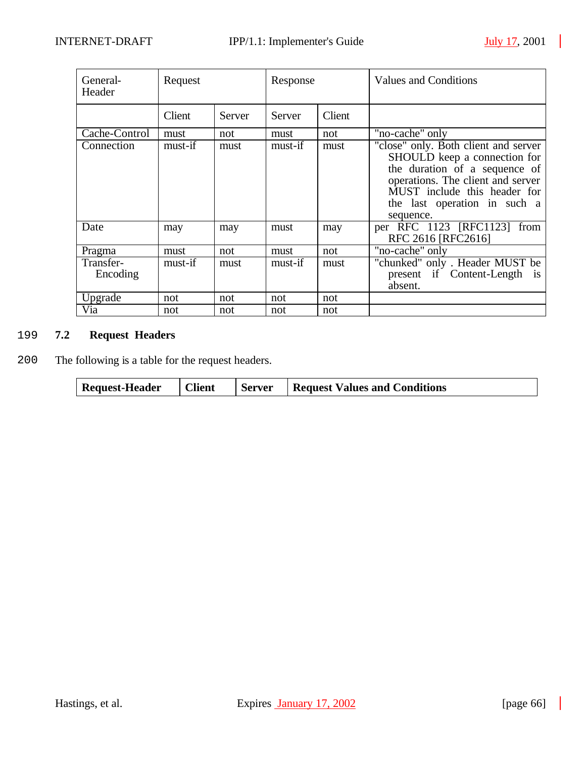$\overline{\phantom{a}}$ 

| General-<br>Header    | Request |        | Response |        | <b>Values and Conditions</b>                                                                                                                                                                                            |
|-----------------------|---------|--------|----------|--------|-------------------------------------------------------------------------------------------------------------------------------------------------------------------------------------------------------------------------|
|                       | Client  | Server | Server   | Client |                                                                                                                                                                                                                         |
| Cache-Control         | must    | not    | must     | not    | "no-cache" only                                                                                                                                                                                                         |
| Connection            | must-if | must   | must-if  | must   | "close" only. Both client and server<br>SHOULD keep a connection for<br>the duration of a sequence of<br>operations. The client and server<br>MUST include this header for<br>the last operation in such a<br>sequence. |
| Date                  | may     | may    | must     | may    | per RFC 1123 [RFC1123]<br>from<br>RFC 2616 [RFC2616]                                                                                                                                                                    |
| Pragma                | must    | not    | must     | not    | "no-cache" only                                                                                                                                                                                                         |
| Transfer-<br>Encoding | must-if | must   | must-if  | must   | "chunked" only. Header MUST be<br>present if Content-Length<br>$\overline{1}S$<br>absent.                                                                                                                               |
| Upgrade               | not     | not    | not      | not    |                                                                                                                                                                                                                         |
| Via                   | not     | not    | not      | not    |                                                                                                                                                                                                                         |

## 2199 **7.2 Request Headers**

2200 The following is a table for the request headers.

| <b>Request-Header</b> | <b>Client</b> | <b>Server</b> | <b>Request Values and Conditions</b> |
|-----------------------|---------------|---------------|--------------------------------------|
|-----------------------|---------------|---------------|--------------------------------------|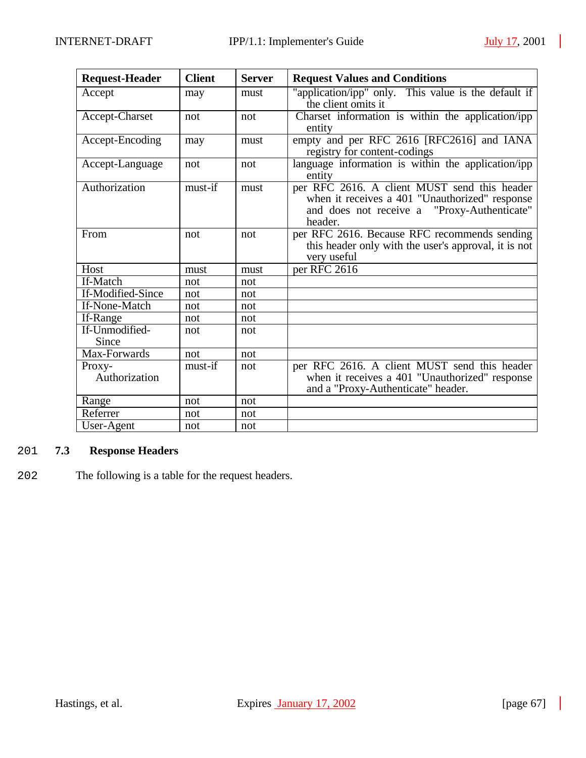| <b>Request-Header</b>   | <b>Client</b> | <b>Server</b> | <b>Request Values and Conditions</b>                                                                                                                     |
|-------------------------|---------------|---------------|----------------------------------------------------------------------------------------------------------------------------------------------------------|
| Accept                  | may           | must          | "application/ipp" only. This value is the default if<br>the client omits it                                                                              |
| Accept-Charset          | not           | not           | Charset information is within the application/ipp<br>entity                                                                                              |
| Accept-Encoding         | may           | must          | empty and per RFC 2616 [RFC2616] and IANA<br>registry for content-codings                                                                                |
| Accept-Language         | not           | not           | language information is within the application/ipp<br>entity                                                                                             |
| Authorization           | must-if       | must          | per RFC 2616. A client MUST send this header<br>when it receives a 401 "Unauthorized" response<br>and does not receive a "Proxy-Authenticate"<br>header. |
| From                    | not           | not           | per RFC 2616. Because RFC recommends sending<br>this header only with the user's approval, it is not<br>very useful                                      |
| Host                    | must          | must          | per RFC 2616                                                                                                                                             |
| If-Match                | not           | not           |                                                                                                                                                          |
| If-Modified-Since       | not           | not           |                                                                                                                                                          |
| If-None-Match           | not           | not           |                                                                                                                                                          |
| If-Range                | not           | not           |                                                                                                                                                          |
| If-Unmodified-<br>Since | not           | not           |                                                                                                                                                          |
| Max-Forwards            | not           | not           |                                                                                                                                                          |
| Proxy-<br>Authorization | $must$ -if    | not           | per RFC 2616. A client MUST send this header<br>when it receives a 401 "Unauthorized" response<br>and a "Proxy-Authenticate" header.                     |
| Range                   | not           | not           |                                                                                                                                                          |
| Referrer                | not           | not           |                                                                                                                                                          |
| User-Agent              | not           | not           |                                                                                                                                                          |

## 2201 **7.3 Response Headers**

2202 The following is a table for the request headers.

 $\blacksquare$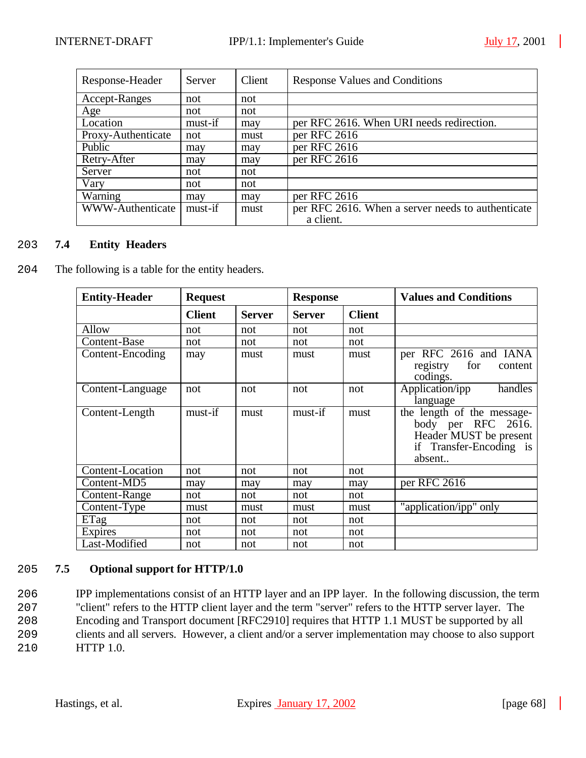| Response-Header         | Server  | Client | <b>Response Values and Conditions</b>             |
|-------------------------|---------|--------|---------------------------------------------------|
| Accept-Ranges           | not     | not    |                                                   |
| Age                     | not     | not    |                                                   |
| Location                | must-if | may    | per RFC 2616. When URI needs redirection.         |
| Proxy-Authenticate      | not     | must   | per RFC 2616                                      |
| Public                  | may     | may    | per RFC 2616                                      |
| Retry-After             | may     | may    | per RFC 2616                                      |
| Server                  | not     | not    |                                                   |
| Vary                    | not     | not    |                                                   |
| Warning                 | may     | may    | per RFC 2616                                      |
| <b>WWW-Authenticate</b> | must-if | must   | per RFC 2616. When a server needs to authenticate |
|                         |         |        | a client.                                         |

## 2203 **7.4 Entity Headers**

2204 The following is a table for the entity headers.

| <b>Entity-Header</b> | <b>Request</b> |               | <b>Response</b> |               | <b>Values and Conditions</b>                                                                                    |
|----------------------|----------------|---------------|-----------------|---------------|-----------------------------------------------------------------------------------------------------------------|
|                      | <b>Client</b>  | <b>Server</b> | <b>Server</b>   | <b>Client</b> |                                                                                                                 |
| Allow                | not            | not           | not             | not           |                                                                                                                 |
| Content-Base         | not            | not           | not             | not           |                                                                                                                 |
| Content-Encoding     | may            | must          | must            | must          | per RFC 2616 and IANA<br>for<br>registry<br>content<br>codings.                                                 |
| Content-Language     | not            | not           | not             | not           | handles<br>Application/ipp<br>language                                                                          |
| Content-Length       | must-if        | must          | must-if         | must          | the length of the message-<br>body per RFC 2616.<br>Header MUST be present<br>if Transfer-Encoding is<br>absent |
| Content-Location     | not            | not           | not             | not           |                                                                                                                 |
| Content-MD5          | may            | may           | may             | may           | per RFC 2616                                                                                                    |
| Content-Range        | not            | not           | not             | not           |                                                                                                                 |
| Content-Type         | must           | must          | must            | must          | "application/ipp" only                                                                                          |
| ETag                 | not            | not           | not             | not           |                                                                                                                 |
| Expires              | not            | not           | not             | not           |                                                                                                                 |
| Last-Modified        | not            | not           | not             | not           |                                                                                                                 |

#### 2205 **7.5 Optional support for HTTP/1.0**

 IPP implementations consist of an HTTP layer and an IPP layer. In the following discussion, the term "client" refers to the HTTP client layer and the term "server" refers to the HTTP server layer. The Encoding and Transport document [RFC2910] requires that HTTP 1.1 MUST be supported by all clients and all servers. However, a client and/or a server implementation may choose to also support HTTP 1.0.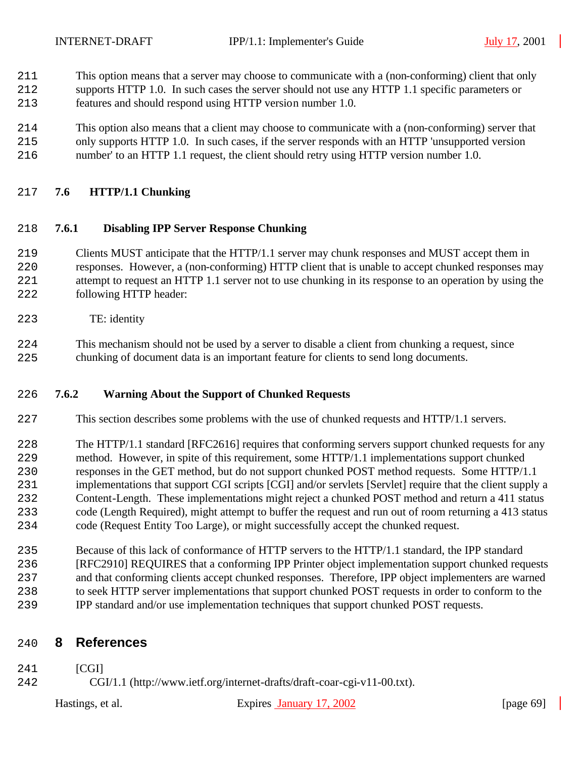- This option means that a server may choose to communicate with a (non-conforming) client that only
- supports HTTP 1.0. In such cases the server should not use any HTTP 1.1 specific parameters or features and should respond using HTTP version number 1.0.
- This option also means that a client may choose to communicate with a (non-conforming) server that
- only supports HTTP 1.0. In such cases, if the server responds with an HTTP 'unsupported version number' to an HTTP 1.1 request, the client should retry using HTTP version number 1.0.

## **7.6 HTTP/1.1 Chunking**

#### **7.6.1 Disabling IPP Server Response Chunking**

- Clients MUST anticipate that the HTTP/1.1 server may chunk responses and MUST accept them in responses. However, a (non-conforming) HTTP client that is unable to accept chunked responses may attempt to request an HTTP 1.1 server not to use chunking in its response to an operation by using the following HTTP header:
- TE: identity
- This mechanism should not be used by a server to disable a client from chunking a request, since chunking of document data is an important feature for clients to send long documents.

#### **7.6.2 Warning About the Support of Chunked Requests**

- This section describes some problems with the use of chunked requests and HTTP/1.1 servers.
- The HTTP/1.1 standard [RFC2616] requires that conforming servers support chunked requests for any method. However, in spite of this requirement, some HTTP/1.1 implementations support chunked responses in the GET method, but do not support chunked POST method requests. Some HTTP/1.1 implementations that support CGI scripts [CGI] and/or servlets [Servlet] require that the client supply a Content-Length. These implementations might reject a chunked POST method and return a 411 status code (Length Required), might attempt to buffer the request and run out of room returning a 413 status code (Request Entity Too Large), or might successfully accept the chunked request.
- Because of this lack of conformance of HTTP servers to the HTTP/1.1 standard, the IPP standard [RFC2910] REQUIRES that a conforming IPP Printer object implementation support chunked requests and that conforming clients accept chunked responses. Therefore, IPP object implementers are warned to seek HTTP server implementations that support chunked POST requests in order to conform to the IPP standard and/or use implementation techniques that support chunked POST requests.

## **8 References**

- [CGI]
- CGI/1.1 (http://www.ietf.org/internet-drafts/draft-coar-cgi-v11-00.txt).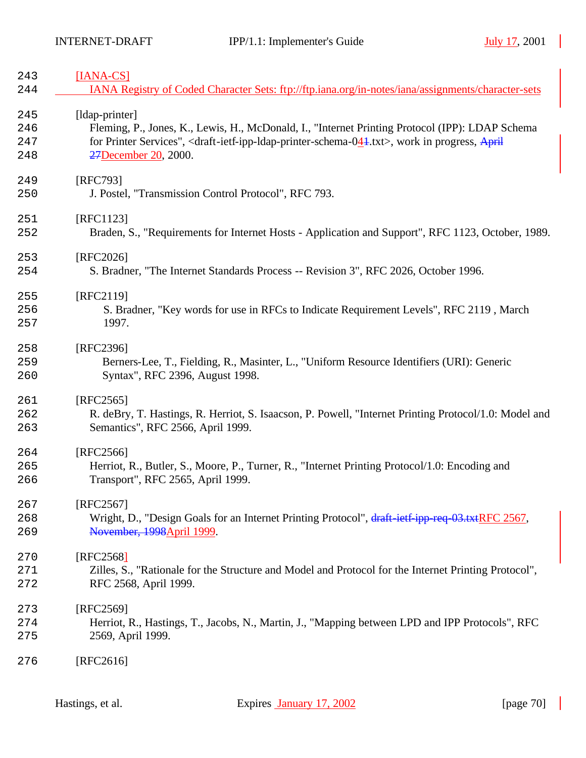| 243 | $[IANA-CS]$                                                                                                                               |
|-----|-------------------------------------------------------------------------------------------------------------------------------------------|
| 244 | IANA Registry of Coded Character Sets: ftp://ftp.iana.org/in-notes/iana/assignments/character-sets                                        |
| 245 | [ldap-printer]                                                                                                                            |
| 246 | Fleming, P., Jones, K., Lewis, H., McDonald, I., "Internet Printing Protocol (IPP): LDAP Schema                                           |
| 247 | for Printer Services", <draft-ietf-ipp-ldap-printer-schema-044.txt>, work in progress, April</draft-ietf-ipp-ldap-printer-schema-044.txt> |
| 248 | 27December 20, 2000.                                                                                                                      |
| 249 | [RFC793]                                                                                                                                  |
| 250 | J. Postel, "Transmission Control Protocol", RFC 793.                                                                                      |
| 251 | [RFC1123]                                                                                                                                 |
| 252 | Braden, S., "Requirements for Internet Hosts - Application and Support", RFC 1123, October, 1989.                                         |
| 253 | [RFC2026]                                                                                                                                 |
| 254 | S. Bradner, "The Internet Standards Process -- Revision 3", RFC 2026, October 1996.                                                       |
| 255 | [RFC2119]                                                                                                                                 |
| 256 | S. Bradner, "Key words for use in RFCs to Indicate Requirement Levels", RFC 2119, March                                                   |
| 257 | 1997.                                                                                                                                     |
| 258 | [RFC2396]                                                                                                                                 |
| 259 | Berners-Lee, T., Fielding, R., Masinter, L., "Uniform Resource Identifiers (URI): Generic                                                 |
| 260 | Syntax", RFC 2396, August 1998.                                                                                                           |
| 261 | $[RFC2565]$                                                                                                                               |
| 262 | R. deBry, T. Hastings, R. Herriot, S. Isaacson, P. Powell, "Internet Printing Protocol/1.0: Model and                                     |
| 263 | Semantics", RFC 2566, April 1999.                                                                                                         |
| 264 | [RFC2566]                                                                                                                                 |
| 265 | Herriot, R., Butler, S., Moore, P., Turner, R., "Internet Printing Protocol/1.0: Encoding and                                             |
| 266 | Transport", RFC 2565, April 1999.                                                                                                         |
| 267 | [RFC2567]                                                                                                                                 |
| 268 | Wright, D., "Design Goals for an Internet Printing Protocol", draft-ietf-ipp-req-03.txtRFC 2567,                                          |
| 269 | November, 1998April 1999.                                                                                                                 |
| 270 | [RFC2568]                                                                                                                                 |
| 271 | Zilles, S., "Rationale for the Structure and Model and Protocol for the Internet Printing Protocol",                                      |
| 272 | RFC 2568, April 1999.                                                                                                                     |
| 273 | [RFC2569]                                                                                                                                 |
| 274 | Herriot, R., Hastings, T., Jacobs, N., Martin, J., "Mapping between LPD and IPP Protocols", RFC                                           |
| 275 | 2569, April 1999.                                                                                                                         |
| 276 | $[RFC2616]$                                                                                                                               |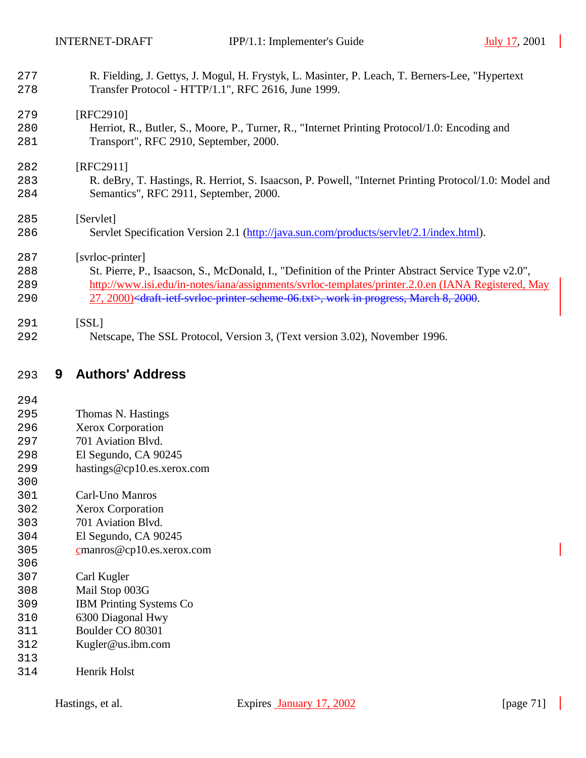| 277<br>278 | R. Fielding, J. Gettys, J. Mogul, H. Frystyk, L. Masinter, P. Leach, T. Berners-Lee, "Hypertext<br>Transfer Protocol - HTTP/1.1", RFC 2616, June 1999. |
|------------|--------------------------------------------------------------------------------------------------------------------------------------------------------|
|            |                                                                                                                                                        |
| 279        | [RFC2910]                                                                                                                                              |
| 280        | Herriot, R., Butler, S., Moore, P., Turner, R., "Internet Printing Protocol/1.0: Encoding and                                                          |
| 281        | Transport", RFC 2910, September, 2000.                                                                                                                 |
| 282        | [RFC2911]                                                                                                                                              |
| 283        | R. deBry, T. Hastings, R. Herriot, S. Isaacson, P. Powell, "Internet Printing Protocol/1.0: Model and                                                  |
| 284        | Semantics", RFC 2911, September, 2000.                                                                                                                 |
| 285        | [Servlet]                                                                                                                                              |
| 286        | Servlet Specification Version 2.1 (http://java.sun.com/products/servlet/2.1/index.html).                                                               |
| 287        | [svrloc-printer]                                                                                                                                       |
| 288        | St. Pierre, P., Isaacson, S., McDonald, I., "Definition of the Printer Abstract Service Type v2.0",                                                    |
| 289        | http://www.isi.edu/in-notes/iana/assignments/svrloc-templates/printer.2.0.en (IANA Registered, May                                                     |
| 290        | 27, 2000) <draft-ietf-syrloc-printer-scheme-06.txt>, work in progress, March 8, 2000.</draft-ietf-syrloc-printer-scheme-06.txt>                        |
| 291        | [SSL]                                                                                                                                                  |
| 292        | Netscape, The SSL Protocol, Version 3, (Text version 3.02), November 1996.                                                                             |
|            |                                                                                                                                                        |
|            |                                                                                                                                                        |

## **9 Authors' Address**

- Thomas N. Hastings
- Xerox Corporation
- 701 Aviation Blvd.
- El Segundo, CA 90245
- hastings@cp10.es.xerox.com
- 
- Carl-Uno Manros
- Xerox Corporation
- 701 Aviation Blvd.
- El Segundo, CA 90245
- cmanros@cp10.es.xerox.com
- Carl Kugler
- Mail Stop 003G
- IBM Printing Systems Co
- 6300 Diagonal Hwy
- Boulder CO 80301
- Kugler@us.ibm.com
- 
- Henrik Holst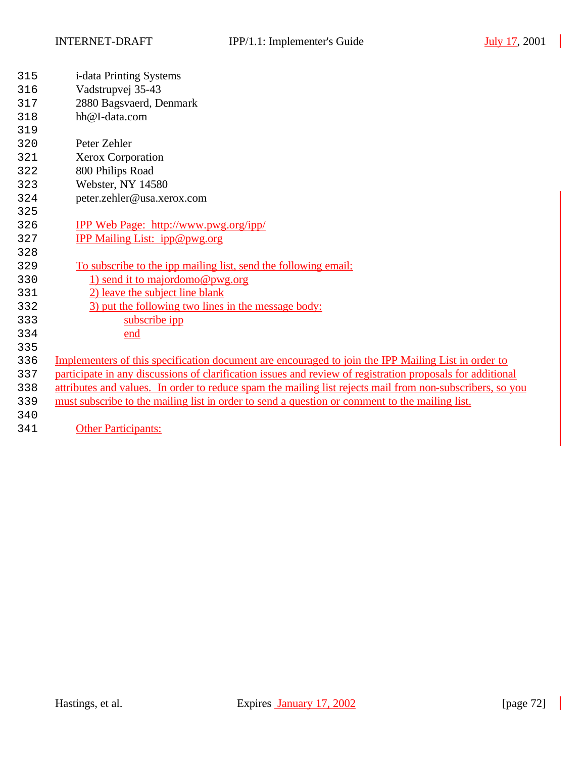$\overline{\phantom{a}}$ 

| 315 | i-data Printing Systems                                                                                    |
|-----|------------------------------------------------------------------------------------------------------------|
| 316 | Vadstrupvej 35-43                                                                                          |
| 317 | 2880 Bagsvaerd, Denmark                                                                                    |
| 318 | hh@I-data.com                                                                                              |
| 319 |                                                                                                            |
| 320 | Peter Zehler                                                                                               |
| 321 | Xerox Corporation                                                                                          |
| 322 | 800 Philips Road                                                                                           |
| 323 | Webster, NY 14580                                                                                          |
| 324 | peter.zehler@usa.xerox.com                                                                                 |
| 325 |                                                                                                            |
| 326 | <u>IPP Web Page: http://www.pwg.org/ipp/</u>                                                               |
| 327 | IPP Mailing List: ipp@pwg.org                                                                              |
| 328 |                                                                                                            |
| 329 | To subscribe to the ipp mailing list, send the following email:                                            |
| 330 | 1) send it to majordomo@pwg.org                                                                            |
| 331 | 2) leave the subject line blank                                                                            |
| 332 | 3) put the following two lines in the message body:                                                        |
| 333 | subscribe ipp                                                                                              |
| 334 | <u>end</u>                                                                                                 |
| 335 |                                                                                                            |
| 336 | Implementers of this specification document are encouraged to join the IPP Mailing List in order to        |
| 337 | participate in any discussions of clarification issues and review of registration proposals for additional |
| 338 | attributes and values. In order to reduce spam the mailing list rejects mail from non-subscribers, so you  |
| 339 | must subscribe to the mailing list in order to send a question or comment to the mailing list.             |
| 340 |                                                                                                            |
| 341 | <b>Other Participants:</b>                                                                                 |
|     |                                                                                                            |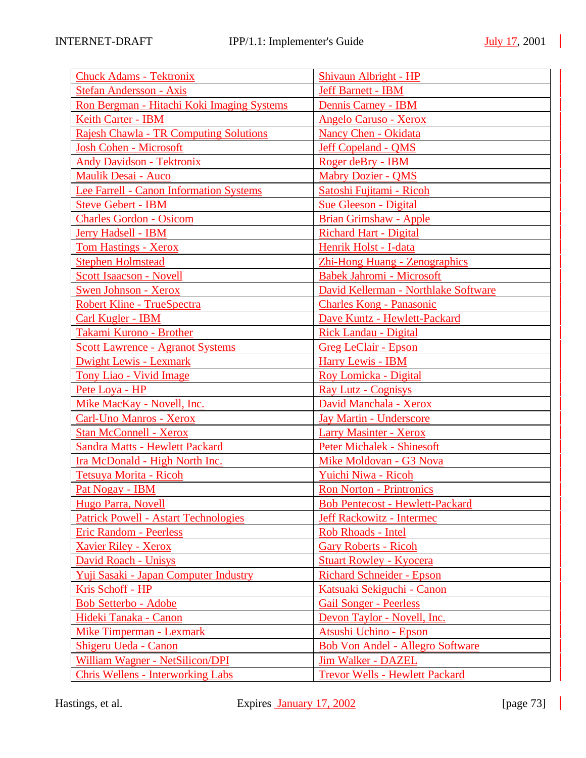$\overline{\phantom{a}}$ 

| <b>Chuck Adams - Tektronix</b>                | Shivaun Albright - HP                   |
|-----------------------------------------------|-----------------------------------------|
| <b>Stefan Andersson - Axis</b>                | <b>Jeff Barnett - IBM</b>               |
| Ron Bergman - Hitachi Koki Imaging Systems    | Dennis Carney - IBM                     |
| Keith Carter - IBM                            | <b>Angelo Caruso - Xerox</b>            |
| <b>Rajesh Chawla - TR Computing Solutions</b> | <b>Nancy Chen - Okidata</b>             |
| <b>Josh Cohen - Microsoft</b>                 | Jeff Copeland - QMS                     |
| <b>Andy Davidson - Tektronix</b>              | Roger deBry - IBM                       |
| <b>Maulik Desai - Auco</b>                    | <b>Mabry Dozier - QMS</b>               |
| Lee Farrell - Canon Information Systems       | Satoshi Fujitami - Ricoh                |
| <b>Steve Gebert - IBM</b>                     | <b>Sue Gleeson - Digital</b>            |
| <b>Charles Gordon - Osicom</b>                | <b>Brian Grimshaw - Apple</b>           |
| Jerry Hadsell - IBM                           | <b>Richard Hart - Digital</b>           |
| <b>Tom Hastings - Xerox</b>                   | Henrik Holst - I-data                   |
| <b>Stephen Holmstead</b>                      | Zhi-Hong Huang - Zenographics           |
| <b>Scott Isaacson - Novell</b>                | <b>Babek Jahromi - Microsoft</b>        |
| <b>Swen Johnson - Xerox</b>                   | David Kellerman - Northlake Software    |
| Robert Kline - TrueSpectra                    | <b>Charles Kong - Panasonic</b>         |
| <b>Carl Kugler - IBM</b>                      | Dave Kuntz - Hewlett-Packard            |
| Takami Kurono - Brother                       | <b>Rick Landau - Digital</b>            |
| <b>Scott Lawrence - Agranot Systems</b>       | <b>Greg LeClair - Epson</b>             |
| <b>Dwight Lewis - Lexmark</b>                 | <b>Harry Lewis - IBM</b>                |
| <b>Tony Liao - Vivid Image</b>                | Roy Lomicka - Digital                   |
| Pete Loya - HP                                | <b>Ray Lutz - Cognisys</b>              |
| Mike MacKay - Novell, Inc.                    | David Manchala - Xerox                  |
| Carl-Uno Manros - Xerox                       | <b>Jay Martin - Underscore</b>          |
| <b>Stan McConnell - Xerox</b>                 | <b>Larry Masinter - Xerox</b>           |
| <b>Sandra Matts - Hewlett Packard</b>         | <b>Peter Michalek - Shinesoft</b>       |
| Ira McDonald - High North Inc.                | Mike Moldovan - G3 Nova                 |
| Tetsuya Morita - Ricoh                        | Yuichi Niwa - Ricoh                     |
| Pat Nogay - IBM                               | <b>Ron Norton - Printronics</b>         |
| Hugo Parra, Novell                            | <b>Bob Pentecost - Hewlett-Packard</b>  |
| <b>Patrick Powell - Astart Technologies</b>   | <b>Jeff Rackowitz - Intermec</b>        |
| <b>Eric Random - Peerless</b>                 | Rob Rhoads - Intel                      |
| <b>Xavier Riley - Xerox</b>                   | <b>Gary Roberts - Ricoh</b>             |
| <b>David Roach - Unisys</b>                   | <b>Stuart Rowley - Kyocera</b>          |
| Yuji Sasaki - Japan Computer Industry         | <b>Richard Schneider - Epson</b>        |
| Kris Schoff - HP                              | Katsuaki Sekiguchi - Canon              |
| <b>Bob Setterbo - Adobe</b>                   | <b>Gail Songer - Peerless</b>           |
| Hideki Tanaka - Canon                         | Devon Taylor - Novell, Inc.             |
| <b>Mike Timperman - Lexmark</b>               | Atsushi Uchino - Epson                  |
| <b>Shigeru Ueda - Canon</b>                   | <b>Bob Von Andel - Allegro Software</b> |
| William Wagner - NetSilicon/DPI               | <b>Jim Walker - DAZEL</b>               |
| <b>Chris Wellens - Interworking Labs</b>      | <b>Trevor Wells - Hewlett Packard</b>   |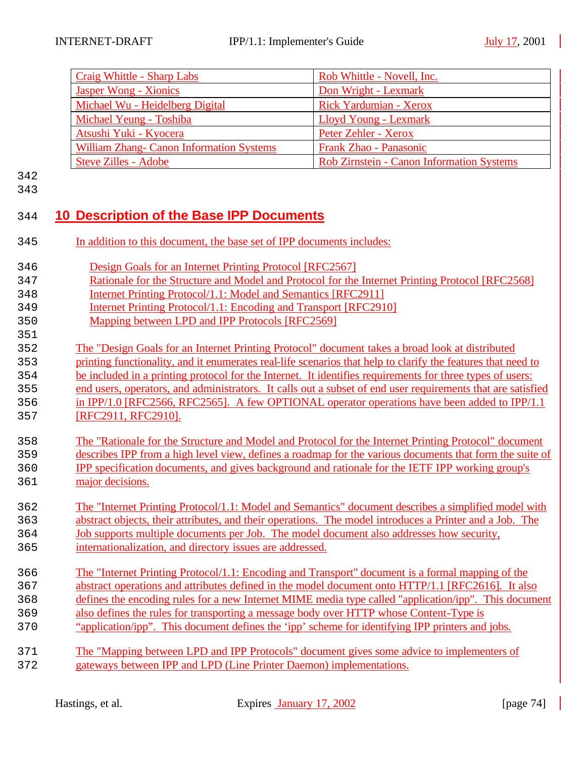|            | <b>Craig Whittle - Sharp Labs</b>                                                                                                                                                          | Rob Whittle - Novell, Inc.                                                                           |  |
|------------|--------------------------------------------------------------------------------------------------------------------------------------------------------------------------------------------|------------------------------------------------------------------------------------------------------|--|
|            | <b>Jasper Wong - Xionics</b>                                                                                                                                                               | Don Wright - Lexmark                                                                                 |  |
|            | Michael Wu - Heidelberg Digital                                                                                                                                                            | Rick Yardumian - Xerox                                                                               |  |
|            | Michael Yeung - Toshiba                                                                                                                                                                    | Lloyd Young - Lexmark                                                                                |  |
|            | Atsushi Yuki - Kyocera                                                                                                                                                                     | Peter Zehler - Xerox                                                                                 |  |
|            | <b>William Zhang- Canon Information Systems</b>                                                                                                                                            | Frank Zhao - Panasonic                                                                               |  |
|            | <b>Steve Zilles - Adobe</b>                                                                                                                                                                | Rob Zirnstein - Canon Information Systems                                                            |  |
| 342        |                                                                                                                                                                                            |                                                                                                      |  |
| 343        |                                                                                                                                                                                            |                                                                                                      |  |
|            |                                                                                                                                                                                            |                                                                                                      |  |
| 344        | 10 Description of the Base IPP Documents                                                                                                                                                   |                                                                                                      |  |
|            |                                                                                                                                                                                            |                                                                                                      |  |
| 345        | In addition to this document, the base set of IPP documents includes:                                                                                                                      |                                                                                                      |  |
|            |                                                                                                                                                                                            |                                                                                                      |  |
| 346        | Design Goals for an Internet Printing Protocol [RFC2567]                                                                                                                                   |                                                                                                      |  |
| 347        | Rationale for the Structure and Model and Protocol for the Internet Printing Protocol [RFC2568]                                                                                            |                                                                                                      |  |
| 348        | <b>Internet Printing Protocol/1.1: Model and Semantics [RFC2911]</b>                                                                                                                       |                                                                                                      |  |
| 349        | Internet Printing Protocol/1.1: Encoding and Transport [RFC2910]                                                                                                                           |                                                                                                      |  |
| 350        | Mapping between LPD and IPP Protocols [RFC2569]                                                                                                                                            |                                                                                                      |  |
| 351<br>352 |                                                                                                                                                                                            |                                                                                                      |  |
| 353        | The "Design Goals for an Internet Printing Protocol" document takes a broad look at distributed                                                                                            |                                                                                                      |  |
| 354        | printing functionality, and it enumerates real-life scenarios that help to clarify the features that need to                                                                               |                                                                                                      |  |
| 355        | be included in a printing protocol for the Internet. It identifies requirements for three types of users:                                                                                  |                                                                                                      |  |
| 356        | end users, operators, and administrators. It calls out a subset of end user requirements that are satisfied                                                                                |                                                                                                      |  |
| 357        | in IPP/1.0 [RFC2566, RFC2565]. A few OPTIONAL operator operations have been added to IPP/1.1<br>[RFC2911, RFC2910].                                                                        |                                                                                                      |  |
|            |                                                                                                                                                                                            |                                                                                                      |  |
| 358        |                                                                                                                                                                                            | The "Rationale for the Structure and Model and Protocol for the Internet Printing Protocol" document |  |
| 359        | describes IPP from a high level view, defines a roadmap for the various documents that form the suite of                                                                                   |                                                                                                      |  |
| 360        | <b>IPP</b> specification documents, and gives background and rationale for the IETF IPP working group's                                                                                    |                                                                                                      |  |
| 361        | major decisions.                                                                                                                                                                           |                                                                                                      |  |
|            |                                                                                                                                                                                            |                                                                                                      |  |
| 362        | The "Internet Printing Protocol/1.1: Model and Semantics" document describes a simplified model with                                                                                       |                                                                                                      |  |
| 363        | abstract objects, their attributes, and their operations. The model introduces a Printer and a Job. The                                                                                    |                                                                                                      |  |
| 364        | <u>Job supports multiple documents per Job. The model document also addresses how security,</u>                                                                                            |                                                                                                      |  |
| 365        | internationalization, and directory issues are addressed.                                                                                                                                  |                                                                                                      |  |
|            |                                                                                                                                                                                            |                                                                                                      |  |
| 366        | The "Internet Printing Protocol/1.1: Encoding and Transport" document is a formal mapping of the                                                                                           |                                                                                                      |  |
| 367        | abstract operations and attributes defined in the model document onto HTTP/1.1 [RFC2616]. It also                                                                                          |                                                                                                      |  |
| 368        | defines the encoding rules for a new Internet MIME media type called "application/ipp". This document                                                                                      |                                                                                                      |  |
| 369        | also defines the rules for transporting a message body over HTTP whose Content-Type is<br>"application/ipp". This document defines the 'ipp' scheme for identifying IPP printers and jobs. |                                                                                                      |  |
| 370        |                                                                                                                                                                                            |                                                                                                      |  |
| 371        |                                                                                                                                                                                            | The "Mapping between LPD and IPP Protocols" document gives some advice to implementers of            |  |
|            |                                                                                                                                                                                            |                                                                                                      |  |

372 gateways between IPP and LPD (Line Printer Daemon) implementations.